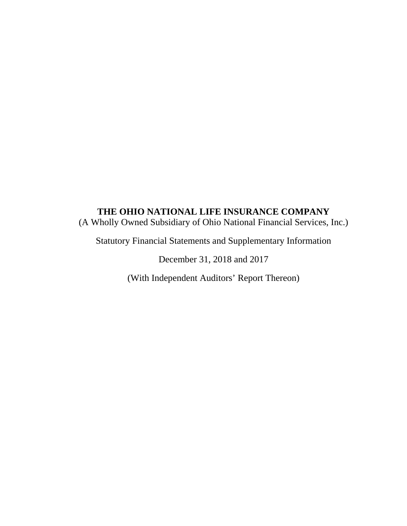(A Wholly Owned Subsidiary of Ohio National Financial Services, Inc.)

Statutory Financial Statements and Supplementary Information

December 31, 2018 and 2017

(With Independent Auditors' Report Thereon)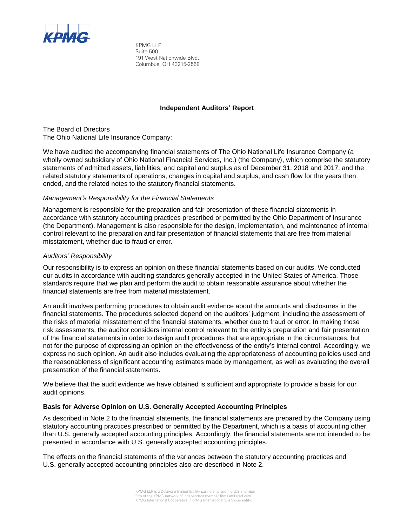

KPMG LLP Suite 500 191 West Nationwide Blvd. Columbus, OH 43215-2568

## **Independent Auditors' Report**

The Board of Directors The Ohio National Life Insurance Company:

We have audited the accompanying financial statements of The Ohio National Life Insurance Company (a wholly owned subsidiary of Ohio National Financial Services, Inc.) (the Company), which comprise the statutory statements of admitted assets, liabilities, and capital and surplus as of December 31, 2018 and 2017, and the related statutory statements of operations, changes in capital and surplus, and cash flow for the years then ended, and the related notes to the statutory financial statements.

## *Management's Responsibility for the Financial Statements*

Management is responsible for the preparation and fair presentation of these financial statements in accordance with statutory accounting practices prescribed or permitted by the Ohio Department of Insurance (the Department). Management is also responsible for the design, implementation, and maintenance of internal control relevant to the preparation and fair presentation of financial statements that are free from material misstatement, whether due to fraud or error.

## *Auditors' Responsibility*

Our responsibility is to express an opinion on these financial statements based on our audits. We conducted our audits in accordance with auditing standards generally accepted in the United States of America. Those standards require that we plan and perform the audit to obtain reasonable assurance about whether the financial statements are free from material misstatement.

An audit involves performing procedures to obtain audit evidence about the amounts and disclosures in the financial statements. The procedures selected depend on the auditors' judgment, including the assessment of the risks of material misstatement of the financial statements, whether due to fraud or error. In making those risk assessments, the auditor considers internal control relevant to the entity's preparation and fair presentation of the financial statements in order to design audit procedures that are appropriate in the circumstances, but not for the purpose of expressing an opinion on the effectiveness of the entity's internal control. Accordingly, we express no such opinion. An audit also includes evaluating the appropriateness of accounting policies used and the reasonableness of significant accounting estimates made by management, as well as evaluating the overall presentation of the financial statements.

We believe that the audit evidence we have obtained is sufficient and appropriate to provide a basis for our audit opinions.

## **Basis for Adverse Opinion on U.S. Generally Accepted Accounting Principles**

As described in Note 2 to the financial statements, the financial statements are prepared by the Company using statutory accounting practices prescribed or permitted by the Department, which is a basis of accounting other than U.S. generally accepted accounting principles. Accordingly, the financial statements are not intended to be presented in accordance with U.S. generally accepted accounting principles.

The effects on the financial statements of the variances between the statutory accounting practices and U.S. generally accepted accounting principles also are described in Note 2.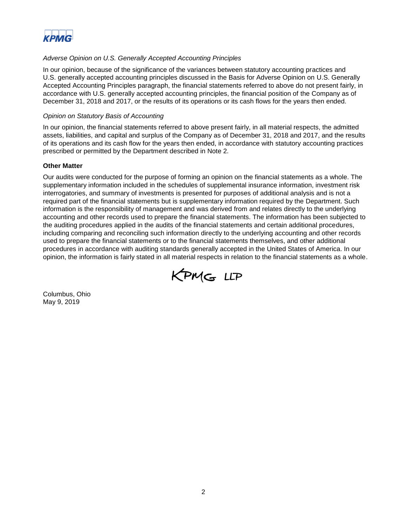

## *Adverse Opinion on U.S. Generally Accepted Accounting Principles*

In our opinion, because of the significance of the variances between statutory accounting practices and U.S. generally accepted accounting principles discussed in the Basis for Adverse Opinion on U.S. Generally Accepted Accounting Principles paragraph, the financial statements referred to above do not present fairly, in accordance with U.S. generally accepted accounting principles, the financial position of the Company as of December 31, 2018 and 2017, or the results of its operations or its cash flows for the years then ended.

#### *Opinion on Statutory Basis of Accounting*

In our opinion, the financial statements referred to above present fairly, in all material respects, the admitted assets, liabilities, and capital and surplus of the Company as of December 31, 2018 and 2017, and the results of its operations and its cash flow for the years then ended, in accordance with statutory accounting practices prescribed or permitted by the Department described in Note 2.

#### **Other Matter**

Our audits were conducted for the purpose of forming an opinion on the financial statements as a whole. The supplementary information included in the schedules of supplemental insurance information, investment risk interrogatories, and summary of investments is presented for purposes of additional analysis and is not a required part of the financial statements but is supplementary information required by the Department. Such information is the responsibility of management and was derived from and relates directly to the underlying accounting and other records used to prepare the financial statements. The information has been subjected to the auditing procedures applied in the audits of the financial statements and certain additional procedures, including comparing and reconciling such information directly to the underlying accounting and other records used to prepare the financial statements or to the financial statements themselves, and other additional procedures in accordance with auditing standards generally accepted in the United States of America. In our opinion, the information is fairly stated in all material respects in relation to the financial statements as a whole.



Columbus, Ohio May 9, 2019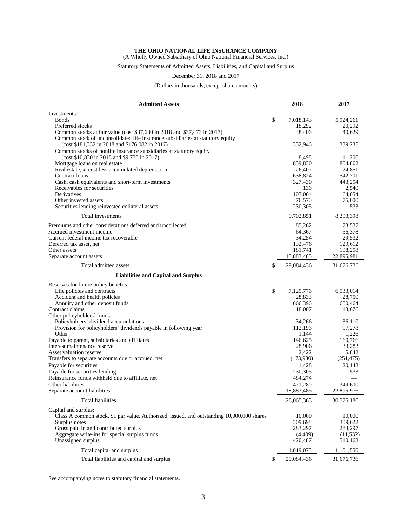(A Wholly Owned Subsidiary of Ohio National Financial Services, Inc.)

Statutory Statements of Admitted Assets, Liabilities, and Capital and Surplus

#### December 31, 2018 and 2017

(Dollars in thousands, except share amounts)

| <b>Admitted Assets</b>                                                                                                           | 2018              | 2017              |
|----------------------------------------------------------------------------------------------------------------------------------|-------------------|-------------------|
| Investments:                                                                                                                     |                   |                   |
| <b>Bonds</b>                                                                                                                     | \$<br>7,018,143   | 5,924,261         |
| Preferred stocks                                                                                                                 | 18,292            | 20,292            |
| Common stocks at fair value (cost \$37,680 in 2018 and \$37,473 in 2017)                                                         | 38,406            | 40,629            |
| Common stock of unconsolidated life insurance subsidiaries at statutory equity<br>(cost \$181,332 in 2018 and \$176,082 in 2017) | 352,946           | 339,235           |
| Common stocks of nonlife insurance subsidiaries at statutory equity                                                              |                   |                   |
| (cost \$10,830 in 2018 and \$9,730 in 2017)                                                                                      | 8,498             | 11,206            |
| Mortgage loans on real estate                                                                                                    | 859,830           | 804,802           |
| Real estate, at cost less accumulated depreciation                                                                               | 26,407            | 24,851            |
| Contract loans                                                                                                                   | 638,824           | 542,701           |
| Cash, cash equivalents and short-term investments                                                                                | 327,430           | 443,294           |
| Receivables for securities<br>Derivatives                                                                                        | 136<br>107,064    | 2,540<br>64,054   |
| Other invested assets                                                                                                            | 76,570            | 75,000            |
| Securities lending reinvested collateral assets                                                                                  | 230,305           | 533               |
| Total investments                                                                                                                | 9,702,851         | 8,293,398         |
|                                                                                                                                  |                   |                   |
| Premiums and other considerations deferred and uncollected<br>Accrued investment income                                          | 85,262            | 73,537            |
| Current federal income tax recoverable                                                                                           | 64,367<br>34,254  | 56,378<br>29,532  |
| Deferred tax asset, net                                                                                                          | 132,476           | 129,612           |
| Other assets                                                                                                                     | 181,741           | 198,298           |
| Separate account assets                                                                                                          | 18,883,485        | 22,895,981        |
| Total admitted assets                                                                                                            | \$<br>29,084,436  | 31,676,736        |
| <b>Liabilities and Capital and Surplus</b>                                                                                       |                   |                   |
| Reserves for future policy benefits:                                                                                             |                   |                   |
| Life policies and contracts                                                                                                      | \$<br>7,129,776   | 6,533,014         |
| Accident and health policies                                                                                                     | 28,833            | 28,750            |
| Annuity and other deposit funds                                                                                                  | 666,396           | 650,464           |
| Contract claims                                                                                                                  | 18,007            | 13,676            |
| Other policyholders' funds:                                                                                                      |                   |                   |
| Policyholders' dividend accumulations                                                                                            | 34,266            | 36,110            |
| Provision for policyholders' dividends payable in following year                                                                 | 112,196           | 97,278            |
| Other                                                                                                                            | 1,144             | 1,226             |
| Payable to parent, subsidiaries and affiliates<br>Interest maintenance reserve                                                   | 146,625<br>28,906 | 160,766<br>33,283 |
| Asset valuation reserve                                                                                                          | 2,422             | 5,842             |
| Transfers to separate accounts due or accrued, net                                                                               | (173,980)         | (251, 475)        |
| Payable for securities                                                                                                           | 1,428             | 20,143            |
| Payable for securities lending                                                                                                   | 230,305           | 533               |
| Reinsurance funds withheld due to affiliate, net                                                                                 | 484,274           |                   |
| Other liabilities                                                                                                                | 471,280           | 349,600           |
| Separate account liabilities                                                                                                     | 18,883,485        | 22,895,976        |
| <b>Total liabilities</b>                                                                                                         | 28,065,363        | 30,575,186        |
|                                                                                                                                  |                   |                   |
| Capital and surplus:                                                                                                             |                   |                   |
| Class A common stock, \$1 par value. Authorized, issued, and outstanding 10,000,000 shares<br>Surplus notes                      | 10.000<br>309,698 | 10,000<br>309,622 |
| Gross paid in and contributed surplus                                                                                            | 283,297           | 283,297           |
| Aggregate write-ins for special surplus funds                                                                                    | (4,409)           | (11, 532)         |
| Unassigned surplus                                                                                                               | 420,487           | 510,163           |
| Total capital and surplus                                                                                                        | 1,019,073         | 1,101,550         |
| Total liabilities and capital and surplus                                                                                        | \$<br>29,084,436  | 31,676,736        |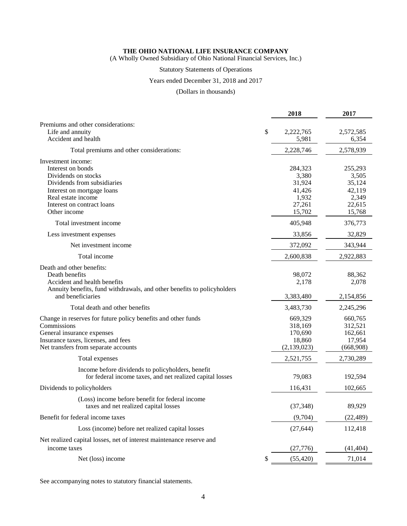(A Wholly Owned Subsidiary of Ohio National Financial Services, Inc.)

## Statutory Statements of Operations

## Years ended December 31, 2018 and 2017

## (Dollars in thousands)

|                                                                                                                                                                                                 | 2018                                                              | 2017                                                              |
|-------------------------------------------------------------------------------------------------------------------------------------------------------------------------------------------------|-------------------------------------------------------------------|-------------------------------------------------------------------|
| Premiums and other considerations:<br>Life and annuity<br>Accident and health                                                                                                                   | \$<br>2,222,765<br>5,981                                          | 2,572,585<br>6,354                                                |
| Total premiums and other considerations:                                                                                                                                                        | 2,228,746                                                         | 2,578,939                                                         |
| Investment income:<br>Interest on bonds<br>Dividends on stocks<br>Dividends from subsidiaries<br>Interest on mortgage loans<br>Real estate income<br>Interest on contract loans<br>Other income | 284,323<br>3,380<br>31,924<br>41,426<br>1,932<br>27,261<br>15,702 | 255,293<br>3,505<br>35,124<br>42,119<br>2,349<br>22,615<br>15,768 |
| Total investment income                                                                                                                                                                         | 405,948                                                           | 376,773                                                           |
| Less investment expenses                                                                                                                                                                        | 33,856                                                            | 32,829                                                            |
| Net investment income                                                                                                                                                                           | 372,092                                                           | 343,944                                                           |
| Total income                                                                                                                                                                                    | 2,600,838                                                         | 2,922,883                                                         |
| Death and other benefits:<br>Death benefits<br>Accident and health benefits<br>Annuity benefits, fund withdrawals, and other benefits to policyholders                                          | 98,072<br>2,178                                                   | 88,362<br>2,078                                                   |
| and beneficiaries                                                                                                                                                                               | 3,383,480                                                         | 2,154,856                                                         |
| Total death and other benefits                                                                                                                                                                  | 3,483,730                                                         | 2,245,296                                                         |
| Change in reserves for future policy benefits and other funds<br>Commissions<br>General insurance expenses<br>Insurance taxes, licenses, and fees<br>Net transfers from separate accounts       | 669,329<br>318,169<br>170,690<br>18,860<br>(2,139,023)            | 660,765<br>312,521<br>162,661<br>17,954<br>(668,908)              |
| Total expenses                                                                                                                                                                                  | 2,521,755                                                         | 2,730,289                                                         |
| Income before dividends to policyholders, benefit<br>for federal income taxes, and net realized capital losses                                                                                  | 79,083                                                            | 192,594                                                           |
| Dividends to policyholders                                                                                                                                                                      | 116,431                                                           | 102,665                                                           |
| (Loss) income before benefit for federal income<br>taxes and net realized capital losses                                                                                                        | (37, 348)                                                         | 89,929                                                            |
| Benefit for federal income taxes                                                                                                                                                                | (9,704)                                                           | (22, 489)                                                         |
| Loss (income) before net realized capital losses                                                                                                                                                | (27, 644)                                                         | 112,418                                                           |
| Net realized capital losses, net of interest maintenance reserve and<br>income taxes                                                                                                            | (27, 776)                                                         | (41, 404)                                                         |
| Net (loss) income                                                                                                                                                                               | \$<br>(55, 420)                                                   | 71,014                                                            |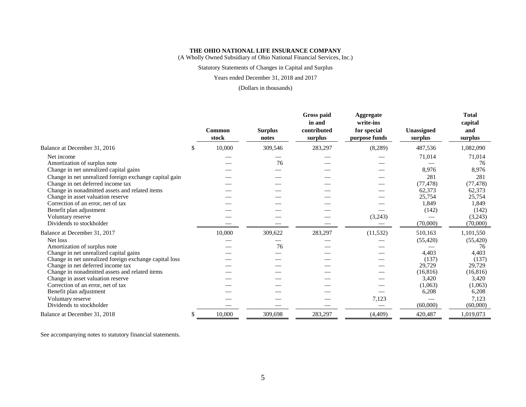(A Wholly Owned Subsidiary of Ohio National Financial Services, Inc.)

## Statutory Statements of Changes in Capital and Surplus

#### Years ended December 31, 2018 and 2017

#### (Dollars in thousands)

|                                                        |    | Common<br>stock | <b>Surplus</b><br>notes | Gross paid<br>in and<br>contributed<br>surplus | Aggregate<br>write-ins<br>for special<br>purpose funds | Unassigned<br>surplus | <b>Total</b><br>capital<br>and<br>surplus |
|--------------------------------------------------------|----|-----------------|-------------------------|------------------------------------------------|--------------------------------------------------------|-----------------------|-------------------------------------------|
| Balance at December 31, 2016                           | \$ | 10,000          | 309,546                 | 283,297                                        | (8,289)                                                | 487,536               | 1,082,090                                 |
| Net income                                             |    |                 |                         |                                                |                                                        | 71,014                | 71,014                                    |
| Amortization of surplus note                           |    |                 | 76                      |                                                |                                                        |                       | 76                                        |
| Change in net unrealized capital gains                 |    |                 |                         |                                                |                                                        | 8,976                 | 8,976                                     |
| Change in net unrealized foreign exchange capital gain |    |                 |                         |                                                |                                                        | 281                   | 281                                       |
| Change in net deferred income tax                      |    |                 |                         |                                                |                                                        | (77, 478)             | (77, 478)                                 |
| Change in nonadmitted assets and related items         |    |                 |                         |                                                |                                                        | 62,373                | 62,373                                    |
| Change in asset valuation reserve                      |    |                 |                         |                                                |                                                        | 25,754                | 25,754                                    |
| Correction of an error, net of tax                     |    |                 |                         |                                                |                                                        | 1,849                 | 1,849                                     |
| Benefit plan adjustment                                |    |                 |                         |                                                |                                                        | (142)                 | (142)                                     |
| Voluntary reserve                                      |    |                 |                         |                                                | (3,243)                                                |                       | (3,243)                                   |
| Dividends to stockholder                               |    |                 |                         |                                                |                                                        | (70,000)              | (70,000)                                  |
| Balance at December 31, 2017                           |    | 10,000          | 309,622                 | 283,297                                        | (11, 532)                                              | 510,163               | 1,101,550                                 |
| Net loss                                               |    |                 |                         |                                                |                                                        | (55, 420)             | (55, 420)                                 |
| Amortization of surplus note                           |    |                 | 76                      |                                                |                                                        |                       | 76                                        |
| Change in net unrealized capital gains                 |    |                 |                         |                                                |                                                        | 4.403                 | 4,403                                     |
| Change in net unrealized foreign exchange capital loss |    |                 |                         |                                                |                                                        | (137)                 | (137)                                     |
| Change in net deferred income tax                      |    |                 |                         |                                                |                                                        | 29,729                | 29,729                                    |
| Change in nonadmitted assets and related items         |    |                 |                         |                                                |                                                        | (16, 816)             | (16, 816)                                 |
| Change in asset valuation reserve                      |    |                 |                         |                                                |                                                        | 3,420                 | 3,420                                     |
| Correction of an error, net of tax                     |    |                 |                         |                                                |                                                        | (1,063)               | (1,063)                                   |
| Benefit plan adjustment                                |    |                 |                         |                                                |                                                        | 6,208                 | 6,208                                     |
| Voluntary reserve                                      |    |                 |                         |                                                | 7,123                                                  |                       | 7,123                                     |
| Dividends to stockholder                               |    |                 |                         |                                                |                                                        | (60,000)              | (60,000)                                  |
| Balance at December 31, 2018                           | S  | 10,000          | 309,698                 | 283,297                                        | (4,409)                                                | 420,487               | 1,019,073                                 |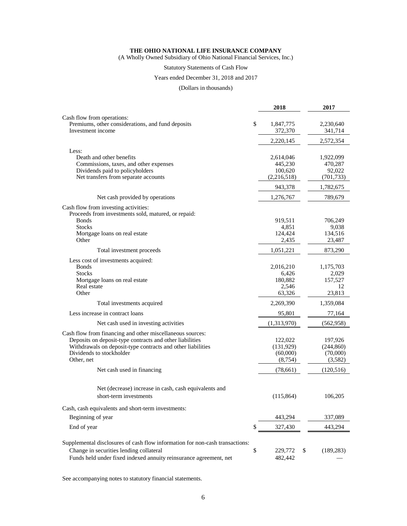(A Wholly Owned Subsidiary of Ohio National Financial Services, Inc.)

## Statutory Statements of Cash Flow

#### Years ended December 31, 2018 and 2017

(Dollars in thousands)

|                                                                              | 2018                       | 2017                 |
|------------------------------------------------------------------------------|----------------------------|----------------------|
| Cash flow from operations:                                                   |                            |                      |
| Premiums, other considerations, and fund deposits<br>Investment income       | \$<br>1,847,775<br>372,370 | 2,230,640<br>341,714 |
|                                                                              | 2,220,145                  | 2,572,354            |
| Less:                                                                        |                            |                      |
| Death and other benefits                                                     | 2,614,046                  | 1,922,099            |
| Commissions, taxes, and other expenses                                       | 445,230                    | 470,287              |
| Dividends paid to policyholders<br>Net transfers from separate accounts      | 100,620<br>(2, 216, 518)   | 92,022<br>(701, 733) |
|                                                                              |                            |                      |
|                                                                              | 943,378                    | 1,782,675            |
| Net cash provided by operations                                              | 1,276,767                  | 789,679              |
| Cash flow from investing activities:                                         |                            |                      |
| Proceeds from investments sold, matured, or repaid:<br><b>Bonds</b>          | 919,511                    | 706,249              |
| <b>Stocks</b>                                                                | 4,851                      | 9,038                |
| Mortgage loans on real estate                                                | 124,424                    | 134,516              |
| Other                                                                        | 2,435                      | 23,487               |
| Total investment proceeds                                                    | 1,051,221                  | 873,290              |
| Less cost of investments acquired:                                           |                            |                      |
| <b>Bonds</b>                                                                 | 2,016,210                  | 1,175,703            |
| <b>Stocks</b>                                                                | 6,426                      | 2,029                |
| Mortgage loans on real estate<br>Real estate                                 | 180,882<br>2,546           | 157,527<br>12        |
| Other                                                                        | 63,326                     | 23,813               |
| Total investments acquired                                                   | 2,269,390                  | 1,359,084            |
| Less increase in contract loans                                              | 95,801                     | 77,164               |
| Net cash used in investing activities                                        | (1,313,970)                | (562, 958)           |
| Cash flow from financing and other miscellaneous sources:                    |                            |                      |
| Deposits on deposit-type contracts and other liabilities                     | 122,022                    | 197,926              |
| Withdrawals on deposit-type contracts and other liabilities                  | (131,929)                  | (244, 860)           |
| Dividends to stockholder<br>Other, net                                       | (60,000)<br>(8,754)        | (70,000)<br>(3,582)  |
| Net cash used in financing                                                   | (78,661)                   | (120, 516)           |
|                                                                              |                            |                      |
| Net (decrease) increase in cash, cash equivalents and                        |                            |                      |
| short-term investments                                                       | (115, 864)                 | 106,205              |
| Cash, cash equivalents and short-term investments:                           |                            |                      |
| Beginning of year                                                            | 443,294                    | 337,089              |
| End of year                                                                  | \$<br>327,430              | 443,294              |
| Supplemental disclosures of cash flow information for non-cash transactions: |                            |                      |
| Change in securities lending collateral                                      | \$<br>229,772              | \$<br>(189, 283)     |
| Funds held under fixed indexed annuity reinsurance agreement, net            | 482,442                    |                      |
|                                                                              |                            |                      |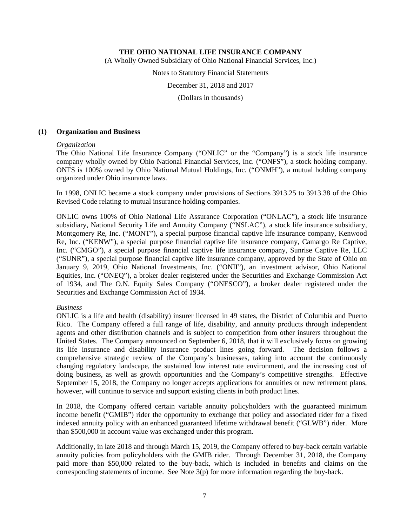(A Wholly Owned Subsidiary of Ohio National Financial Services, Inc.)

Notes to Statutory Financial Statements

December 31, 2018 and 2017

(Dollars in thousands)

## **(1) Organization and Business**

#### *Organization*

The Ohio National Life Insurance Company ("ONLIC" or the "Company") is a stock life insurance company wholly owned by Ohio National Financial Services, Inc. ("ONFS"), a stock holding company. ONFS is 100% owned by Ohio National Mutual Holdings, Inc. ("ONMH"), a mutual holding company organized under Ohio insurance laws.

In 1998, ONLIC became a stock company under provisions of Sections 3913.25 to 3913.38 of the Ohio Revised Code relating to mutual insurance holding companies.

ONLIC owns 100% of Ohio National Life Assurance Corporation ("ONLAC"), a stock life insurance subsidiary, National Security Life and Annuity Company ("NSLAC"), a stock life insurance subsidiary, Montgomery Re, Inc. ("MONT"), a special purpose financial captive life insurance company, Kenwood Re, Inc. ("KENW"), a special purpose financial captive life insurance company, Camargo Re Captive, Inc. ("CMGO"), a special purpose financial captive life insurance company, Sunrise Captive Re, LLC ("SUNR"), a special purpose financial captive life insurance company, approved by the State of Ohio on January 9, 2019, Ohio National Investments, Inc. ("ONII"), an investment advisor, Ohio National Equities, Inc. ("ONEQ"), a broker dealer registered under the Securities and Exchange Commission Act of 1934, and The O.N. Equity Sales Company ("ONESCO"), a broker dealer registered under the Securities and Exchange Commission Act of 1934.

## *Business*

ONLIC is a life and health (disability) insurer licensed in 49 states, the District of Columbia and Puerto Rico. The Company offered a full range of life, disability, and annuity products through independent agents and other distribution channels and is subject to competition from other insurers throughout the United States. The Company announced on September 6, 2018, that it will exclusively focus on growing its life insurance and disability insurance product lines going forward. The decision follows a comprehensive strategic review of the Company's businesses, taking into account the continuously changing regulatory landscape, the sustained low interest rate environment, and the increasing cost of doing business, as well as growth opportunities and the Company's competitive strengths. Effective September 15, 2018, the Company no longer accepts applications for annuities or new retirement plans, however, will continue to service and support existing clients in both product lines.

In 2018, the Company offered certain variable annuity policyholders with the guaranteed minimum income benefit ("GMIB") rider the opportunity to exchange that policy and associated rider for a fixed indexed annuity policy with an enhanced guaranteed lifetime withdrawal benefit ("GLWB") rider. More than \$500,000 in account value was exchanged under this program.

Additionally, in late 2018 and through March 15, 2019, the Company offered to buy-back certain variable annuity policies from policyholders with the GMIB rider. Through December 31, 2018, the Company paid more than \$50,000 related to the buy-back, which is included in benefits and claims on the corresponding statements of income. See Note  $3(p)$  for more information regarding the buy-back.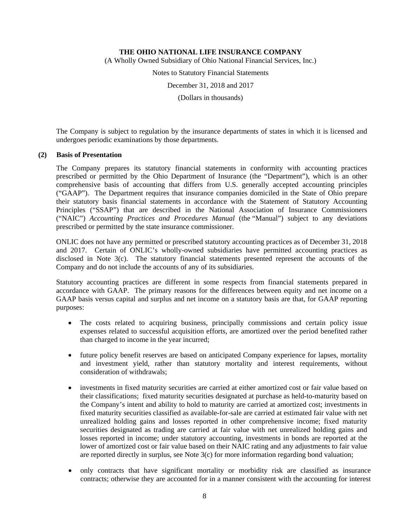(A Wholly Owned Subsidiary of Ohio National Financial Services, Inc.)

Notes to Statutory Financial Statements

December 31, 2018 and 2017

(Dollars in thousands)

The Company is subject to regulation by the insurance departments of states in which it is licensed and undergoes periodic examinations by those departments.

## **(2) Basis of Presentation**

The Company prepares its statutory financial statements in conformity with accounting practices prescribed or permitted by the Ohio Department of Insurance (the "Department"), which is an other comprehensive basis of accounting that differs from U.S. generally accepted accounting principles ("GAAP"). The Department requires that insurance companies domiciled in the State of Ohio prepare their statutory basis financial statements in accordance with the Statement of Statutory Accounting Principles ("SSAP") that are described in the National Association of Insurance Commissioners ("NAIC") *Accounting Practices and Procedures Manual* (the "Manual") subject to any deviations prescribed or permitted by the state insurance commissioner.

ONLIC does not have any permitted or prescribed statutory accounting practices as of December 31, 2018 and 2017. Certain of ONLIC's wholly-owned subsidiaries have permitted accounting practices as disclosed in Note 3(c). The statutory financial statements presented represent the accounts of the Company and do not include the accounts of any of its subsidiaries.

Statutory accounting practices are different in some respects from financial statements prepared in accordance with GAAP. The primary reasons for the differences between equity and net income on a GAAP basis versus capital and surplus and net income on a statutory basis are that, for GAAP reporting purposes:

- The costs related to acquiring business, principally commissions and certain policy issue expenses related to successful acquisition efforts, are amortized over the period benefited rather than charged to income in the year incurred;
- future policy benefit reserves are based on anticipated Company experience for lapses, mortality and investment yield, rather than statutory mortality and interest requirements, without consideration of withdrawals;
- investments in fixed maturity securities are carried at either amortized cost or fair value based on their classifications; fixed maturity securities designated at purchase as held-to-maturity based on the Company's intent and ability to hold to maturity are carried at amortized cost; investments in fixed maturity securities classified as available-for-sale are carried at estimated fair value with net unrealized holding gains and losses reported in other comprehensive income; fixed maturity securities designated as trading are carried at fair value with net unrealized holding gains and losses reported in income; under statutory accounting, investments in bonds are reported at the lower of amortized cost or fair value based on their NAIC rating and any adjustments to fair value are reported directly in surplus, see Note 3(c) for more information regarding bond valuation;
- only contracts that have significant mortality or morbidity risk are classified as insurance contracts; otherwise they are accounted for in a manner consistent with the accounting for interest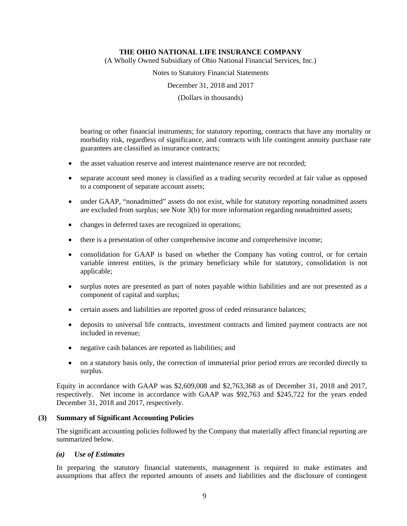(A Wholly Owned Subsidiary of Ohio National Financial Services, Inc.)

Notes to Statutory Financial Statements

December 31, 2018 and 2017

(Dollars in thousands)

bearing or other financial instruments; for statutory reporting, contracts that have any mortality or morbidity risk, regardless of significance, and contracts with life contingent annuity purchase rate guarantees are classified as insurance contracts;

- the asset valuation reserve and interest maintenance reserve are not recorded;
- separate account seed money is classified as a trading security recorded at fair value as opposed to a component of separate account assets;
- under GAAP, "nonadmitted" assets do not exist, while for statutory reporting nonadmitted assets are excluded from surplus; see Note 3(b) for more information regarding nonadmitted assets;
- changes in deferred taxes are recognized in operations;
- there is a presentation of other comprehensive income and comprehensive income;
- consolidation for GAAP is based on whether the Company has voting control, or for certain variable interest entities, is the primary beneficiary while for statutory, consolidation is not applicable;
- surplus notes are presented as part of notes payable within liabilities and are not presented as a component of capital and surplus;
- certain assets and liabilities are reported gross of ceded reinsurance balances;
- deposits to universal life contracts, investment contracts and limited payment contracts are not included in revenue;
- negative cash balances are reported as liabilities; and
- on a statutory basis only, the correction of immaterial prior period errors are recorded directly to surplus.

Equity in accordance with GAAP was \$2,609,008 and \$2,763,368 as of December 31, 2018 and 2017, respectively. Net income in accordance with GAAP was \$92,763 and \$245,722 for the years ended December 31, 2018 and 2017, respectively.

## **(3) Summary of Significant Accounting Policies**

The significant accounting policies followed by the Company that materially affect financial reporting are summarized below.

## *(a) Use of Estimates*

In preparing the statutory financial statements, management is required to make estimates and assumptions that affect the reported amounts of assets and liabilities and the disclosure of contingent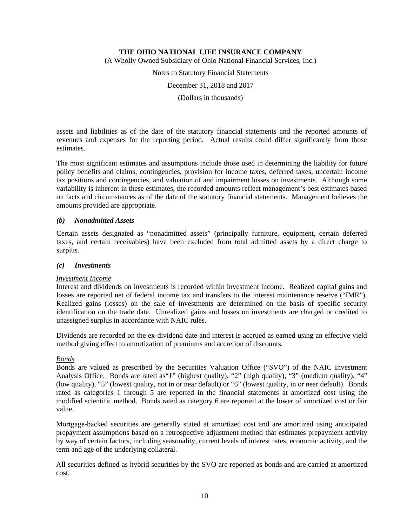(A Wholly Owned Subsidiary of Ohio National Financial Services, Inc.)

Notes to Statutory Financial Statements

December 31, 2018 and 2017

(Dollars in thousands)

assets and liabilities as of the date of the statutory financial statements and the reported amounts of revenues and expenses for the reporting period. Actual results could differ significantly from those estimates.

The most significant estimates and assumptions include those used in determining the liability for future policy benefits and claims, contingencies, provision for income taxes, deferred taxes, uncertain income tax positions and contingencies, and valuation of and impairment losses on investments. Although some variability is inherent in these estimates, the recorded amounts reflect management's best estimates based on facts and circumstances as of the date of the statutory financial statements. Management believes the amounts provided are appropriate.

## *(b) Nonadmitted Assets*

Certain assets designated as "nonadmitted assets" (principally furniture, equipment, certain deferred taxes, and certain receivables) have been excluded from total admitted assets by a direct charge to surplus.

## *(c) Investments*

## *Investment Income*

Interest and dividends on investments is recorded within investment income. Realized capital gains and losses are reported net of federal income tax and transfers to the interest maintenance reserve ("IMR"). Realized gains (losses) on the sale of investments are determined on the basis of specific security identification on the trade date. Unrealized gains and losses on investments are charged or credited to unassigned surplus in accordance with NAIC rules.

Dividends are recorded on the ex-dividend date and interest is accrued as earned using an effective yield method giving effect to amortization of premiums and accretion of discounts.

## *Bonds*

Bonds are valued as prescribed by the Securities Valuation Office ("SVO") of the NAIC Investment Analysis Office. Bonds are rated as"1" (highest quality), "2" (high quality), "3" (medium quality), "4" (low quality), "5" (lowest quality, not in or near default) or "6" (lowest quality, in or near default). Bonds rated as categories 1 through 5 are reported in the financial statements at amortized cost using the modified scientific method. Bonds rated as category 6 are reported at the lower of amortized cost or fair value.

Mortgage-backed securities are generally stated at amortized cost and are amortized using anticipated prepayment assumptions based on a retrospective adjustment method that estimates prepayment activity by way of certain factors, including seasonality, current levels of interest rates, economic activity, and the term and age of the underlying collateral.

All securities defined as hybrid securities by the SVO are reported as bonds and are carried at amortized cost.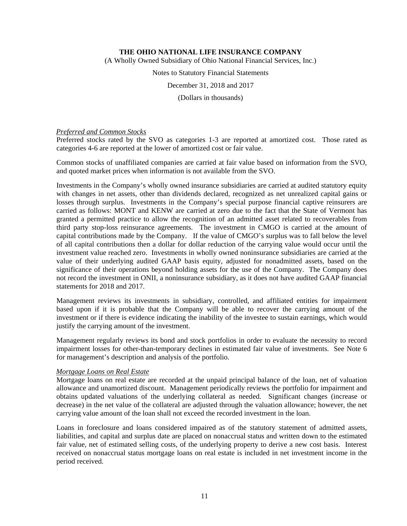(A Wholly Owned Subsidiary of Ohio National Financial Services, Inc.)

Notes to Statutory Financial Statements

December 31, 2018 and 2017

(Dollars in thousands)

## *Preferred and Common Stocks*

Preferred stocks rated by the SVO as categories 1-3 are reported at amortized cost. Those rated as categories 4-6 are reported at the lower of amortized cost or fair value.

Common stocks of unaffiliated companies are carried at fair value based on information from the SVO, and quoted market prices when information is not available from the SVO.

Investments in the Company's wholly owned insurance subsidiaries are carried at audited statutory equity with changes in net assets, other than dividends declared, recognized as net unrealized capital gains or losses through surplus. Investments in the Company's special purpose financial captive reinsurers are carried as follows: MONT and KENW are carried at zero due to the fact that the State of Vermont has granted a permitted practice to allow the recognition of an admitted asset related to recoverables from third party stop-loss reinsurance agreements. The investment in CMGO is carried at the amount of capital contributions made by the Company. If the value of CMGO's surplus was to fall below the level of all capital contributions then a dollar for dollar reduction of the carrying value would occur until the investment value reached zero. Investments in wholly owned noninsurance subsidiaries are carried at the value of their underlying audited GAAP basis equity, adjusted for nonadmitted assets, based on the significance of their operations beyond holding assets for the use of the Company. The Company does not record the investment in ONII, a noninsurance subsidiary, as it does not have audited GAAP financial statements for 2018 and 2017.

Management reviews its investments in subsidiary, controlled, and affiliated entities for impairment based upon if it is probable that the Company will be able to recover the carrying amount of the investment or if there is evidence indicating the inability of the investee to sustain earnings, which would justify the carrying amount of the investment.

Management regularly reviews its bond and stock portfolios in order to evaluate the necessity to record impairment losses for other-than-temporary declines in estimated fair value of investments. See Note 6 for management's description and analysis of the portfolio.

## *Mortgage Loans on Real Estate*

Mortgage loans on real estate are recorded at the unpaid principal balance of the loan, net of valuation allowance and unamortized discount. Management periodically reviews the portfolio for impairment and obtains updated valuations of the underlying collateral as needed. Significant changes (increase or decrease) in the net value of the collateral are adjusted through the valuation allowance; however, the net carrying value amount of the loan shall not exceed the recorded investment in the loan.

Loans in foreclosure and loans considered impaired as of the statutory statement of admitted assets, liabilities, and capital and surplus date are placed on nonaccrual status and written down to the estimated fair value, net of estimated selling costs, of the underlying property to derive a new cost basis. Interest received on nonaccrual status mortgage loans on real estate is included in net investment income in the period received.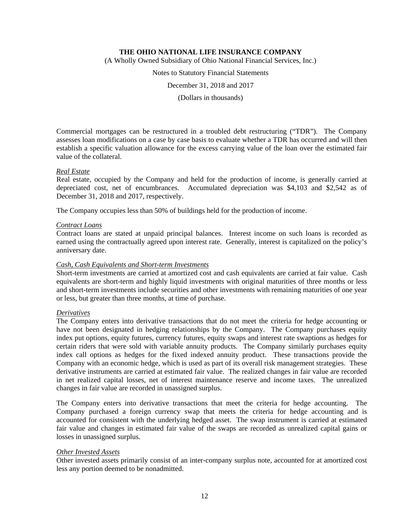(A Wholly Owned Subsidiary of Ohio National Financial Services, Inc.)

Notes to Statutory Financial Statements

December 31, 2018 and 2017

(Dollars in thousands)

Commercial mortgages can be restructured in a troubled debt restructuring ("TDR"). The Company assesses loan modifications on a case by case basis to evaluate whether a TDR has occurred and will then establish a specific valuation allowance for the excess carrying value of the loan over the estimated fair value of the collateral.

## *Real Estate*

Real estate, occupied by the Company and held for the production of income, is generally carried at depreciated cost, net of encumbrances. Accumulated depreciation was \$4,103 and \$2,542 as of December 31, 2018 and 2017, respectively.

The Company occupies less than 50% of buildings held for the production of income.

## *Contract Loans*

Contract loans are stated at unpaid principal balances. Interest income on such loans is recorded as earned using the contractually agreed upon interest rate. Generally, interest is capitalized on the policy's anniversary date.

## *Cash, Cash Equivalents and Short-term Investments*

Short-term investments are carried at amortized cost and cash equivalents are carried at fair value. Cash equivalents are short-term and highly liquid investments with original maturities of three months or less and short-term investments include securities and other investments with remaining maturities of one year or less, but greater than three months, at time of purchase.

## *Derivatives*

The Company enters into derivative transactions that do not meet the criteria for hedge accounting or have not been designated in hedging relationships by the Company. The Company purchases equity index put options, equity futures, currency futures, equity swaps and interest rate swaptions as hedges for certain riders that were sold with variable annuity products. The Company similarly purchases equity index call options as hedges for the fixed indexed annuity product. These transactions provide the Company with an economic hedge, which is used as part of its overall risk management strategies. These derivative instruments are carried at estimated fair value. The realized changes in fair value are recorded in net realized capital losses, net of interest maintenance reserve and income taxes. The unrealized changes in fair value are recorded in unassigned surplus.

The Company enters into derivative transactions that meet the criteria for hedge accounting. The Company purchased a foreign currency swap that meets the criteria for hedge accounting and is accounted for consistent with the underlying hedged asset. The swap instrument is carried at estimated fair value and changes in estimated fair value of the swaps are recorded as unrealized capital gains or losses in unassigned surplus.

## *Other Invested Assets*

Other invested assets primarily consist of an inter-company surplus note, accounted for at amortized cost less any portion deemed to be nonadmitted.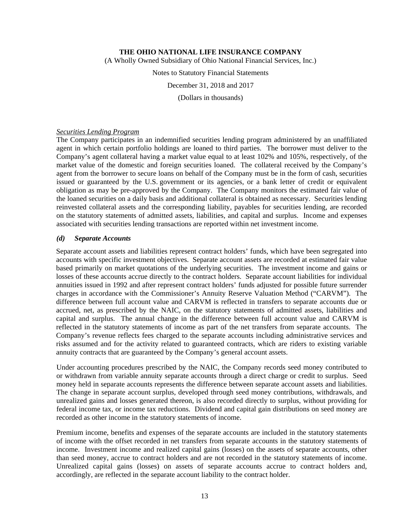(A Wholly Owned Subsidiary of Ohio National Financial Services, Inc.)

Notes to Statutory Financial Statements

December 31, 2018 and 2017

(Dollars in thousands)

#### *Securities Lending Program*

The Company participates in an indemnified securities lending program administered by an unaffiliated agent in which certain portfolio holdings are loaned to third parties. The borrower must deliver to the Company's agent collateral having a market value equal to at least 102% and 105%, respectively, of the market value of the domestic and foreign securities loaned. The collateral received by the Company's agent from the borrower to secure loans on behalf of the Company must be in the form of cash, securities issued or guaranteed by the U.S. government or its agencies, or a bank letter of credit or equivalent obligation as may be pre-approved by the Company. The Company monitors the estimated fair value of the loaned securities on a daily basis and additional collateral is obtained as necessary. Securities lending reinvested collateral assets and the corresponding liability, payables for securities lending, are recorded on the statutory statements of admitted assets, liabilities, and capital and surplus. Income and expenses associated with securities lending transactions are reported within net investment income.

## *(d) Separate Accounts*

Separate account assets and liabilities represent contract holders' funds, which have been segregated into accounts with specific investment objectives. Separate account assets are recorded at estimated fair value based primarily on market quotations of the underlying securities. The investment income and gains or losses of these accounts accrue directly to the contract holders. Separate account liabilities for individual annuities issued in 1992 and after represent contract holders' funds adjusted for possible future surrender charges in accordance with the Commissioner's Annuity Reserve Valuation Method ("CARVM"). The difference between full account value and CARVM is reflected in transfers to separate accounts due or accrued, net, as prescribed by the NAIC, on the statutory statements of admitted assets, liabilities and capital and surplus. The annual change in the difference between full account value and CARVM is reflected in the statutory statements of income as part of the net transfers from separate accounts. The Company's revenue reflects fees charged to the separate accounts including administrative services and risks assumed and for the activity related to guaranteed contracts, which are riders to existing variable annuity contracts that are guaranteed by the Company's general account assets.

Under accounting procedures prescribed by the NAIC, the Company records seed money contributed to or withdrawn from variable annuity separate accounts through a direct charge or credit to surplus. Seed money held in separate accounts represents the difference between separate account assets and liabilities. The change in separate account surplus, developed through seed money contributions, withdrawals, and unrealized gains and losses generated thereon, is also recorded directly to surplus, without providing for federal income tax, or income tax reductions. Dividend and capital gain distributions on seed money are recorded as other income in the statutory statements of income.

Premium income, benefits and expenses of the separate accounts are included in the statutory statements of income with the offset recorded in net transfers from separate accounts in the statutory statements of income. Investment income and realized capital gains (losses) on the assets of separate accounts, other than seed money, accrue to contract holders and are not recorded in the statutory statements of income. Unrealized capital gains (losses) on assets of separate accounts accrue to contract holders and, accordingly, are reflected in the separate account liability to the contract holder.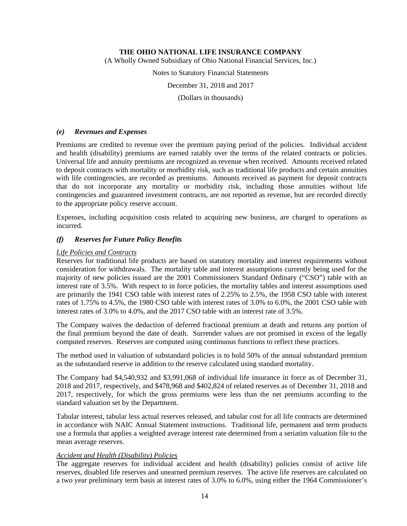(A Wholly Owned Subsidiary of Ohio National Financial Services, Inc.)

Notes to Statutory Financial Statements

December 31, 2018 and 2017

(Dollars in thousands)

## *(e) Revenues and Expenses*

Premiums are credited to revenue over the premium paying period of the policies. Individual accident and health (disability) premiums are earned ratably over the terms of the related contracts or policies. Universal life and annuity premiums are recognized as revenue when received. Amounts received related to deposit contracts with mortality or morbidity risk, such as traditional life products and certain annuities with life contingencies, are recorded as premiums. Amounts received as payment for deposit contracts that do not incorporate any mortality or morbidity risk, including those annuities without life contingencies and guaranteed investment contracts, are not reported as revenue, but are recorded directly to the appropriate policy reserve account.

Expenses, including acquisition costs related to acquiring new business, are charged to operations as incurred.

## *(f) Reserves for Future Policy Benefits*

## *Life Policies and Contracts*

Reserves for traditional life products are based on statutory mortality and interest requirements without consideration for withdrawals. The mortality table and interest assumptions currently being used for the majority of new policies issued are the 2001 Commissioners Standard Ordinary ("CSO") table with an interest rate of 3.5%. With respect to in force policies, the mortality tables and interest assumptions used are primarily the 1941 CSO table with interest rates of 2.25% to 2.5%, the 1958 CSO table with interest rates of 1.75% to 4.5%, the 1980 CSO table with interest rates of 3.0% to 6.0%, the 2001 CSO table with interest rates of 3.0% to 4.0%, and the 2017 CSO table with an interest rate of 3.5%.

The Company waives the deduction of deferred fractional premium at death and returns any portion of the final premium beyond the date of death. Surrender values are not promised in excess of the legally computed reserves. Reserves are computed using continuous functions to reflect these practices.

The method used in valuation of substandard policies is to hold 50% of the annual substandard premium as the substandard reserve in addition to the reserve calculated using standard mortality.

The Company had \$4,540,932 and \$3,991,068 of individual life insurance in force as of December 31, 2018 and 2017, respectively, and \$478,968 and \$402,824 of related reserves as of December 31, 2018 and 2017, respectively, for which the gross premiums were less than the net premiums according to the standard valuation set by the Department.

Tabular interest, tabular less actual reserves released, and tabular cost for all life contracts are determined in accordance with NAIC Annual Statement instructions. Traditional life, permanent and term products use a formula that applies a weighted average interest rate determined from a seriatim valuation file to the mean average reserves.

## *Accident and Health (Disability) Policies*

The aggregate reserves for individual accident and health (disability) policies consist of active life reserves, disabled life reserves and unearned premium reserves. The active life reserves are calculated on a two year preliminary term basis at interest rates of 3.0% to 6.0%, using either the 1964 Commissioner's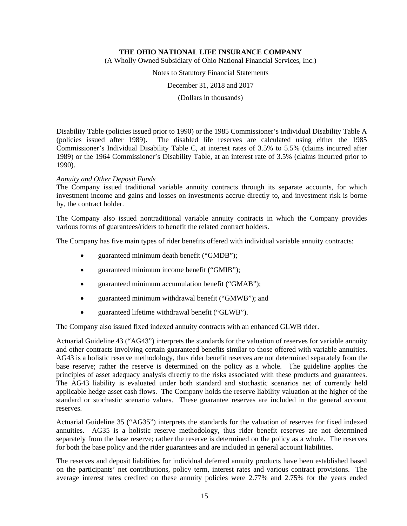(A Wholly Owned Subsidiary of Ohio National Financial Services, Inc.)

Notes to Statutory Financial Statements

December 31, 2018 and 2017

(Dollars in thousands)

Disability Table (policies issued prior to 1990) or the 1985 Commissioner's Individual Disability Table A (policies issued after 1989). The disabled life reserves are calculated using either the 1985 Commissioner's Individual Disability Table C, at interest rates of 3.5% to 5.5% (claims incurred after 1989) or the 1964 Commissioner's Disability Table, at an interest rate of 3.5% (claims incurred prior to 1990).

## *Annuity and Other Deposit Funds*

The Company issued traditional variable annuity contracts through its separate accounts, for which investment income and gains and losses on investments accrue directly to, and investment risk is borne by, the contract holder.

The Company also issued nontraditional variable annuity contracts in which the Company provides various forms of guarantees/riders to benefit the related contract holders.

The Company has five main types of rider benefits offered with individual variable annuity contracts:

- guaranteed minimum death benefit ("GMDB");
- guaranteed minimum income benefit ("GMIB");
- guaranteed minimum accumulation benefit ("GMAB");
- guaranteed minimum withdrawal benefit ("GMWB"); and
- guaranteed lifetime withdrawal benefit ("GLWB").

The Company also issued fixed indexed annuity contracts with an enhanced GLWB rider.

Actuarial Guideline 43 ("AG43") interprets the standards for the valuation of reserves for variable annuity and other contracts involving certain guaranteed benefits similar to those offered with variable annuities. AG43 is a holistic reserve methodology, thus rider benefit reserves are not determined separately from the base reserve; rather the reserve is determined on the policy as a whole. The guideline applies the principles of asset adequacy analysis directly to the risks associated with these products and guarantees. The AG43 liability is evaluated under both standard and stochastic scenarios net of currently held applicable hedge asset cash flows. The Company holds the reserve liability valuation at the higher of the standard or stochastic scenario values. These guarantee reserves are included in the general account reserves.

Actuarial Guideline 35 ("AG35") interprets the standards for the valuation of reserves for fixed indexed annuities. AG35 is a holistic reserve methodology, thus rider benefit reserves are not determined separately from the base reserve; rather the reserve is determined on the policy as a whole. The reserves for both the base policy and the rider guarantees and are included in general account liabilities.

The reserves and deposit liabilities for individual deferred annuity products have been established based on the participants' net contributions, policy term, interest rates and various contract provisions. The average interest rates credited on these annuity policies were 2.77% and 2.75% for the years ended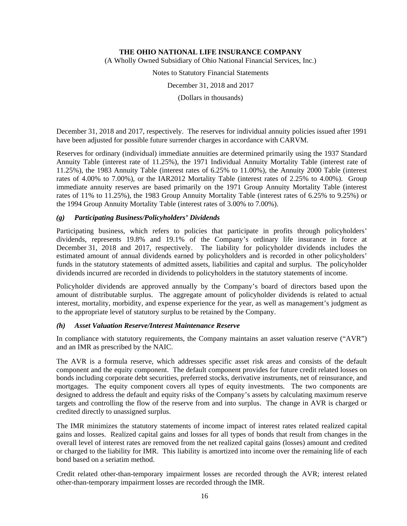(A Wholly Owned Subsidiary of Ohio National Financial Services, Inc.)

Notes to Statutory Financial Statements

December 31, 2018 and 2017

(Dollars in thousands)

December 31, 2018 and 2017, respectively. The reserves for individual annuity policies issued after 1991 have been adjusted for possible future surrender charges in accordance with CARVM.

Reserves for ordinary (individual) immediate annuities are determined primarily using the 1937 Standard Annuity Table (interest rate of 11.25%), the 1971 Individual Annuity Mortality Table (interest rate of 11.25%), the 1983 Annuity Table (interest rates of 6.25% to 11.00%), the Annuity 2000 Table (interest rates of 4.00% to 7.00%), or the IAR2012 Mortality Table (interest rates of 2.25% to 4.00%). Group immediate annuity reserves are based primarily on the 1971 Group Annuity Mortality Table (interest rates of 11% to 11.25%), the 1983 Group Annuity Mortality Table (interest rates of 6.25% to 9.25%) or the 1994 Group Annuity Mortality Table (interest rates of 3.00% to 7.00%).

## *(g) Participating Business/Policyholders' Dividends*

Participating business, which refers to policies that participate in profits through policyholders' dividends, represents 19.8% and 19.1% of the Company's ordinary life insurance in force at December 31, 2018 and 2017, respectively. The liability for policyholder dividends includes the estimated amount of annual dividends earned by policyholders and is recorded in other policyholders' funds in the statutory statements of admitted assets, liabilities and capital and surplus. The policyholder dividends incurred are recorded in dividends to policyholders in the statutory statements of income.

Policyholder dividends are approved annually by the Company's board of directors based upon the amount of distributable surplus. The aggregate amount of policyholder dividends is related to actual interest, mortality, morbidity, and expense experience for the year, as well as management's judgment as to the appropriate level of statutory surplus to be retained by the Company.

## *(h) Asset Valuation Reserve/Interest Maintenance Reserve*

In compliance with statutory requirements, the Company maintains an asset valuation reserve ("AVR") and an IMR as prescribed by the NAIC.

The AVR is a formula reserve, which addresses specific asset risk areas and consists of the default component and the equity component. The default component provides for future credit related losses on bonds including corporate debt securities, preferred stocks, derivative instruments, net of reinsurance, and mortgages. The equity component covers all types of equity investments. The two components are designed to address the default and equity risks of the Company's assets by calculating maximum reserve targets and controlling the flow of the reserve from and into surplus. The change in AVR is charged or credited directly to unassigned surplus.

The IMR minimizes the statutory statements of income impact of interest rates related realized capital gains and losses. Realized capital gains and losses for all types of bonds that result from changes in the overall level of interest rates are removed from the net realized capital gains (losses) amount and credited or charged to the liability for IMR. This liability is amortized into income over the remaining life of each bond based on a seriatim method.

Credit related other-than-temporary impairment losses are recorded through the AVR; interest related other-than-temporary impairment losses are recorded through the IMR.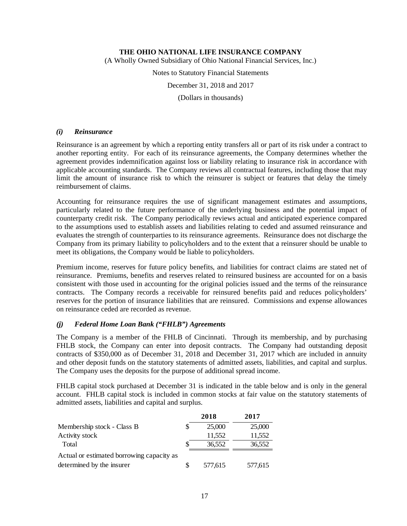(A Wholly Owned Subsidiary of Ohio National Financial Services, Inc.)

Notes to Statutory Financial Statements

December 31, 2018 and 2017

(Dollars in thousands)

## *(i) Reinsurance*

Reinsurance is an agreement by which a reporting entity transfers all or part of its risk under a contract to another reporting entity. For each of its reinsurance agreements, the Company determines whether the agreement provides indemnification against loss or liability relating to insurance risk in accordance with applicable accounting standards. The Company reviews all contractual features, including those that may limit the amount of insurance risk to which the reinsurer is subject or features that delay the timely reimbursement of claims.

Accounting for reinsurance requires the use of significant management estimates and assumptions, particularly related to the future performance of the underlying business and the potential impact of counterparty credit risk. The Company periodically reviews actual and anticipated experience compared to the assumptions used to establish assets and liabilities relating to ceded and assumed reinsurance and evaluates the strength of counterparties to its reinsurance agreements. Reinsurance does not discharge the Company from its primary liability to policyholders and to the extent that a reinsurer should be unable to meet its obligations, the Company would be liable to policyholders.

Premium income, reserves for future policy benefits, and liabilities for contract claims are stated net of reinsurance. Premiums, benefits and reserves related to reinsured business are accounted for on a basis consistent with those used in accounting for the original policies issued and the terms of the reinsurance contracts. The Company records a receivable for reinsured benefits paid and reduces policyholders' reserves for the portion of insurance liabilities that are reinsured. Commissions and expense allowances on reinsurance ceded are recorded as revenue.

## *(j) Federal Home Loan Bank ("FHLB") Agreements*

The Company is a member of the FHLB of Cincinnati. Through its membership, and by purchasing FHLB stock, the Company can enter into deposit contracts. The Company had outstanding deposit contracts of \$350,000 as of December 31, 2018 and December 31, 2017 which are included in annuity and other deposit funds on the statutory statements of admitted assets, liabilities, and capital and surplus. The Company uses the deposits for the purpose of additional spread income.

FHLB capital stock purchased at December 31 is indicated in the table below and is only in the general account. FHLB capital stock is included in common stocks at fair value on the statutory statements of admitted assets, liabilities and capital and surplus.

|                                           | 2018    | 2017    |
|-------------------------------------------|---------|---------|
| Membership stock - Class B                | 25,000  | 25,000  |
| Activity stock                            | 11,552  | 11,552  |
| Total                                     | 36,552  | 36,552  |
| Actual or estimated borrowing capacity as |         |         |
| determined by the insurer                 | 577,615 | 577,615 |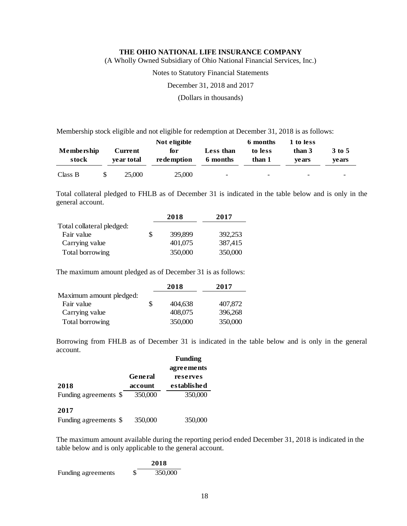(A Wholly Owned Subsidiary of Ohio National Financial Services, Inc.)

Notes to Statutory Financial Statements

December 31, 2018 and 2017

(Dollars in thousands)

Membership stock eligible and not eligible for redemption at December 31, 2018 is as follows:

|                     |                              | Not eligible                               |                          | 6 months                 | 1 to less                |                          |  |  |
|---------------------|------------------------------|--------------------------------------------|--------------------------|--------------------------|--------------------------|--------------------------|--|--|
| Membership<br>stock | <b>Current</b><br>vear total | Less than<br>for<br>redemption<br>6 months |                          | to less<br>than 1        | than 3<br>vears          | 3 to 5<br>vears          |  |  |
| Class B             | 25,000                       | 25,000                                     | $\overline{\phantom{0}}$ | $\overline{\phantom{0}}$ | $\overline{\phantom{0}}$ | $\overline{\phantom{0}}$ |  |  |

Total collateral pledged to FHLB as of December 31 is indicated in the table below and is only in the general account.

|                           |   | 2018    | 2017    |
|---------------------------|---|---------|---------|
| Total collateral pledged: |   |         |         |
| Fair value                | S | 399,899 | 392,253 |
| Carrying value            |   | 401,075 | 387,415 |
| Total borrowing           |   | 350,000 | 350,000 |

The maximum amount pledged as of December 31 is as follows:

|                         |   | 2018    | 2017    |
|-------------------------|---|---------|---------|
| Maximum amount pledged: |   |         |         |
| Fair value              | S | 404,638 | 407,872 |
| Carrying value          |   | 408,075 | 396,268 |
| Total borrowing         |   | 350,000 | 350,000 |

Borrowing from FHLB as of December 31 is indicated in the table below and is only in the general account.

|                       |                | <b>Funding</b> |  |  |
|-----------------------|----------------|----------------|--|--|
|                       |                | agreements     |  |  |
|                       | <b>General</b> | reserves       |  |  |
| 2018                  | account        | established    |  |  |
| Funding agreements \$ | 350,000        | 350,000        |  |  |
| 2017                  |                |                |  |  |
| Funding agreements \$ | 350,000        | 350,000        |  |  |

The maximum amount available during the reporting period ended December 31, 2018 is indicated in the table below and is only applicable to the general account.

|                    | 2018    |
|--------------------|---------|
| Funding agreements | 350,000 |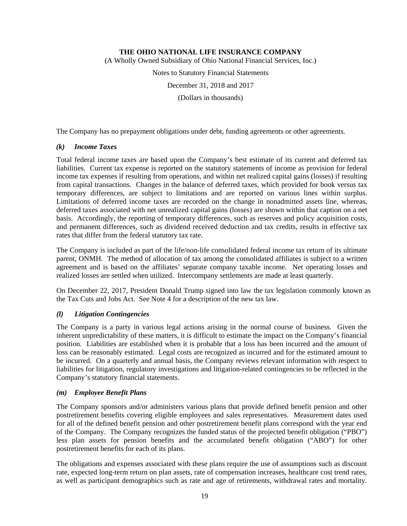(A Wholly Owned Subsidiary of Ohio National Financial Services, Inc.)

Notes to Statutory Financial Statements

December 31, 2018 and 2017

(Dollars in thousands)

The Company has no prepayment obligations under debt, funding agreements or other agreements.

## *(k) Income Taxes*

Total federal income taxes are based upon the Company's best estimate of its current and deferred tax liabilities. Current tax expense is reported on the statutory statements of income as provision for federal income tax expenses if resulting from operations, and within net realized capital gains (losses) if resulting from capital transactions. Changes in the balance of deferred taxes, which provided for book versus tax temporary differences, are subject to limitations and are reported on various lines within surplus. Limitations of deferred income taxes are recorded on the change in nonadmitted assets line, whereas, deferred taxes associated with net unrealized capital gains (losses) are shown within that caption on a net basis. Accordingly, the reporting of temporary differences, such as reserves and policy acquisition costs, and permanent differences, such as dividend received deduction and tax credits, results in effective tax rates that differ from the federal statutory tax rate.

The Company is included as part of the life/non-life consolidated federal income tax return of its ultimate parent, ONMH. The method of allocation of tax among the consolidated affiliates is subject to a written agreement and is based on the affiliates' separate company taxable income. Net operating losses and realized losses are settled when utilized. Intercompany settlements are made at least quarterly.

On December 22, 2017, President Donald Trump signed into law the tax legislation commonly known as the Tax Cuts and Jobs Act. See Note 4 for a description of the new tax law.

## *(l) Litigation Contingencies*

The Company is a party in various legal actions arising in the normal course of business. Given the inherent unpredictability of these matters, it is difficult to estimate the impact on the Company's financial position. Liabilities are established when it is probable that a loss has been incurred and the amount of loss can be reasonably estimated. Legal costs are recognized as incurred and for the estimated amount to be incurred. On a quarterly and annual basis, the Company reviews relevant information with respect to liabilities for litigation, regulatory investigations and litigation-related contingencies to be reflected in the Company's statutory financial statements.

## *(m) Employee Benefit Plans*

The Company sponsors and/or administers various plans that provide defined benefit pension and other postretirement benefits covering eligible employees and sales representatives. Measurement dates used for all of the defined benefit pension and other postretirement benefit plans correspond with the year end of the Company. The Company recognizes the funded status of the projected benefit obligation ("PBO") less plan assets for pension benefits and the accumulated benefit obligation ("ABO") for other postretirement benefits for each of its plans.

The obligations and expenses associated with these plans require the use of assumptions such as discount rate, expected long-term return on plan assets, rate of compensation increases, healthcare cost trend rates, as well as participant demographics such as rate and age of retirements, withdrawal rates and mortality.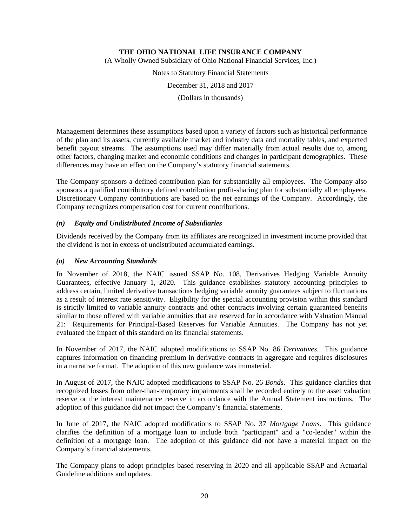(A Wholly Owned Subsidiary of Ohio National Financial Services, Inc.)

Notes to Statutory Financial Statements

December 31, 2018 and 2017

(Dollars in thousands)

Management determines these assumptions based upon a variety of factors such as historical performance of the plan and its assets, currently available market and industry data and mortality tables, and expected benefit payout streams. The assumptions used may differ materially from actual results due to, among other factors, changing market and economic conditions and changes in participant demographics. These differences may have an effect on the Company's statutory financial statements.

The Company sponsors a defined contribution plan for substantially all employees. The Company also sponsors a qualified contributory defined contribution profit-sharing plan for substantially all employees. Discretionary Company contributions are based on the net earnings of the Company. Accordingly, the Company recognizes compensation cost for current contributions.

## *(n) Equity and Undistributed Income of Subsidiaries*

Dividends received by the Company from its affiliates are recognized in investment income provided that the dividend is not in excess of undistributed accumulated earnings.

## *(o) New Accounting Standards*

In November of 2018, the NAIC issued SSAP No. 108, Derivatives Hedging Variable Annuity Guarantees, effective January 1, 2020. This guidance establishes statutory accounting principles to address certain, limited derivative transactions hedging variable annuity guarantees subject to fluctuations as a result of interest rate sensitivity. Eligibility for the special accounting provision within this standard is strictly limited to variable annuity contracts and other contracts involving certain guaranteed benefits similar to those offered with variable annuities that are reserved for in accordance with Valuation Manual 21: Requirements for Principal-Based Reserves for Variable Annuities. The Company has not yet evaluated the impact of this standard on its financial statements.

In November of 2017, the NAIC adopted modifications to SSAP No. 86 *Derivatives*. This guidance captures information on financing premium in derivative contracts in aggregate and requires disclosures in a narrative format. The adoption of this new guidance was immaterial.

In August of 2017, the NAIC adopted modifications to SSAP No. 26 *Bonds*. This guidance clarifies that recognized losses from other-than-temporary impairments shall be recorded entirely to the asset valuation reserve or the interest maintenance reserve in accordance with the Annual Statement instructions. The adoption of this guidance did not impact the Company's financial statements.

In June of 2017, the NAIC adopted modifications to SSAP No. 37 *Mortgage Loans*. This guidance clarifies the definition of a mortgage loan to include both "participant" and a "co-lender" within the definition of a mortgage loan. The adoption of this guidance did not have a material impact on the Company's financial statements.

The Company plans to adopt principles based reserving in 2020 and all applicable SSAP and Actuarial Guideline additions and updates.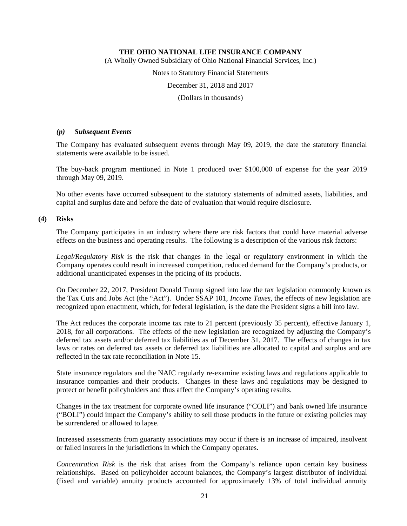(A Wholly Owned Subsidiary of Ohio National Financial Services, Inc.)

Notes to Statutory Financial Statements

December 31, 2018 and 2017

(Dollars in thousands)

## *(p) Subsequent Events*

The Company has evaluated subsequent events through May 09, 2019, the date the statutory financial statements were available to be issued.

The buy-back program mentioned in Note 1 produced over \$100,000 of expense for the year 2019 through May 09, 2019.

No other events have occurred subsequent to the statutory statements of admitted assets, liabilities, and capital and surplus date and before the date of evaluation that would require disclosure.

## **(4) Risks**

The Company participates in an industry where there are risk factors that could have material adverse effects on the business and operating results. The following is a description of the various risk factors:

*Legal/Regulatory Risk* is the risk that changes in the legal or regulatory environment in which the Company operates could result in increased competition, reduced demand for the Company's products, or additional unanticipated expenses in the pricing of its products.

On December 22, 2017, President Donald Trump signed into law the tax legislation commonly known as the Tax Cuts and Jobs Act (the "Act"). Under SSAP 101, *Income Taxes*, the effects of new legislation are recognized upon enactment, which, for federal legislation, is the date the President signs a bill into law.

The Act reduces the corporate income tax rate to 21 percent (previously 35 percent), effective January 1, 2018, for all corporations. The effects of the new legislation are recognized by adjusting the Company's deferred tax assets and/or deferred tax liabilities as of December 31, 2017. The effects of changes in tax laws or rates on deferred tax assets or deferred tax liabilities are allocated to capital and surplus and are reflected in the tax rate reconciliation in Note 15.

State insurance regulators and the NAIC regularly re-examine existing laws and regulations applicable to insurance companies and their products. Changes in these laws and regulations may be designed to protect or benefit policyholders and thus affect the Company's operating results.

Changes in the tax treatment for corporate owned life insurance ("COLI") and bank owned life insurance ("BOLI") could impact the Company's ability to sell those products in the future or existing policies may be surrendered or allowed to lapse.

Increased assessments from guaranty associations may occur if there is an increase of impaired, insolvent or failed insurers in the jurisdictions in which the Company operates.

*Concentration Risk* is the risk that arises from the Company's reliance upon certain key business relationships. Based on policyholder account balances, the Company's largest distributor of individual (fixed and variable) annuity products accounted for approximately 13% of total individual annuity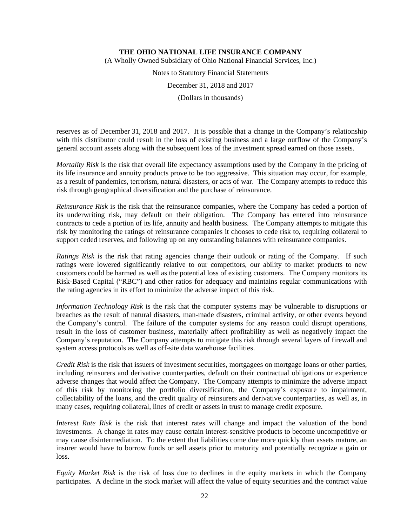(A Wholly Owned Subsidiary of Ohio National Financial Services, Inc.)

Notes to Statutory Financial Statements

December 31, 2018 and 2017

(Dollars in thousands)

reserves as of December 31, 2018 and 2017. It is possible that a change in the Company's relationship with this distributor could result in the loss of existing business and a large outflow of the Company's general account assets along with the subsequent loss of the investment spread earned on those assets.

*Mortality Risk* is the risk that overall life expectancy assumptions used by the Company in the pricing of its life insurance and annuity products prove to be too aggressive. This situation may occur, for example, as a result of pandemics, terrorism, natural disasters, or acts of war. The Company attempts to reduce this risk through geographical diversification and the purchase of reinsurance.

*Reinsurance Risk* is the risk that the reinsurance companies, where the Company has ceded a portion of its underwriting risk, may default on their obligation. The Company has entered into reinsurance contracts to cede a portion of its life, annuity and health business. The Company attempts to mitigate this risk by monitoring the ratings of reinsurance companies it chooses to cede risk to, requiring collateral to support ceded reserves, and following up on any outstanding balances with reinsurance companies.

*Ratings Risk* is the risk that rating agencies change their outlook or rating of the Company. If such ratings were lowered significantly relative to our competitors, our ability to market products to new customers could be harmed as well as the potential loss of existing customers. The Company monitors its Risk-Based Capital ("RBC") and other ratios for adequacy and maintains regular communications with the rating agencies in its effort to minimize the adverse impact of this risk.

*Information Technology Risk* is the risk that the computer systems may be vulnerable to disruptions or breaches as the result of natural disasters, man-made disasters, criminal activity, or other events beyond the Company's control. The failure of the computer systems for any reason could disrupt operations, result in the loss of customer business, materially affect profitability as well as negatively impact the Company's reputation. The Company attempts to mitigate this risk through several layers of firewall and system access protocols as well as off-site data warehouse facilities.

*Credit Risk* is the risk that issuers of investment securities, mortgagees on mortgage loans or other parties, including reinsurers and derivative counterparties, default on their contractual obligations or experience adverse changes that would affect the Company. The Company attempts to minimize the adverse impact of this risk by monitoring the portfolio diversification, the Company's exposure to impairment, collectability of the loans, and the credit quality of reinsurers and derivative counterparties, as well as, in many cases, requiring collateral, lines of credit or assets in trust to manage credit exposure.

*Interest Rate Risk* is the risk that interest rates will change and impact the valuation of the bond investments. A change in rates may cause certain interest-sensitive products to become uncompetitive or may cause disintermediation. To the extent that liabilities come due more quickly than assets mature, an insurer would have to borrow funds or sell assets prior to maturity and potentially recognize a gain or loss.

*Equity Market Risk* is the risk of loss due to declines in the equity markets in which the Company participates. A decline in the stock market will affect the value of equity securities and the contract value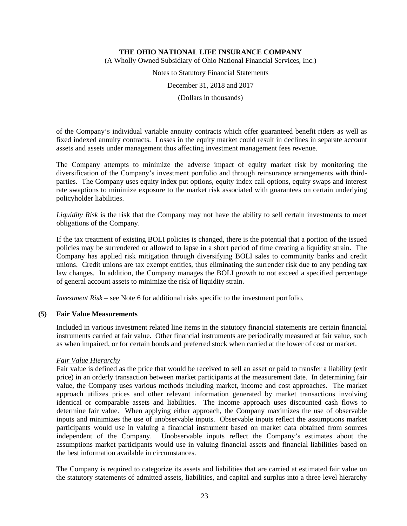(A Wholly Owned Subsidiary of Ohio National Financial Services, Inc.)

Notes to Statutory Financial Statements

December 31, 2018 and 2017

(Dollars in thousands)

of the Company's individual variable annuity contracts which offer guaranteed benefit riders as well as fixed indexed annuity contracts. Losses in the equity market could result in declines in separate account assets and assets under management thus affecting investment management fees revenue.

The Company attempts to minimize the adverse impact of equity market risk by monitoring the diversification of the Company's investment portfolio and through reinsurance arrangements with thirdparties. The Company uses equity index put options, equity index call options, equity swaps and interest rate swaptions to minimize exposure to the market risk associated with guarantees on certain underlying policyholder liabilities.

*Liquidity Risk* is the risk that the Company may not have the ability to sell certain investments to meet obligations of the Company.

If the tax treatment of existing BOLI policies is changed, there is the potential that a portion of the issued policies may be surrendered or allowed to lapse in a short period of time creating a liquidity strain. The Company has applied risk mitigation through diversifying BOLI sales to community banks and credit unions. Credit unions are tax exempt entities, thus eliminating the surrender risk due to any pending tax law changes. In addition, the Company manages the BOLI growth to not exceed a specified percentage of general account assets to minimize the risk of liquidity strain.

*Investment Risk* – see Note 6 for additional risks specific to the investment portfolio.

## **(5) Fair Value Measurements**

Included in various investment related line items in the statutory financial statements are certain financial instruments carried at fair value. Other financial instruments are periodically measured at fair value, such as when impaired, or for certain bonds and preferred stock when carried at the lower of cost or market.

## *Fair Value Hierarchy*

Fair value is defined as the price that would be received to sell an asset or paid to transfer a liability (exit price) in an orderly transaction between market participants at the measurement date. In determining fair value, the Company uses various methods including market, income and cost approaches. The market approach utilizes prices and other relevant information generated by market transactions involving identical or comparable assets and liabilities. The income approach uses discounted cash flows to determine fair value. When applying either approach, the Company maximizes the use of observable inputs and minimizes the use of unobservable inputs. Observable inputs reflect the assumptions market participants would use in valuing a financial instrument based on market data obtained from sources independent of the Company. Unobservable inputs reflect the Company's estimates about the assumptions market participants would use in valuing financial assets and financial liabilities based on the best information available in circumstances.

The Company is required to categorize its assets and liabilities that are carried at estimated fair value on the statutory statements of admitted assets, liabilities, and capital and surplus into a three level hierarchy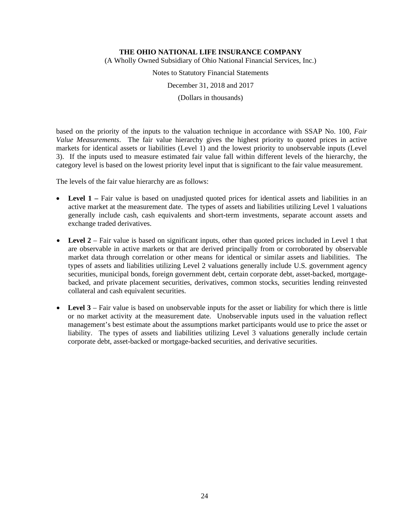(A Wholly Owned Subsidiary of Ohio National Financial Services, Inc.)

Notes to Statutory Financial Statements

December 31, 2018 and 2017

(Dollars in thousands)

based on the priority of the inputs to the valuation technique in accordance with SSAP No. 100, *Fair Value Measurements*. The fair value hierarchy gives the highest priority to quoted prices in active markets for identical assets or liabilities (Level 1) and the lowest priority to unobservable inputs (Level 3). If the inputs used to measure estimated fair value fall within different levels of the hierarchy, the category level is based on the lowest priority level input that is significant to the fair value measurement.

The levels of the fair value hierarchy are as follows:

- Level 1 Fair value is based on unadjusted quoted prices for identical assets and liabilities in an active market at the measurement date. The types of assets and liabilities utilizing Level 1 valuations generally include cash, cash equivalents and short-term investments, separate account assets and exchange traded derivatives.
- **Level 2** Fair value is based on significant inputs, other than quoted prices included in Level 1 that are observable in active markets or that are derived principally from or corroborated by observable market data through correlation or other means for identical or similar assets and liabilities. The types of assets and liabilities utilizing Level 2 valuations generally include U.S. government agency securities, municipal bonds, foreign government debt, certain corporate debt, asset-backed, mortgagebacked, and private placement securities, derivatives, common stocks, securities lending reinvested collateral and cash equivalent securities.
- Level 3 Fair value is based on unobservable inputs for the asset or liability for which there is little or no market activity at the measurement date. Unobservable inputs used in the valuation reflect management's best estimate about the assumptions market participants would use to price the asset or liability. The types of assets and liabilities utilizing Level 3 valuations generally include certain corporate debt, asset-backed or mortgage-backed securities, and derivative securities.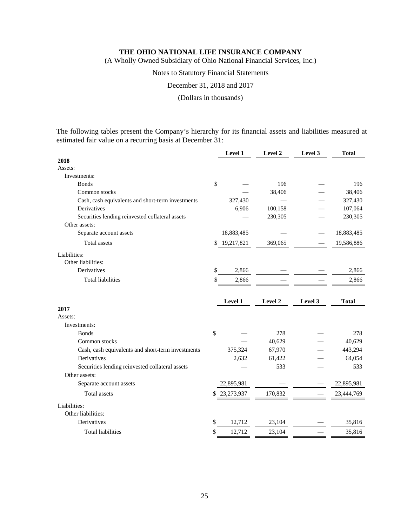(A Wholly Owned Subsidiary of Ohio National Financial Services, Inc.)

Notes to Statutory Financial Statements

December 31, 2018 and 2017

(Dollars in thousands)

The following tables present the Company's hierarchy for its financial assets and liabilities measured at estimated fair value on a recurring basis at December 31:

|                                                   |    | Level 1    | Level 2 | Level 3 | <b>Total</b> |
|---------------------------------------------------|----|------------|---------|---------|--------------|
| 2018                                              |    |            |         |         |              |
| Assets:                                           |    |            |         |         |              |
| Investments:                                      |    |            |         |         |              |
| <b>B</b> onds                                     | \$ |            | 196     |         | 196          |
| Common stocks                                     |    |            | 38,406  |         | 38,406       |
| Cash, cash equivalents and short-term investments |    | 327,430    |         |         | 327,430      |
| Derivatives                                       |    | 6,906      | 100,158 |         | 107,064      |
| Securities lending reinvested collateral assets   |    |            | 230,305 |         | 230,305      |
| Other assets:                                     |    |            |         |         |              |
| Separate account assets                           |    | 18,883,485 |         |         | 18,883,485   |
| Total assets                                      | \$ | 19,217,821 | 369,065 |         | 19,586,886   |
| Liabilities:                                      |    |            |         |         |              |
| Other liabilities:                                |    |            |         |         |              |
| Derivatives                                       | \$ | 2,866      |         |         | 2,866        |
| <b>Total liabilities</b>                          | \$ | 2,866      |         |         | 2,866        |
|                                                   |    |            |         |         |              |
|                                                   |    |            |         |         |              |
|                                                   |    | Level 1    | Level 2 | Level 3 | <b>Total</b> |
| 2017                                              |    |            |         |         |              |
| Assets:                                           |    |            |         |         |              |
| Investments:                                      |    |            |         |         |              |
| <b>Bonds</b>                                      | \$ |            | 278     |         | 278          |
| Common stocks                                     |    |            | 40,629  |         | 40,629       |
| Cash, cash equivalents and short-term investments |    | 375,324    | 67,970  |         | 443,294      |
| Derivatives                                       |    | 2,632      | 61,422  |         | 64,054       |
| Securities lending reinvested collateral assets   |    |            | 533     |         | 533          |
| Other assets:                                     |    |            |         |         |              |
| Separate account assets                           |    | 22,895,981 |         |         | 22,895,981   |
| <b>Total</b> assets                               | S  | 23,273,937 | 170,832 |         | 23,444,769   |
| Liabilities:                                      |    |            |         |         |              |
| Other liabilities:                                |    |            |         |         |              |
| Derivatives                                       | \$ | 12,712     | 23,104  |         | 35,816       |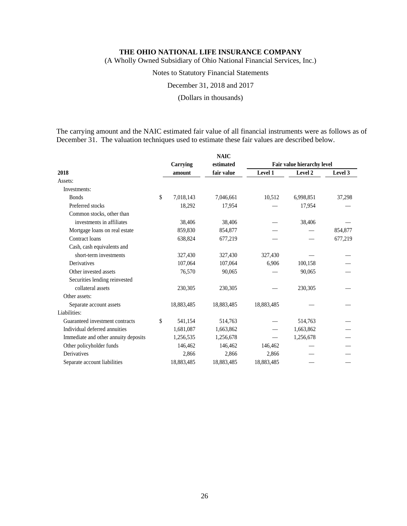(A Wholly Owned Subsidiary of Ohio National Financial Services, Inc.)

## Notes to Statutory Financial Statements

December 31, 2018 and 2017

#### (Dollars in thousands)

The carrying amount and the NAIC estimated fair value of all financial instruments were as follows as of December 31. The valuation techniques used to estimate these fair values are described below.

|                                      |                 | <b>NAIC</b> |            |                            |         |
|--------------------------------------|-----------------|-------------|------------|----------------------------|---------|
|                                      | Carrying        | estimated   |            | Fair value hierarchy level |         |
| 2018                                 | amount          | fair value  | Level 1    | Level 2                    | Level 3 |
| Assets:                              |                 |             |            |                            |         |
| Investments:                         |                 |             |            |                            |         |
| <b>Bonds</b>                         | \$<br>7,018,143 | 7,046,661   | 10,512     | 6,998,851                  | 37,298  |
| Preferred stocks                     | 18,292          | 17,954      |            | 17,954                     |         |
| Common stocks, other than            |                 |             |            |                            |         |
| investments in affiliates            | 38,406          | 38,406      |            | 38,406                     |         |
| Mortgage loans on real estate        | 859,830         | 854,877     |            |                            | 854,877 |
| Contract loans                       | 638,824         | 677,219     |            |                            | 677,219 |
| Cash, cash equivalents and           |                 |             |            |                            |         |
| short-term investments               | 327,430         | 327,430     | 327,430    |                            |         |
| Derivatives                          | 107,064         | 107,064     | 6,906      | 100,158                    |         |
| Other invested assets                | 76,570          | 90,065      |            | 90,065                     |         |
| Securities lending reinvested        |                 |             |            |                            |         |
| collateral assets                    | 230,305         | 230,305     |            | 230,305                    |         |
| Other assets:                        |                 |             |            |                            |         |
| Separate account assets              | 18,883,485      | 18,883,485  | 18,883,485 |                            |         |
| Liabilities:                         |                 |             |            |                            |         |
| Guaranteed investment contracts      | \$<br>541,154   | 514,763     |            | 514,763                    |         |
| Individual deferred annuities        | 1,681,087       | 1,663,862   |            | 1,663,862                  |         |
| Immediate and other annuity deposits | 1,256,535       | 1,256,678   |            | 1,256,678                  |         |
| Other policyholder funds             | 146,462         | 146,462     | 146,462    |                            |         |
| <b>Derivatives</b>                   | 2,866           | 2,866       | 2,866      |                            |         |
| Separate account liabilities         | 18,883,485      | 18,883,485  | 18,883,485 |                            |         |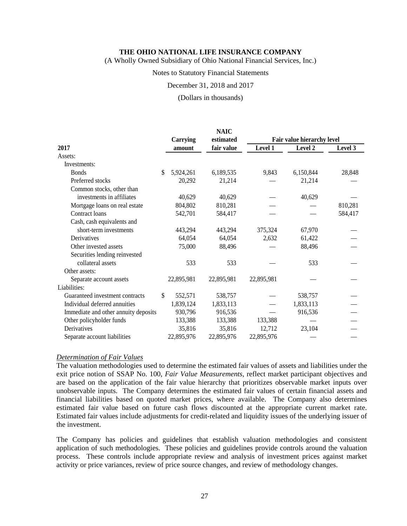(A Wholly Owned Subsidiary of Ohio National Financial Services, Inc.)

## Notes to Statutory Financial Statements

December 31, 2018 and 2017

(Dollars in thousands)

|                                      |                 | <b>NAIC</b> |                            |           |         |  |
|--------------------------------------|-----------------|-------------|----------------------------|-----------|---------|--|
|                                      | Carrying        | estimated   | Fair value hierarchy level |           |         |  |
| 2017                                 | amount          | fair value  | Level 1                    | Level 2   | Level 3 |  |
| Assets:                              |                 |             |                            |           |         |  |
| Investments:                         |                 |             |                            |           |         |  |
| <b>Bonds</b>                         | \$<br>5,924,261 | 6,189,535   | 9,843                      | 6,150,844 | 28,848  |  |
| Preferred stocks                     | 20,292          | 21,214      |                            | 21,214    |         |  |
| Common stocks, other than            |                 |             |                            |           |         |  |
| investments in affiliates            | 40,629          | 40,629      |                            | 40,629    |         |  |
| Mortgage loans on real estate        | 804,802         | 810,281     |                            |           | 810,281 |  |
| Contract loans                       | 542,701         | 584,417     |                            |           | 584,417 |  |
| Cash, cash equivalents and           |                 |             |                            |           |         |  |
| short-term investments               | 443,294         | 443,294     | 375,324                    | 67,970    |         |  |
| Derivatives                          | 64,054          | 64,054      | 2,632                      | 61,422    |         |  |
| Other invested assets                | 75,000          | 88,496      |                            | 88,496    |         |  |
| Securities lending reinvested        |                 |             |                            |           |         |  |
| collateral assets                    | 533             | 533         |                            | 533       |         |  |
| Other assets:                        |                 |             |                            |           |         |  |
| Separate account assets              | 22,895,981      | 22,895,981  | 22,895,981                 |           |         |  |
| Liabilities:                         |                 |             |                            |           |         |  |
| Guaranteed investment contracts      | \$<br>552,571   | 538,757     |                            | 538,757   |         |  |
| Individual deferred annuities        | 1,839,124       | 1,833,113   |                            | 1,833,113 |         |  |
| Immediate and other annuity deposits | 930,796         | 916,536     |                            | 916,536   |         |  |
| Other policyholder funds             | 133,388         | 133,388     | 133,388                    |           |         |  |
| Derivatives                          | 35,816          | 35,816      | 12,712                     | 23,104    |         |  |
| Separate account liabilities         | 22,895,976      | 22,895,976  | 22,895,976                 |           |         |  |

#### *Determination of Fair Values*

The valuation methodologies used to determine the estimated fair values of assets and liabilities under the exit price notion of SSAP No. 100, *Fair Value Measurements*, reflect market participant objectives and are based on the application of the fair value hierarchy that prioritizes observable market inputs over unobservable inputs. The Company determines the estimated fair values of certain financial assets and financial liabilities based on quoted market prices, where available. The Company also determines estimated fair value based on future cash flows discounted at the appropriate current market rate. Estimated fair values include adjustments for credit-related and liquidity issues of the underlying issuer of the investment.

The Company has policies and guidelines that establish valuation methodologies and consistent application of such methodologies. These policies and guidelines provide controls around the valuation process. These controls include appropriate review and analysis of investment prices against market activity or price variances, review of price source changes, and review of methodology changes.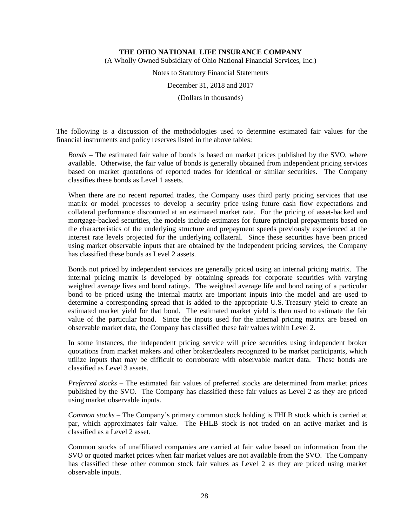(A Wholly Owned Subsidiary of Ohio National Financial Services, Inc.)

Notes to Statutory Financial Statements

December 31, 2018 and 2017

(Dollars in thousands)

The following is a discussion of the methodologies used to determine estimated fair values for the financial instruments and policy reserves listed in the above tables:

*Bonds –* The estimated fair value of bonds is based on market prices published by the SVO, where available. Otherwise, the fair value of bonds is generally obtained from independent pricing services based on market quotations of reported trades for identical or similar securities. The Company classifies these bonds as Level 1 assets.

When there are no recent reported trades, the Company uses third party pricing services that use matrix or model processes to develop a security price using future cash flow expectations and collateral performance discounted at an estimated market rate. For the pricing of asset-backed and mortgage-backed securities, the models include estimates for future principal prepayments based on the characteristics of the underlying structure and prepayment speeds previously experienced at the interest rate levels projected for the underlying collateral. Since these securities have been priced using market observable inputs that are obtained by the independent pricing services, the Company has classified these bonds as Level 2 assets.

Bonds not priced by independent services are generally priced using an internal pricing matrix. The internal pricing matrix is developed by obtaining spreads for corporate securities with varying weighted average lives and bond ratings. The weighted average life and bond rating of a particular bond to be priced using the internal matrix are important inputs into the model and are used to determine a corresponding spread that is added to the appropriate U.S. Treasury yield to create an estimated market yield for that bond. The estimated market yield is then used to estimate the fair value of the particular bond. Since the inputs used for the internal pricing matrix are based on observable market data, the Company has classified these fair values within Level 2.

In some instances, the independent pricing service will price securities using independent broker quotations from market makers and other broker/dealers recognized to be market participants, which utilize inputs that may be difficult to corroborate with observable market data. These bonds are classified as Level 3 assets.

*Preferred stocks* – The estimated fair values of preferred stocks are determined from market prices published by the SVO. The Company has classified these fair values as Level 2 as they are priced using market observable inputs.

*Common stocks –* The Company's primary common stock holding is FHLB stock which is carried at par, which approximates fair value. The FHLB stock is not traded on an active market and is classified as a Level 2 asset.

Common stocks of unaffiliated companies are carried at fair value based on information from the SVO or quoted market prices when fair market values are not available from the SVO. The Company has classified these other common stock fair values as Level 2 as they are priced using market observable inputs.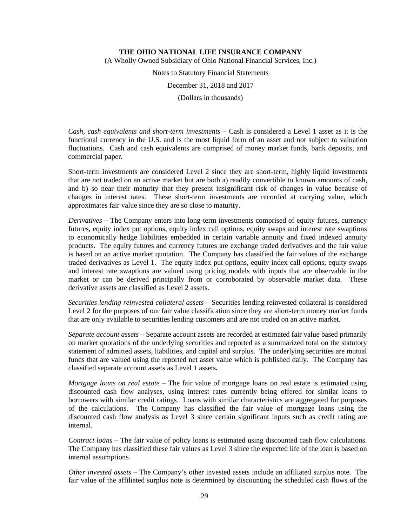(A Wholly Owned Subsidiary of Ohio National Financial Services, Inc.)

Notes to Statutory Financial Statements

December 31, 2018 and 2017

(Dollars in thousands)

*Cash, cash equivalents and short-term investments –* Cash is considered a Level 1 asset as it is the functional currency in the U.S. and is the most liquid form of an asset and not subject to valuation fluctuations. Cash and cash equivalents are comprised of money market funds, bank deposits, and commercial paper.

Short-term investments are considered Level 2 since they are short-term, highly liquid investments that are not traded on an active market but are both a) readily convertible to known amounts of cash, and b) so near their maturity that they present insignificant risk of changes in value because of changes in interest rates. These short-term investments are recorded at carrying value, which approximates fair value since they are so close to maturity.

*Derivatives –* The Company enters into long-term investments comprised of equity futures, currency futures, equity index put options, equity index call options, equity swaps and interest rate swaptions to economically hedge liabilities embedded in certain variable annuity and fixed indexed annuity products. The equity futures and currency futures are exchange traded derivatives and the fair value is based on an active market quotation. The Company has classified the fair values of the exchange traded derivatives as Level 1. The equity index put options, equity index call options, equity swaps and interest rate swaptions are valued using pricing models with inputs that are observable in the market or can be derived principally from or corroborated by observable market data. These derivative assets are classified as Level 2 assets.

*Securities lending reinvested collateral assets –* Securities lending reinvested collateral is considered Level 2 for the purposes of our fair value classification since they are short-term money market funds that are only available to securities lending customers and are not traded on an active market.

*Separate account assets* – Separate account assets are recorded at estimated fair value based primarily on market quotations of the underlying securities and reported as a summarized total on the statutory statement of admitted assets, liabilities, and capital and surplus. The underlying securities are mutual funds that are valued using the reported net asset value which is published daily. The Company has classified separate account assets as Level 1 assets*.*

*Mortgage loans on real estate* – The fair value of mortgage loans on real estate is estimated using discounted cash flow analyses, using interest rates currently being offered for similar loans to borrowers with similar credit ratings. Loans with similar characteristics are aggregated for purposes of the calculations. The Company has classified the fair value of mortgage loans using the discounted cash flow analysis as Level 3 since certain significant inputs such as credit rating are internal.

*Contract loans* – The fair value of policy loans is estimated using discounted cash flow calculations. The Company has classified these fair values as Level 3 since the expected life of the loan is based on internal assumptions.

*Other invested assets* – The Company's other invested assets include an affiliated surplus note. The fair value of the affiliated surplus note is determined by discounting the scheduled cash flows of the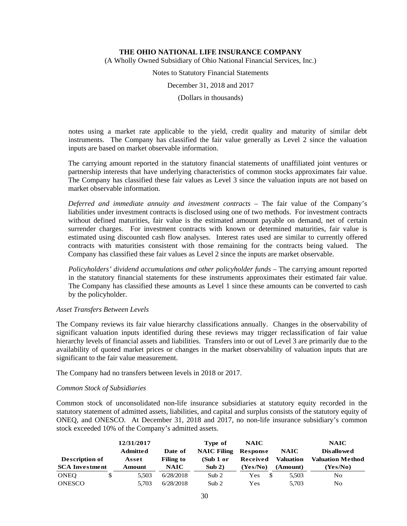(A Wholly Owned Subsidiary of Ohio National Financial Services, Inc.)

Notes to Statutory Financial Statements

December 31, 2018 and 2017

(Dollars in thousands)

notes using a market rate applicable to the yield, credit quality and maturity of similar debt instruments. The Company has classified the fair value generally as Level 2 since the valuation inputs are based on market observable information.

The carrying amount reported in the statutory financial statements of unaffiliated joint ventures or partnership interests that have underlying characteristics of common stocks approximates fair value. The Company has classified these fair values as Level 3 since the valuation inputs are not based on market observable information.

*Deferred and immediate annuity and investment contracts –* The fair value of the Company's liabilities under investment contracts is disclosed using one of two methods. For investment contracts without defined maturities, fair value is the estimated amount payable on demand, net of certain surrender charges. For investment contracts with known or determined maturities, fair value is estimated using discounted cash flow analyses. Interest rates used are similar to currently offered contracts with maturities consistent with those remaining for the contracts being valued. The Company has classified these fair values as Level 2 since the inputs are market observable.

*Policyholders' dividend accumulations and other policyholder funds* – The carrying amount reported in the statutory financial statements for these instruments approximates their estimated fair value. The Company has classified these amounts as Level 1 since these amounts can be converted to cash by the policyholder.

## *Asset Transfers Between Levels*

The Company reviews its fair value hierarchy classifications annually. Changes in the observability of significant valuation inputs identified during these reviews may trigger reclassification of fair value hierarchy levels of financial assets and liabilities. Transfers into or out of Level 3 are primarily due to the availability of quoted market prices or changes in the market observability of valuation inputs that are significant to the fair value measurement.

The Company had no transfers between levels in 2018 or 2017.

## *Common Stock of Subsidiaries*

Common stock of unconsolidated non-life insurance subsidiaries at statutory equity recorded in the statutory statement of admitted assets, liabilities, and capital and surplus consists of the statutory equity of ONEQ, and ONESCO. At December 31, 2018 and 2017, no non-life insurance subsidiary's common stock exceeded 10% of the Company's admitted assets.

|                       | 12/31/2017      |                  | Type of            | <b>NAIC</b> |                  | <b>NAIC</b>             |
|-----------------------|-----------------|------------------|--------------------|-------------|------------------|-------------------------|
|                       | <b>Admitted</b> | Date of          | <b>NAIC Filing</b> | Response    | <b>NAIC</b>      | <b>Disallowed</b>       |
| <b>Description of</b> | Asset           | <b>Filing to</b> | (Sub 1 or          | Received    | <b>Valuation</b> | <b>Valuation Method</b> |
| <b>SCA Investment</b> | Amount          | <b>NAIC</b>      | Sub 2)             | (Yes/No)    | (Amount)         | (Yes/No)                |
| <b>ONEO</b>           | 5.503           | 6/28/2018        | Sub 2              | -S<br>Yes   | 5.503            | No                      |
| <b>ONESCO</b>         | 5.703           | 6/28/2018        | Sub 2              | Yes         | 5.703            | No                      |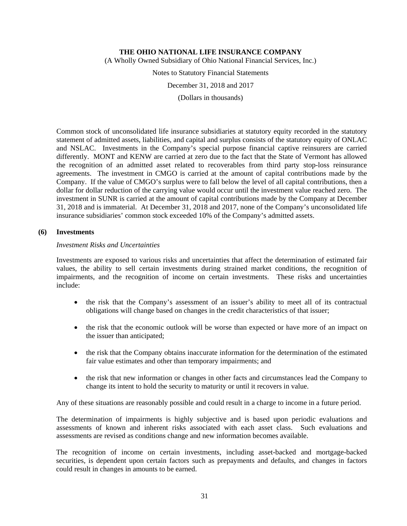(A Wholly Owned Subsidiary of Ohio National Financial Services, Inc.)

Notes to Statutory Financial Statements

December 31, 2018 and 2017

(Dollars in thousands)

Common stock of unconsolidated life insurance subsidiaries at statutory equity recorded in the statutory statement of admitted assets, liabilities, and capital and surplus consists of the statutory equity of ONLAC and NSLAC. Investments in the Company's special purpose financial captive reinsurers are carried differently. MONT and KENW are carried at zero due to the fact that the State of Vermont has allowed the recognition of an admitted asset related to recoverables from third party stop-loss reinsurance agreements. The investment in CMGO is carried at the amount of capital contributions made by the Company. If the value of CMGO's surplus were to fall below the level of all capital contributions, then a dollar for dollar reduction of the carrying value would occur until the investment value reached zero. The investment in SUNR is carried at the amount of capital contributions made by the Company at December 31, 2018 and is immaterial. At December 31, 2018 and 2017, none of the Company's unconsolidated life insurance subsidiaries' common stock exceeded 10% of the Company's admitted assets.

## **(6) Investments**

## *Investment Risks and Uncertainties*

Investments are exposed to various risks and uncertainties that affect the determination of estimated fair values, the ability to sell certain investments during strained market conditions, the recognition of impairments, and the recognition of income on certain investments. These risks and uncertainties include:

- the risk that the Company's assessment of an issuer's ability to meet all of its contractual obligations will change based on changes in the credit characteristics of that issuer;
- the risk that the economic outlook will be worse than expected or have more of an impact on the issuer than anticipated;
- the risk that the Company obtains inaccurate information for the determination of the estimated fair value estimates and other than temporary impairments; and
- the risk that new information or changes in other facts and circumstances lead the Company to change its intent to hold the security to maturity or until it recovers in value.

Any of these situations are reasonably possible and could result in a charge to income in a future period.

The determination of impairments is highly subjective and is based upon periodic evaluations and assessments of known and inherent risks associated with each asset class. Such evaluations and assessments are revised as conditions change and new information becomes available.

The recognition of income on certain investments, including asset-backed and mortgage-backed securities, is dependent upon certain factors such as prepayments and defaults, and changes in factors could result in changes in amounts to be earned.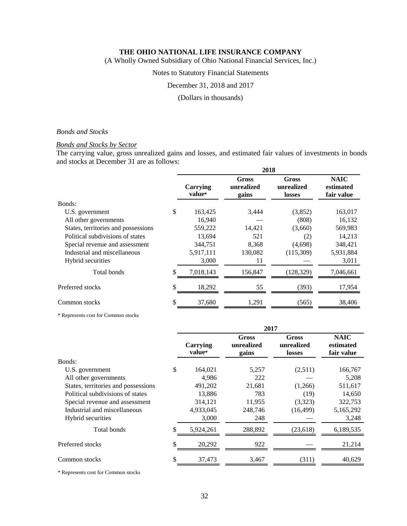(A Wholly Owned Subsidiary of Ohio National Financial Services, Inc.)

## Notes to Statutory Financial Statements

December 31, 2018 and 2017

(Dollars in thousands)

## *Bonds and Stocks*

## *Bonds and Stocks by Sector*

The carrying value, gross unrealized gains and losses, and estimated fair values of investments in bonds and stocks at December 31 are as follows:

| 2018               |                                     |                                      |                                        |  |  |
|--------------------|-------------------------------------|--------------------------------------|----------------------------------------|--|--|
| Carrying<br>value* | <b>Gross</b><br>unrealized<br>gains | <b>Gross</b><br>unrealized<br>losses | <b>NAIC</b><br>estimated<br>fair value |  |  |
|                    |                                     |                                      |                                        |  |  |
| \$<br>163,425      | 3,444                               | (3,852)                              | 163,017                                |  |  |
| 16,940             |                                     | (808)                                | 16,132                                 |  |  |
| 559,222            | 14,421                              | (3,660)                              | 569,983                                |  |  |
| 13,694             | 521                                 | (2)                                  | 14,213                                 |  |  |
| 344,751            | 8,368                               | (4,698)                              | 348,421                                |  |  |
| 5,917,111          | 130,082                             | (115,309)                            | 5,931,884                              |  |  |
| 3,000              | 11                                  |                                      | 3,011                                  |  |  |
| \$<br>7,018,143    | 156,847                             | (128, 329)                           | 7,046,661                              |  |  |
| \$<br>18,292       | 55                                  | (393)                                | 17,954                                 |  |  |
| \$<br>37,680       | 1,291                               | (565)                                | 38,406                                 |  |  |
|                    |                                     |                                      |                                        |  |  |

\* Represents cost for Common stocks

|                                     |    | 2017               |                              |                               |                                        |  |  |
|-------------------------------------|----|--------------------|------------------------------|-------------------------------|----------------------------------------|--|--|
|                                     |    | Carrying<br>value* | Gross<br>unrealized<br>gains | Gross<br>unrealized<br>losses | <b>NAIC</b><br>estimated<br>fair value |  |  |
| Bonds:                              |    |                    |                              |                               |                                        |  |  |
| U.S. government                     | \$ | 164,021            | 5,257                        | (2,511)                       | 166,767                                |  |  |
| All other governments               |    | 4,986              | 222                          |                               | 5,208                                  |  |  |
| States, territories and possessions |    | 491,202            | 21,681                       | (1,266)                       | 511,617                                |  |  |
| Political subdivisions of states    |    | 13,886             | 783                          | (19)                          | 14,650                                 |  |  |
| Special revenue and assessment      |    | 314,121            | 11,955                       | (3,323)                       | 322,753                                |  |  |
| Industrial and miscellaneous        |    | 4,933,045          | 248,746                      | (16, 499)                     | 5,165,292                              |  |  |
| Hybrid securities                   |    | 3,000              | 248                          |                               | 3,248                                  |  |  |
| Total bonds                         | \$ | 5,924,261          | 288,892                      | (23,618)                      | 6,189,535                              |  |  |
| Preferred stocks                    | \$ | 20,292             | 922                          |                               | 21,214                                 |  |  |
| Common stocks                       | \$ | 37,473             | 3,467                        | (311)                         | 40,629                                 |  |  |

\* Represents cost for Common stocks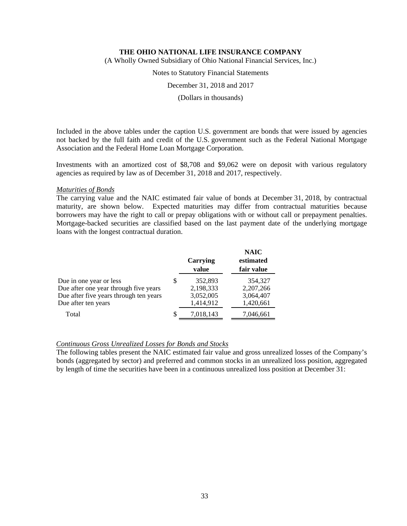(A Wholly Owned Subsidiary of Ohio National Financial Services, Inc.)

Notes to Statutory Financial Statements

December 31, 2018 and 2017

(Dollars in thousands)

Included in the above tables under the caption U.S. government are bonds that were issued by agencies not backed by the full faith and credit of the U.S. government such as the Federal National Mortgage Association and the Federal Home Loan Mortgage Corporation.

Investments with an amortized cost of \$8,708 and \$9,062 were on deposit with various regulatory agencies as required by law as of December 31, 2018 and 2017, respectively.

## *Maturities of Bonds*

The carrying value and the NAIC estimated fair value of bonds at December 31, 2018, by contractual maturity, are shown below. Expected maturities may differ from contractual maturities because borrowers may have the right to call or prepay obligations with or without call or prepayment penalties. Mortgage-backed securities are classified based on the last payment date of the underlying mortgage loans with the longest contractual duration.

|                                        |    | Carrying<br>value | <b>NAIC</b><br>estimated<br>fair value |
|----------------------------------------|----|-------------------|----------------------------------------|
| Due in one year or less                | S  | 352,893           | 354,327                                |
| Due after one year through five years  |    | 2,198,333         | 2,207,266                              |
| Due after five years through ten years |    | 3,052,005         | 3,064,407                              |
| Due after ten years                    |    | 1,414,912         | 1,420,661                              |
| Total                                  | \$ | 7,018,143         | 7,046,661                              |

## *Continuous Gross Unrealized Losses for Bonds and Stocks*

The following tables present the NAIC estimated fair value and gross unrealized losses of the Company's bonds (aggregated by sector) and preferred and common stocks in an unrealized loss position, aggregated by length of time the securities have been in a continuous unrealized loss position at December 31: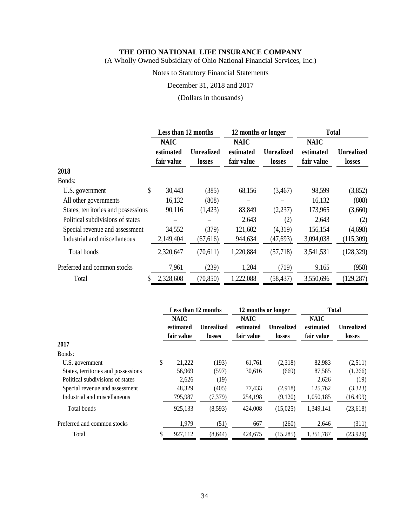(A Wholly Owned Subsidiary of Ohio National Financial Services, Inc.)

# Notes to Statutory Financial Statements

December 31, 2018 and 2017

(Dollars in thousands)

|                                     | Less than 12 months |                   | 12 months or longer |                   | <b>Total</b> |                   |
|-------------------------------------|---------------------|-------------------|---------------------|-------------------|--------------|-------------------|
|                                     | <b>NAIC</b>         |                   | <b>NAIC</b>         |                   | <b>NAIC</b>  |                   |
|                                     | estimated           | <b>Unrealized</b> | estimated           | <b>Unrealized</b> | estimated    | <b>Unrealized</b> |
|                                     | fair value          | <b>losses</b>     | fair value          | losses            | fair value   | <b>losses</b>     |
| 2018                                |                     |                   |                     |                   |              |                   |
| Bonds:                              |                     |                   |                     |                   |              |                   |
| \$<br>U.S. government               | 30,443              | (385)             | 68,156              | (3,467)           | 98,599       | (3,852)           |
| All other governments               | 16,132              | (808)             |                     |                   | 16,132       | (808)             |
| States, territories and possessions | 90,116              | (1,423)           | 83,849              | (2,237)           | 173,965      | (3,660)           |
| Political subdivisions of states    |                     |                   | 2,643               | (2)               | 2,643        | (2)               |
| Special revenue and assessment      | 34,552              | (379)             | 121,602             | (4,319)           | 156,154      | (4,698)           |
| Industrial and miscellaneous        | 2,149,404           | (67, 616)         | 944,634             | (47, 693)         | 3,094,038    | (115,309)         |
| Total bonds                         | 2,320,647           | (70,611)          | 1,220,884           | (57,718)          | 3,541,531    | (128, 329)        |
| Preferred and common stocks         | 7,961               | (239)             | 1,204               | (719)             | 9,165        | (958)             |
| Total<br>\$                         | 2,328,608           | (70, 850)         | 1,222,088           | (58, 437)         | 3,550,696    | (129, 287)        |

|                                     |    | Less than 12 months |            | 12 months or longer |                   | <b>Total</b> |                   |  |
|-------------------------------------|----|---------------------|------------|---------------------|-------------------|--------------|-------------------|--|
|                                     |    | <b>NAIC</b>         |            | <b>NAIC</b>         |                   | <b>NAIC</b>  |                   |  |
|                                     |    | estimated           | Unrealized | estimated           | <b>Unrealized</b> | estimated    | <b>Unrealized</b> |  |
|                                     |    | fair value          | losses     | fair value          | losses            | fair value   | losses            |  |
| 2017                                |    |                     |            |                     |                   |              |                   |  |
| Bonds:                              |    |                     |            |                     |                   |              |                   |  |
| U.S. government                     | \$ | 21,222              | (193)      | 61,761              | (2,318)           | 82,983       | (2,511)           |  |
| States, territories and possessions |    | 56,969              | (597)      | 30,616              | (669)             | 87,585       | (1,266)           |  |
| Political subdivisions of states    |    | 2,626               | (19)       |                     |                   | 2,626        | (19)              |  |
| Special revenue and assessment      |    | 48,329              | (405)      | 77,433              | (2,918)           | 125,762      | (3,323)           |  |
| Industrial and miscellaneous        |    | 795,987             | (7,379)    | 254,198             | (9,120)           | 1,050,185    | (16,499)          |  |
| Total bonds                         |    | 925,133             | (8,593)    | 424,008             | (15,025)          | 1.349.141    | (23, 618)         |  |
| Preferred and common stocks         |    | 1,979               | (51)       | 667                 | (260)             | 2,646        | (311)             |  |
| Total                               | S  | 927,112             | (8,644)    | 424,675             | (15,285)          | 1,351,787    | (23, 929)         |  |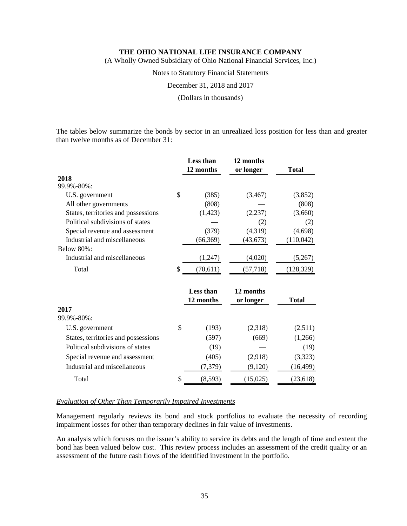(A Wholly Owned Subsidiary of Ohio National Financial Services, Inc.)

Notes to Statutory Financial Statements

December 31, 2018 and 2017

(Dollars in thousands)

The tables below summarize the bonds by sector in an unrealized loss position for less than and greater than twelve months as of December 31:

|                                     |              | <b>Less than</b> | 12 months |              |
|-------------------------------------|--------------|------------------|-----------|--------------|
|                                     |              | 12 months        | or longer | Total        |
| 2018                                |              |                  |           |              |
| 99.9%-80%:                          |              |                  |           |              |
| U.S. government                     | \$           | (385)            | (3,467)   | (3,852)      |
| All other governments               |              | (808)            |           | (808)        |
| States, territories and possessions |              | (1, 423)         | (2, 237)  | (3,660)      |
| Political subdivisions of states    |              |                  | (2)       | (2)          |
| Special revenue and assessment      |              | (379)            | (4,319)   | (4,698)      |
| Industrial and miscellaneous        |              | (66, 369)        | (43, 673) | (110,042)    |
| Below 80%:                          |              |                  |           |              |
| Industrial and miscellaneous        |              | (1,247)          | (4,020)   | (5,267)      |
| Total                               | \$           | (70,611)         | (57, 718) | (128, 329)   |
|                                     |              | <b>Less than</b> | 12 months |              |
|                                     |              | 12 months        | or longer | <b>Total</b> |
| 2017                                |              |                  |           |              |
| 99.9%-80%:                          |              |                  |           |              |
| U.S. government                     | $\mathbb{S}$ | (193)            | (2,318)   | (2,511)      |
| States, territories and possessions |              | (597)            | (669)     | (1,266)      |
| Political subdivisions of states    |              | (19)             |           | (19)         |
| Special revenue and assessment      |              | (405)            | (2,918)   | (3,323)      |
| Industrial and miscellaneous        |              | (7,379)          | (9,120)   | (16, 499)    |
| Total                               | \$           | (8,593)          | (15,025)  | (23, 618)    |

## *Evaluation of Other Than Temporarily Impaired Investments*

Management regularly reviews its bond and stock portfolios to evaluate the necessity of recording impairment losses for other than temporary declines in fair value of investments.

An analysis which focuses on the issuer's ability to service its debts and the length of time and extent the bond has been valued below cost. This review process includes an assessment of the credit quality or an assessment of the future cash flows of the identified investment in the portfolio.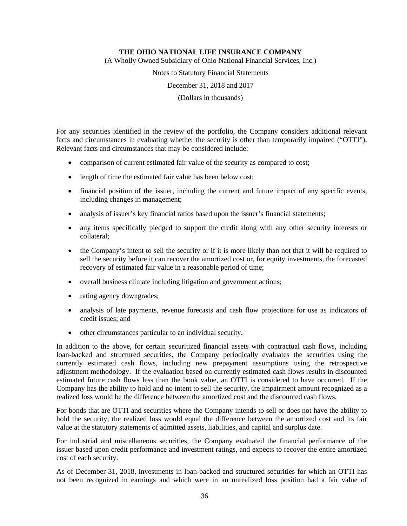(A Wholly Owned Subsidiary of Ohio National Financial Services, Inc.)

Notes to Statutory Financial Statements

December 31, 2018 and 2017

(Dollars in thousands)

For any securities identified in the review of the portfolio, the Company considers additional relevant facts and circumstances in evaluating whether the security is other than temporarily impaired ("OTTI"). Relevant facts and circumstances that may be considered include:

- comparison of current estimated fair value of the security as compared to cost;
- length of time the estimated fair value has been below cost;
- financial position of the issuer, including the current and future impact of any specific events, including changes in management;
- analysis of issuer's key financial ratios based upon the issuer's financial statements;
- any items specifically pledged to support the credit along with any other security interests or collateral;
- the Company's intent to sell the security or if it is more likely than not that it will be required to sell the security before it can recover the amortized cost or, for equity investments, the forecasted recovery of estimated fair value in a reasonable period of time;
- overall business climate including litigation and government actions;
- rating agency downgrades;
- analysis of late payments, revenue forecasts and cash flow projections for use as indicators of credit issues; and
- other circumstances particular to an individual security.

In addition to the above, for certain securitized financial assets with contractual cash flows, including loan-backed and structured securities, the Company periodically evaluates the securities using the currently estimated cash flows, including new prepayment assumptions using the retrospective adjustment methodology. If the evaluation based on currently estimated cash flows results in discounted estimated future cash flows less than the book value, an OTTI is considered to have occurred. If the Company has the ability to hold and no intent to sell the security, the impairment amount recognized as a realized loss would be the difference between the amortized cost and the discounted cash flows.

For bonds that are OTTI and securities where the Company intends to sell or does not have the ability to hold the security, the realized loss would equal the difference between the amortized cost and its fair value at the statutory statements of admitted assets, liabilities, and capital and surplus date.

For industrial and miscellaneous securities, the Company evaluated the financial performance of the issuer based upon credit performance and investment ratings, and expects to recover the entire amortized cost of each security.

As of December 31, 2018, investments in loan-backed and structured securities for which an OTTI has not been recognized in earnings and which were in an unrealized loss position had a fair value of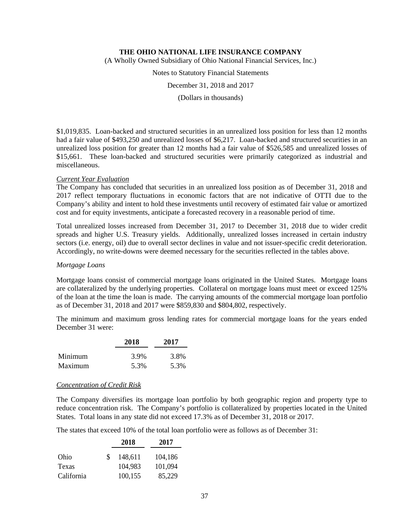(A Wholly Owned Subsidiary of Ohio National Financial Services, Inc.)

Notes to Statutory Financial Statements

December 31, 2018 and 2017

(Dollars in thousands)

\$1,019,835. Loan-backed and structured securities in an unrealized loss position for less than 12 months had a fair value of \$493,250 and unrealized losses of \$6,217. Loan-backed and structured securities in an unrealized loss position for greater than 12 months had a fair value of \$526,585 and unrealized losses of \$15,661. These loan-backed and structured securities were primarily categorized as industrial and miscellaneous.

#### *Current Year Evaluation*

The Company has concluded that securities in an unrealized loss position as of December 31, 2018 and 2017 reflect temporary fluctuations in economic factors that are not indicative of OTTI due to the Company's ability and intent to hold these investments until recovery of estimated fair value or amortized cost and for equity investments, anticipate a forecasted recovery in a reasonable period of time.

Total unrealized losses increased from December 31, 2017 to December 31, 2018 due to wider credit spreads and higher U.S. Treasury yields. Additionally, unrealized losses increased in certain industry sectors (i.e. energy, oil) due to overall sector declines in value and not issuer-specific credit deterioration. Accordingly, no write-downs were deemed necessary for the securities reflected in the tables above.

#### *Mortgage Loans*

Mortgage loans consist of commercial mortgage loans originated in the United States. Mortgage loans are collateralized by the underlying properties. Collateral on mortgage loans must meet or exceed 125% of the loan at the time the loan is made. The carrying amounts of the commercial mortgage loan portfolio as of December 31, 2018 and 2017 were \$859,830 and \$804,802, respectively.

The minimum and maximum gross lending rates for commercial mortgage loans for the years ended December 31 were:

|         | 2018 | 2017 |  |
|---------|------|------|--|
| Minimum | 3.9% | 3.8% |  |
| Maximum | 5.3% | 5.3% |  |

#### *Concentration of Credit Risk*

The Company diversifies its mortgage loan portfolio by both geographic region and property type to reduce concentration risk. The Company's portfolio is collateralized by properties located in the United States. Total loans in any state did not exceed 17.3% as of December 31, 2018 or 2017.

The states that exceed 10% of the total loan portfolio were as follows as of December 31:

|            |     | 2018    | 2017    |
|------------|-----|---------|---------|
| Ohio       | \$. | 148,611 | 104,186 |
| Texas      |     | 104,983 | 101,094 |
| California |     | 100,155 | 85,229  |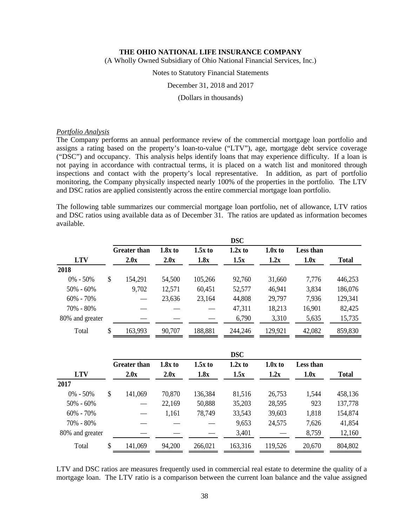(A Wholly Owned Subsidiary of Ohio National Financial Services, Inc.)

#### Notes to Statutory Financial Statements

December 31, 2018 and 2017

(Dollars in thousands)

#### *Portfolio Analysis*

The Company performs an annual performance review of the commercial mortgage loan portfolio and assigns a rating based on the property's loan-to-value ("LTV"), age, mortgage debt service coverage ("DSC") and occupancy. This analysis helps identify loans that may experience difficulty. If a loan is not paying in accordance with contractual terms, it is placed on a watch list and monitored through inspections and contact with the property's local representative. In addition, as part of portfolio monitoring, the Company physically inspected nearly 100% of the properties in the portfolio. The LTV and DSC ratios are applied consistently across the entire commercial mortgage loan portfolio.

The following table summarizes our commercial mortgage loan portfolio, net of allowance, LTV ratios and DSC ratios using available data as of December 31. The ratios are updated as information becomes available.

|                 |                     |           |           | <b>DSC</b> |           |           |              |
|-----------------|---------------------|-----------|-----------|------------|-----------|-----------|--------------|
|                 | <b>Greater than</b> | $1.8x$ to | $1.5x$ to | $1.2x$ to  | $1.0x$ to | Less than |              |
| <b>LTV</b>      | 2.0x                | 2.0x      | 1.8x      | 1.5x       | 1.2x      | 1.0x      | <b>Total</b> |
| 2018            |                     |           |           |            |           |           |              |
| $0\% - 50\%$    | \$<br>154,291       | 54,500    | 105,266   | 92,760     | 31,660    | 7,776     | 446,253      |
| $50\% - 60\%$   | 9,702               | 12,571    | 60,451    | 52,577     | 46,941    | 3,834     | 186,076      |
| $60\% - 70\%$   |                     | 23,636    | 23,164    | 44,808     | 29,797    | 7,936     | 129,341      |
| 70% - 80%       |                     |           |           | 47,311     | 18,213    | 16,901    | 82,425       |
| 80% and greater |                     |           |           | 6,790      | 3,310     | 5,635     | 15,735       |
| Total           | \$<br>163,993       | 90,707    | 188,881   | 244,246    | 129,921   | 42,082    | 859,830      |

|                 | <b>DSC</b> |                     |           |           |           |           |           |              |
|-----------------|------------|---------------------|-----------|-----------|-----------|-----------|-----------|--------------|
|                 |            | <b>Greater than</b> | $1.8x$ to | $1.5x$ to | $1.2x$ to | $1.0x$ to | Less than |              |
| <b>LTV</b>      |            | 2.0x                | 2.0x      | 1.8x      | 1.5x      | 1.2x      | 1.0x      | <b>Total</b> |
| 2017            |            |                     |           |           |           |           |           |              |
| $0\% - 50\%$    | \$         | 141,069             | 70,870    | 136,384   | 81,516    | 26,753    | 1,544     | 458,136      |
| $50\% - 60\%$   |            |                     | 22,169    | 50,888    | 35,203    | 28,595    | 923       | 137,778      |
| $60\% - 70\%$   |            |                     | 1,161     | 78,749    | 33,543    | 39,603    | 1,818     | 154,874      |
| 70% - 80%       |            |                     |           |           | 9,653     | 24,575    | 7,626     | 41,854       |
| 80% and greater |            |                     |           |           | 3,401     |           | 8,759     | 12,160       |
| Total           | S          | 141,069             | 94,200    | 266,021   | 163,316   | 119,526   | 20,670    | 804,802      |

LTV and DSC ratios are measures frequently used in commercial real estate to determine the quality of a mortgage loan. The LTV ratio is a comparison between the current loan balance and the value assigned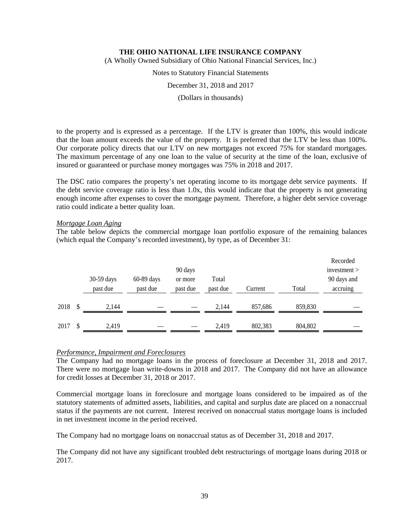(A Wholly Owned Subsidiary of Ohio National Financial Services, Inc.)

Notes to Statutory Financial Statements

December 31, 2018 and 2017

(Dollars in thousands)

to the property and is expressed as a percentage. If the LTV is greater than 100%, this would indicate that the loan amount exceeds the value of the property. It is preferred that the LTV be less than 100%. Our corporate policy directs that our LTV on new mortgages not exceed 75% for standard mortgages. The maximum percentage of any one loan to the value of security at the time of the loan, exclusive of insured or guaranteed or purchase money mortgages was 75% in 2018 and 2017.

The DSC ratio compares the property's net operating income to its mortgage debt service payments. If the debt service coverage ratio is less than 1.0x, this would indicate that the property is not generating enough income after expenses to cover the mortgage payment. Therefore, a higher debt service coverage ratio could indicate a better quality loan.

#### *Mortgage Loan Aging*

The table below depicts the commercial mortgage loan portfolio exposure of the remaining balances (which equal the Company's recorded investment), by type, as of December 31:

|      | 30-59 days<br>past due | $60-89$ days<br>past due | 90 days<br>or more<br>past due | Total<br>past due | Current | Total   | Recorded<br>investment<br>90 days and<br>accruing |
|------|------------------------|--------------------------|--------------------------------|-------------------|---------|---------|---------------------------------------------------|
| 2018 | 2.144                  |                          |                                | 2,144             | 857,686 | 859,830 |                                                   |
| 2017 | 2,419                  |                          |                                | 2.419             | 802,383 | 804,802 |                                                   |

### *Performance, Impairment and Foreclosures*

The Company had no mortgage loans in the process of foreclosure at December 31, 2018 and 2017. There were no mortgage loan write-downs in 2018 and 2017. The Company did not have an allowance for credit losses at December 31, 2018 or 2017.

Commercial mortgage loans in foreclosure and mortgage loans considered to be impaired as of the statutory statements of admitted assets, liabilities, and capital and surplus date are placed on a nonaccrual status if the payments are not current. Interest received on nonaccrual status mortgage loans is included in net investment income in the period received.

The Company had no mortgage loans on nonaccrual status as of December 31, 2018 and 2017.

The Company did not have any significant troubled debt restructurings of mortgage loans during 2018 or 2017.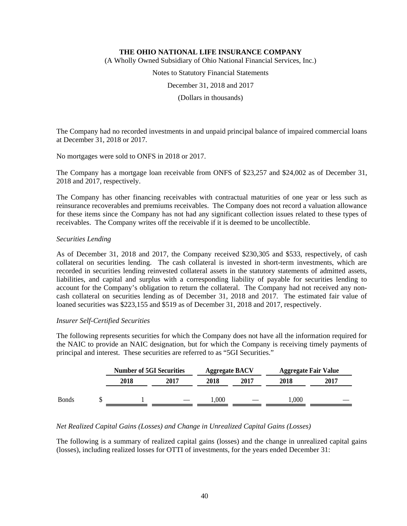(A Wholly Owned Subsidiary of Ohio National Financial Services, Inc.)

Notes to Statutory Financial Statements

December 31, 2018 and 2017

(Dollars in thousands)

The Company had no recorded investments in and unpaid principal balance of impaired commercial loans at December 31, 2018 or 2017.

No mortgages were sold to ONFS in 2018 or 2017.

The Company has a mortgage loan receivable from ONFS of \$23,257 and \$24,002 as of December 31, 2018 and 2017, respectively.

The Company has other financing receivables with contractual maturities of one year or less such as reinsurance recoverables and premiums receivables. The Company does not record a valuation allowance for these items since the Company has not had any significant collection issues related to these types of receivables. The Company writes off the receivable if it is deemed to be uncollectible.

## *Securities Lending*

As of December 31, 2018 and 2017, the Company received \$230,305 and \$533, respectively, of cash collateral on securities lending. The cash collateral is invested in short-term investments, which are recorded in securities lending reinvested collateral assets in the statutory statements of admitted assets, liabilities, and capital and surplus with a corresponding liability of payable for securities lending to account for the Company's obligation to return the collateral. The Company had not received any noncash collateral on securities lending as of December 31, 2018 and 2017. The estimated fair value of loaned securities was \$223,155 and \$519 as of December 31, 2018 and 2017, respectively.

#### *Insurer Self-Certified Securities*

The following represents securities for which the Company does not have all the information required for the NAIC to provide an NAIC designation, but for which the Company is receiving timely payments of principal and interest. These securities are referred to as "5GI Securities."

|              | <b>Number of 5GI Securities</b> |      | <b>Aggregate BACV</b> |      | <b>Aggregate Fair Value</b> |      |
|--------------|---------------------------------|------|-----------------------|------|-----------------------------|------|
|              | 2018                            | 2017 | 2018                  | 2017 | 2018                        | 2017 |
| <b>Bonds</b> |                                 |      | $000$ .               |      | ,000                        |      |

# *Net Realized Capital Gains (Losses) and Change in Unrealized Capital Gains (Losses)*

The following is a summary of realized capital gains (losses) and the change in unrealized capital gains (losses), including realized losses for OTTI of investments, for the years ended December 31: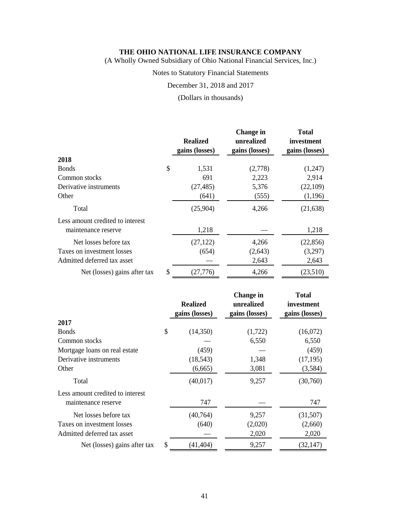(A Wholly Owned Subsidiary of Ohio National Financial Services, Inc.)

# Notes to Statutory Financial Statements

December 31, 2018 and 2017

(Dollars in thousands)

|                                                         | <b>Realized</b><br>gains (losses) | <b>Change in</b><br>unrealized<br>gains (losses) | <b>Total</b><br>investment<br>gains (losses) |
|---------------------------------------------------------|-----------------------------------|--------------------------------------------------|----------------------------------------------|
| 2018                                                    |                                   |                                                  |                                              |
| <b>Bonds</b>                                            | \$<br>1,531                       | (2,778)                                          | (1,247)                                      |
| Common stocks                                           | 691                               | 2,223                                            | 2,914                                        |
| Derivative instruments                                  | (27, 485)                         | 5,376                                            | (22,109)                                     |
| Other                                                   | (641)                             | (555)                                            | (1,196)                                      |
| Total                                                   | (25,904)                          | 4,266                                            | (21, 638)                                    |
| Less amount credited to interest<br>maintenance reserve | 1,218                             |                                                  | 1,218                                        |
|                                                         |                                   |                                                  |                                              |
| Net losses before tax                                   | (27, 122)                         | 4,266                                            | (22, 856)                                    |
| Taxes on investment losses                              | (654)                             | (2,643)                                          | (3,297)                                      |
| Admitted deferred tax asset                             |                                   | 2,643                                            | 2,643                                        |
| Net (losses) gains after tax                            | \$<br>(27, 776)                   | 4,266                                            | (23,510)                                     |

|                                                         | <b>Realized</b><br>gains (losses) | <b>Change</b> in<br>unrealized<br>gains (losses) | <b>Total</b><br>investment<br>gains (losses) |
|---------------------------------------------------------|-----------------------------------|--------------------------------------------------|----------------------------------------------|
| 2017                                                    |                                   |                                                  |                                              |
| <b>Bonds</b>                                            | \$<br>(14,350)                    | (1,722)                                          | (16,072)                                     |
| Common stocks                                           |                                   | 6,550                                            | 6,550                                        |
| Mortgage loans on real estate                           | (459)                             |                                                  | (459)                                        |
| Derivative instruments                                  | (18, 543)                         | 1,348                                            | (17, 195)                                    |
| Other                                                   | (6,665)                           | 3,081                                            | (3,584)                                      |
| Total                                                   | (40,017)                          | 9,257                                            | (30,760)                                     |
| Less amount credited to interest<br>maintenance reserve | 747                               |                                                  | 747                                          |
| Net losses before tax                                   | (40,764)                          | 9,257                                            | (31,507)                                     |
| Taxes on investment losses                              | (640)                             | (2,020)                                          | (2,660)                                      |
| Admitted deferred tax asset                             |                                   | 2,020                                            | 2,020                                        |
| Net (losses) gains after tax                            | \$<br>(41, 404)                   | 9,257                                            | (32, 147)                                    |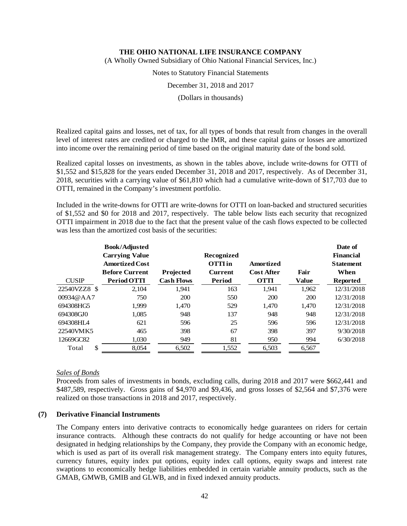(A Wholly Owned Subsidiary of Ohio National Financial Services, Inc.)

Notes to Statutory Financial Statements

December 31, 2018 and 2017

(Dollars in thousands)

Realized capital gains and losses, net of tax, for all types of bonds that result from changes in the overall level of interest rates are credited or charged to the IMR, and these capital gains or losses are amortized into income over the remaining period of time based on the original maturity date of the bond sold.

Realized capital losses on investments, as shown in the tables above, include write-downs for OTTI of \$1,552 and \$15,828 for the years ended December 31, 2018 and 2017, respectively. As of December 31, 2018, securities with a carrying value of \$61,810 which had a cumulative write-down of \$17,703 due to OTTI, remained in the Company's investment portfolio.

Included in the write-downs for OTTI are write-downs for OTTI on loan-backed and structured securities of \$1,552 and \$0 for 2018 and 2017, respectively. The table below lists each security that recognized OTTI impairment in 2018 due to the fact that the present value of the cash flows expected to be collected was less than the amortized cost basis of the securities:

|              | <b>Book/Adjusted</b><br><b>Carrying Value</b><br><b>Amortized Cost</b><br><b>Before Current</b> | <b>Projected</b>  | Recognized<br><b>OTTI</b> in<br><b>Current</b> | Amortized<br><b>Cost After</b> | Fair         | Date of<br><b>Financial</b><br><b>Statement</b><br>When |
|--------------|-------------------------------------------------------------------------------------------------|-------------------|------------------------------------------------|--------------------------------|--------------|---------------------------------------------------------|
| <b>CUSIP</b> | Period OTTI                                                                                     | <b>Cash Flows</b> | <b>Period</b>                                  | <b>OTTI</b>                    | <b>Value</b> | <b>Reported</b>                                         |
| 22540VZZ8 \$ | 2.104                                                                                           | 1,941             | 163                                            | 1.941                          | 1.962        | 12/31/2018                                              |
| 00934@AA7    | 750                                                                                             | 200               | 550                                            | 200                            | 200          | 12/31/2018                                              |
| 694308HG5    | 1.999                                                                                           | 1.470             | 529                                            | 1.470                          | 1.470        | 12/31/2018                                              |
| 694308GJ0    | 1,085                                                                                           | 948               | 137                                            | 948                            | 948          | 12/31/2018                                              |
| 694308HI A   | 621                                                                                             | 596               | 25                                             | 596                            | 596          | 12/31/2018                                              |
| 22540VMK5    | 465                                                                                             | 398               | 67                                             | 398                            | 397          | 9/30/2018                                               |
| 12669GC82    | 1,030                                                                                           | 949               | 81                                             | 950                            | 994          | 6/30/2018                                               |
| \$<br>Total  | 8,054                                                                                           | 6,502             | 1,552                                          | 6,503                          | 6,567        |                                                         |

# *Sales of Bonds*

Proceeds from sales of investments in bonds, excluding calls, during 2018 and 2017 were \$662,441 and \$487,589, respectively. Gross gains of \$4,970 and \$9,436, and gross losses of \$2,564 and \$7,376 were realized on those transactions in 2018 and 2017, respectively.

#### **(7) Derivative Financial Instruments**

The Company enters into derivative contracts to economically hedge guarantees on riders for certain insurance contracts. Although these contracts do not qualify for hedge accounting or have not been designated in hedging relationships by the Company, they provide the Company with an economic hedge, which is used as part of its overall risk management strategy. The Company enters into equity futures, currency futures, equity index put options, equity index call options, equity swaps and interest rate swaptions to economically hedge liabilities embedded in certain variable annuity products, such as the GMAB, GMWB, GMIB and GLWB, and in fixed indexed annuity products.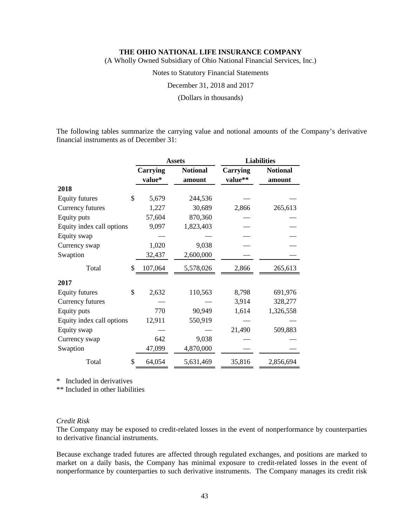(A Wholly Owned Subsidiary of Ohio National Financial Services, Inc.)

Notes to Statutory Financial Statements

December 31, 2018 and 2017

(Dollars in thousands)

The following tables summarize the carrying value and notional amounts of the Company's derivative financial instruments as of December 31:

|                           |                    | <b>Assets</b>             |                     | <b>Liabilities</b>        |
|---------------------------|--------------------|---------------------------|---------------------|---------------------------|
|                           | Carrying<br>value* | <b>Notional</b><br>amount | Carrying<br>value** | <b>Notional</b><br>amount |
| 2018                      |                    |                           |                     |                           |
| <b>Equity futures</b>     | \$<br>5,679        | 244,536                   |                     |                           |
| Currency futures          | 1,227              | 30,689                    | 2,866               | 265,613                   |
| Equity puts               | 57,604             | 870,360                   |                     |                           |
| Equity index call options | 9,097              | 1,823,403                 |                     |                           |
| Equity swap               |                    |                           |                     |                           |
| Currency swap             | 1,020              | 9,038                     |                     |                           |
| Swaption                  | 32,437             | 2,600,000                 |                     |                           |
| Total                     | \$<br>107,064      | 5,578,026                 | 2,866               | 265,613                   |
| 2017                      |                    |                           |                     |                           |
| <b>Equity futures</b>     | \$<br>2,632        | 110,563                   | 8,798               | 691,976                   |
| Currency futures          |                    |                           | 3,914               | 328,277                   |
| Equity puts               | 770                | 90,949                    | 1,614               | 1,326,558                 |
| Equity index call options | 12,911             | 550,919                   |                     |                           |
| Equity swap               |                    |                           | 21,490              | 509,883                   |
| Currency swap             | 642                | 9,038                     |                     |                           |
| Swaption                  | 47,099             | 4,870,000                 |                     |                           |
| Total                     | \$<br>64,054       | 5,631,469                 | 35,816              | 2,856,694                 |

\* Included in derivatives

\*\* Included in other liabilities

## *Credit Risk*

The Company may be exposed to credit-related losses in the event of nonperformance by counterparties to derivative financial instruments.

Because exchange traded futures are affected through regulated exchanges, and positions are marked to market on a daily basis, the Company has minimal exposure to credit-related losses in the event of nonperformance by counterparties to such derivative instruments. The Company manages its credit risk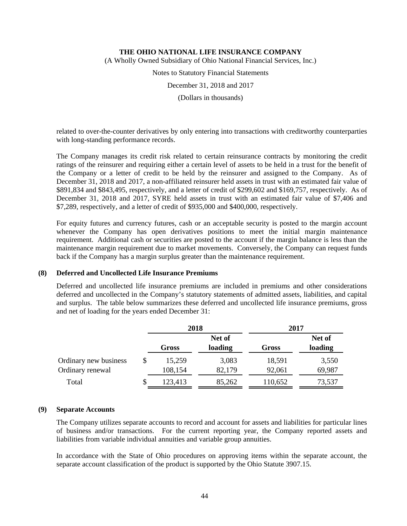(A Wholly Owned Subsidiary of Ohio National Financial Services, Inc.)

Notes to Statutory Financial Statements

December 31, 2018 and 2017

(Dollars in thousands)

related to over-the-counter derivatives by only entering into transactions with creditworthy counterparties with long-standing performance records.

The Company manages its credit risk related to certain reinsurance contracts by monitoring the credit ratings of the reinsurer and requiring either a certain level of assets to be held in a trust for the benefit of the Company or a letter of credit to be held by the reinsurer and assigned to the Company. As of December 31, 2018 and 2017, a non-affiliated reinsurer held assets in trust with an estimated fair value of \$891,834 and \$843,495, respectively, and a letter of credit of \$299,602 and \$169,757, respectively. As of December 31, 2018 and 2017, SYRE held assets in trust with an estimated fair value of \$7,406 and \$7,289, respectively, and a letter of credit of \$935,000 and \$400,000, respectively.

For equity futures and currency futures, cash or an acceptable security is posted to the margin account whenever the Company has open derivatives positions to meet the initial margin maintenance requirement. Additional cash or securities are posted to the account if the margin balance is less than the maintenance margin requirement due to market movements. Conversely, the Company can request funds back if the Company has a margin surplus greater than the maintenance requirement.

## **(8) Deferred and Uncollected Life Insurance Premiums**

Deferred and uncollected life insurance premiums are included in premiums and other considerations deferred and uncollected in the Company's statutory statements of admitted assets, liabilities, and capital and surplus. The table below summarizes these deferred and uncollected life insurance premiums, gross and net of loading for the years ended December 31:

|                                           | 2018              |                   | 2017             |                   |  |
|-------------------------------------------|-------------------|-------------------|------------------|-------------------|--|
|                                           | Gross             | Net of<br>loading | Gross            | Net of<br>loading |  |
| Ordinary new business<br>Ordinary renewal | 15,259<br>108,154 | 3,083<br>82,179   | 18,591<br>92,061 | 3,550<br>69,987   |  |
| Total                                     | \$<br>123,413     | 85,262            | 110,652          | 73,537            |  |

# **(9) Separate Accounts**

The Company utilizes separate accounts to record and account for assets and liabilities for particular lines of business and/or transactions. For the current reporting year, the Company reported assets and liabilities from variable individual annuities and variable group annuities.

In accordance with the State of Ohio procedures on approving items within the separate account, the separate account classification of the product is supported by the Ohio Statute 3907.15.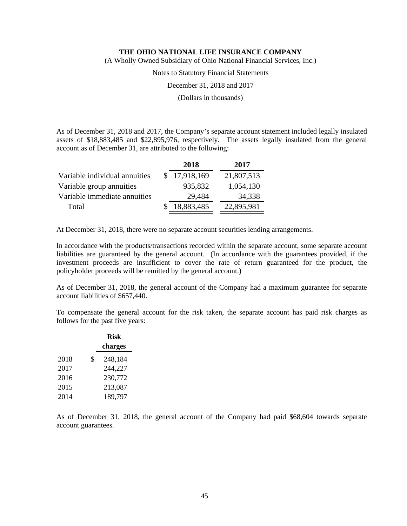(A Wholly Owned Subsidiary of Ohio National Financial Services, Inc.)

Notes to Statutory Financial Statements

December 31, 2018 and 2017

(Dollars in thousands)

As of December 31, 2018 and 2017, the Company's separate account statement included legally insulated assets of \$18,883,485 and \$22,895,976, respectively. The assets legally insulated from the general account as of December 31, are attributed to the following:

|                               | 2018         | 2017       |  |
|-------------------------------|--------------|------------|--|
| Variable individual annuities | \$17,918,169 | 21,807,513 |  |
| Variable group annuities      | 935,832      | 1,054,130  |  |
| Variable immediate annuities  | 29,484       | 34,338     |  |
| Total                         | 18,883,485   | 22,895,981 |  |

At December 31, 2018, there were no separate account securities lending arrangements.

In accordance with the products/transactions recorded within the separate account, some separate account liabilities are guaranteed by the general account. (In accordance with the guarantees provided, if the investment proceeds are insufficient to cover the rate of return guaranteed for the product, the policyholder proceeds will be remitted by the general account.)

As of December 31, 2018, the general account of the Company had a maximum guarantee for separate account liabilities of \$657,440.

To compensate the general account for the risk taken, the separate account has paid risk charges as follows for the past five years:

|      | <b>Risk</b>   |
|------|---------------|
|      | charges       |
| 2018 | \$<br>248,184 |
| 2017 | 244,227       |
| 2016 | 230,772       |
| 2015 | 213,087       |
| 2014 | 189,797       |

As of December 31, 2018, the general account of the Company had paid \$68,604 towards separate account guarantees.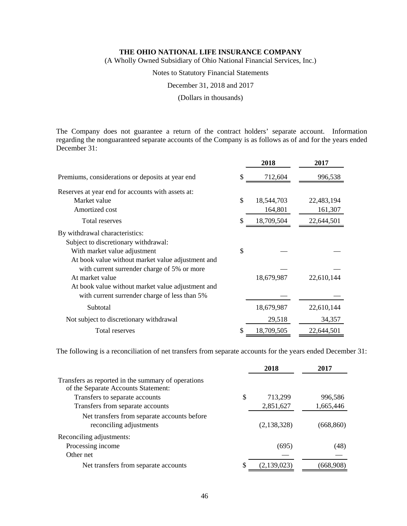(A Wholly Owned Subsidiary of Ohio National Financial Services, Inc.)

Notes to Statutory Financial Statements

December 31, 2018 and 2017

(Dollars in thousands)

The Company does not guarantee a return of the contract holders' separate account. Information regarding the nonguaranteed separate accounts of the Company is as follows as of and for the years ended December 31:

|                                                   | 2018             | 2017       |
|---------------------------------------------------|------------------|------------|
| Premiums, considerations or deposits at year end  | \$<br>712,604    | 996,538    |
| Reserves at year end for accounts with assets at: |                  |            |
| Market value                                      | \$<br>18,544,703 | 22,483,194 |
| Amortized cost                                    | 164,801          | 161,307    |
| <b>Total reserves</b>                             | \$<br>18,709,504 | 22,644,501 |
| By withdrawal characteristics:                    |                  |            |
| Subject to discretionary withdrawal:              |                  |            |
| With market value adjustment                      | \$               |            |
| At book value without market value adjustment and |                  |            |
| with current surrender charge of 5% or more       |                  |            |
| At market value                                   | 18,679,987       | 22,610,144 |
| At book value without market value adjustment and |                  |            |
| with current surrender charge of less than 5%     |                  |            |
| Subtotal                                          | 18,679,987       | 22,610,144 |
| Not subject to discretionary withdrawal           | 29,518           | 34,357     |
| Total reserves                                    | \$<br>18,709,505 | 22,644,501 |

The following is a reconciliation of net transfers from separate accounts for the years ended December 31:

| 2018        | 2017       |
|-------------|------------|
|             |            |
| 713,299     | 996,586    |
| 2,851,627   | 1,665,446  |
| (2,138,328) | (668, 860) |
|             |            |
| (695)       | (48)       |
|             |            |
| (2,139,023) | (668.908   |
|             |            |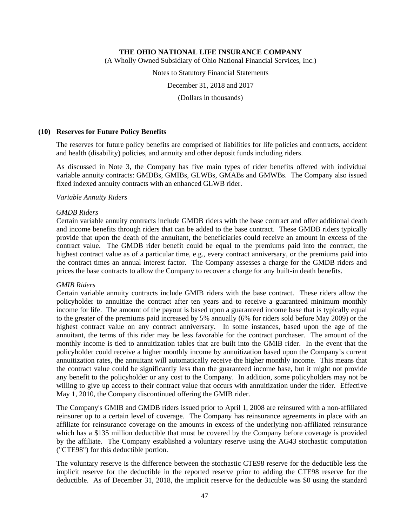(A Wholly Owned Subsidiary of Ohio National Financial Services, Inc.)

Notes to Statutory Financial Statements

December 31, 2018 and 2017

(Dollars in thousands)

### **(10) Reserves for Future Policy Benefits**

The reserves for future policy benefits are comprised of liabilities for life policies and contracts, accident and health (disability) policies, and annuity and other deposit funds including riders.

As discussed in Note 3, the Company has five main types of rider benefits offered with individual variable annuity contracts: GMDBs, GMIBs, GLWBs, GMABs and GMWBs. The Company also issued fixed indexed annuity contracts with an enhanced GLWB rider.

#### *Variable Annuity Riders*

#### *GMDB Riders*

Certain variable annuity contracts include GMDB riders with the base contract and offer additional death and income benefits through riders that can be added to the base contract. These GMDB riders typically provide that upon the death of the annuitant, the beneficiaries could receive an amount in excess of the contract value. The GMDB rider benefit could be equal to the premiums paid into the contract, the highest contract value as of a particular time, e.g., every contract anniversary, or the premiums paid into the contract times an annual interest factor. The Company assesses a charge for the GMDB riders and prices the base contracts to allow the Company to recover a charge for any built-in death benefits.

#### *GMIB Riders*

Certain variable annuity contracts include GMIB riders with the base contract. These riders allow the policyholder to annuitize the contract after ten years and to receive a guaranteed minimum monthly income for life. The amount of the payout is based upon a guaranteed income base that is typically equal to the greater of the premiums paid increased by 5% annually (6% for riders sold before May 2009) or the highest contract value on any contract anniversary. In some instances, based upon the age of the annuitant, the terms of this rider may be less favorable for the contract purchaser. The amount of the monthly income is tied to annuitization tables that are built into the GMIB rider. In the event that the policyholder could receive a higher monthly income by annuitization based upon the Company's current annuitization rates, the annuitant will automatically receive the higher monthly income. This means that the contract value could be significantly less than the guaranteed income base, but it might not provide any benefit to the policyholder or any cost to the Company. In addition, some policyholders may not be willing to give up access to their contract value that occurs with annuitization under the rider. Effective May 1, 2010, the Company discontinued offering the GMIB rider.

The Company's GMIB and GMDB riders issued prior to April 1, 2008 are reinsured with a non-affiliated reinsurer up to a certain level of coverage. The Company has reinsurance agreements in place with an affiliate for reinsurance coverage on the amounts in excess of the underlying non-affiliated reinsurance which has a \$135 million deductible that must be covered by the Company before coverage is provided by the affiliate. The Company established a voluntary reserve using the AG43 stochastic computation ("CTE98") for this deductible portion.

The voluntary reserve is the difference between the stochastic CTE98 reserve for the deductible less the implicit reserve for the deductible in the reported reserve prior to adding the CTE98 reserve for the deductible. As of December 31, 2018, the implicit reserve for the deductible was \$0 using the standard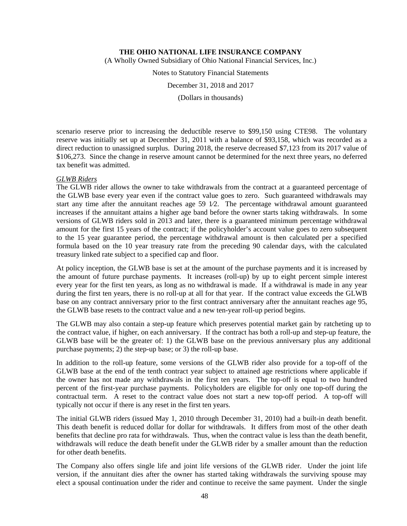(A Wholly Owned Subsidiary of Ohio National Financial Services, Inc.)

Notes to Statutory Financial Statements

December 31, 2018 and 2017

(Dollars in thousands)

scenario reserve prior to increasing the deductible reserve to \$99,150 using CTE98. The voluntary reserve was initially set up at December 31, 2011 with a balance of \$93,158, which was recorded as a direct reduction to unassigned surplus. During 2018, the reserve decreased \$7,123 from its 2017 value of \$106,273. Since the change in reserve amount cannot be determined for the next three years, no deferred tax benefit was admitted.

#### *GLWB Riders*

The GLWB rider allows the owner to take withdrawals from the contract at a guaranteed percentage of the GLWB base every year even if the contract value goes to zero. Such guaranteed withdrawals may start any time after the annuitant reaches age 59 1⁄2. The percentage withdrawal amount guaranteed increases if the annuitant attains a higher age band before the owner starts taking withdrawals. In some versions of GLWB riders sold in 2013 and later, there is a guaranteed minimum percentage withdrawal amount for the first 15 years of the contract; if the policyholder's account value goes to zero subsequent to the 15 year guarantee period, the percentage withdrawal amount is then calculated per a specified formula based on the 10 year treasury rate from the preceding 90 calendar days, with the calculated treasury linked rate subject to a specified cap and floor.

At policy inception, the GLWB base is set at the amount of the purchase payments and it is increased by the amount of future purchase payments. It increases (roll-up) by up to eight percent simple interest every year for the first ten years, as long as no withdrawal is made. If a withdrawal is made in any year during the first ten years, there is no roll-up at all for that year. If the contract value exceeds the GLWB base on any contract anniversary prior to the first contract anniversary after the annuitant reaches age 95, the GLWB base resets to the contract value and a new ten-year roll-up period begins.

The GLWB may also contain a step-up feature which preserves potential market gain by ratcheting up to the contract value, if higher, on each anniversary. If the contract has both a roll-up and step-up feature, the GLWB base will be the greater of: 1) the GLWB base on the previous anniversary plus any additional purchase payments; 2) the step-up base; or 3) the roll-up base.

In addition to the roll-up feature, some versions of the GLWB rider also provide for a top-off of the GLWB base at the end of the tenth contract year subject to attained age restrictions where applicable if the owner has not made any withdrawals in the first ten years. The top-off is equal to two hundred percent of the first-year purchase payments. Policyholders are eligible for only one top-off during the contractual term. A reset to the contract value does not start a new top-off period. A top-off will typically not occur if there is any reset in the first ten years.

The initial GLWB riders (issued May 1, 2010 through December 31, 2010) had a built-in death benefit. This death benefit is reduced dollar for dollar for withdrawals. It differs from most of the other death benefits that decline pro rata for withdrawals. Thus, when the contract value is less than the death benefit, withdrawals will reduce the death benefit under the GLWB rider by a smaller amount than the reduction for other death benefits.

The Company also offers single life and joint life versions of the GLWB rider. Under the joint life version, if the annuitant dies after the owner has started taking withdrawals the surviving spouse may elect a spousal continuation under the rider and continue to receive the same payment. Under the single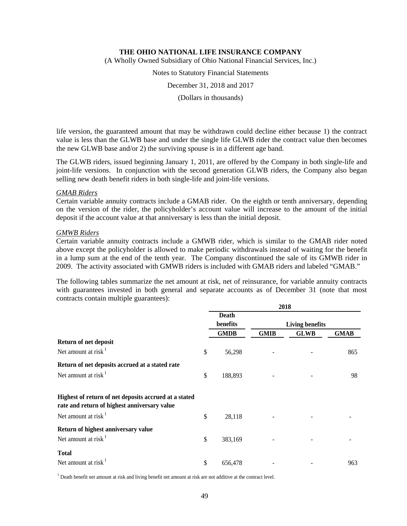(A Wholly Owned Subsidiary of Ohio National Financial Services, Inc.)

Notes to Statutory Financial Statements

December 31, 2018 and 2017

(Dollars in thousands)

life version, the guaranteed amount that may be withdrawn could decline either because 1) the contract value is less than the GLWB base and under the single life GLWB rider the contract value then becomes the new GLWB base and/or 2) the surviving spouse is in a different age band.

The GLWB riders, issued beginning January 1, 2011, are offered by the Company in both single-life and joint-life versions. In conjunction with the second generation GLWB riders, the Company also began selling new death benefit riders in both single-life and joint-life versions.

#### *GMAB Riders*

Certain variable annuity contracts include a GMAB rider. On the eighth or tenth anniversary, depending on the version of the rider, the policyholder's account value will increase to the amount of the initial deposit if the account value at that anniversary is less than the initial deposit.

#### *GMWB Riders*

Certain variable annuity contracts include a GMWB rider, which is similar to the GMAB rider noted above except the policyholder is allowed to make periodic withdrawals instead of waiting for the benefit in a lump sum at the end of the tenth year. The Company discontinued the sale of its GMWB rider in 2009. The activity associated with GMWB riders is included with GMAB riders and labeled "GMAB."

The following tables summarize the net amount at risk, net of reinsurance, for variable annuity contracts with guarantees invested in both general and separate accounts as of December 31 (note that most contracts contain multiple guarantees):

|                                                                                                       | 2018 |                          |             |                        |             |  |
|-------------------------------------------------------------------------------------------------------|------|--------------------------|-------------|------------------------|-------------|--|
|                                                                                                       |      | <b>Death</b><br>benefits |             | <b>Living benefits</b> |             |  |
|                                                                                                       |      | <b>GMDB</b>              | <b>GMIB</b> | <b>GLWB</b>            | <b>GMAB</b> |  |
| Return of net deposit                                                                                 |      |                          |             |                        |             |  |
| Net amount at risk $1$                                                                                | \$   | 56,298                   |             |                        | 865         |  |
| Return of net deposits accrued at a stated rate                                                       |      |                          |             |                        |             |  |
| Net amount at risk $1$                                                                                | \$   | 188,893                  |             |                        | 98          |  |
| Highest of return of net deposits accrued at a stated<br>rate and return of highest anniversary value |      |                          |             |                        |             |  |
| Net amount at risk $1$                                                                                | \$   | 28,118                   |             |                        |             |  |
| Return of highest anniversary value                                                                   |      |                          |             |                        |             |  |
| Net amount at risk $1$                                                                                | \$   | 383,169                  |             |                        |             |  |
| <b>Total</b>                                                                                          |      |                          |             |                        |             |  |
| Net amount at risk                                                                                    | \$   | 656,478                  |             |                        | 963         |  |

 $1$  Death benefit net amount at risk and living benefit net amount at risk are not additive at the contract level.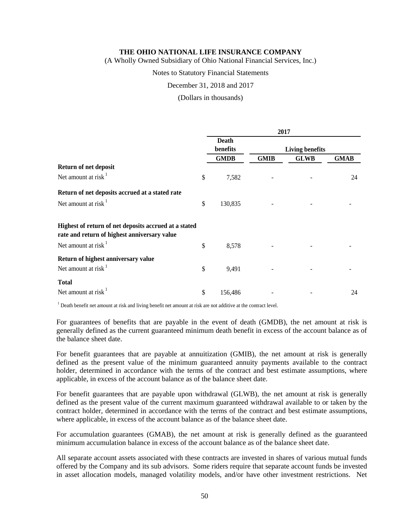(A Wholly Owned Subsidiary of Ohio National Financial Services, Inc.)

#### Notes to Statutory Financial Statements

December 31, 2018 and 2017

#### (Dollars in thousands)

|                                                                                                       | 2017                     |                        |             |             |  |
|-------------------------------------------------------------------------------------------------------|--------------------------|------------------------|-------------|-------------|--|
|                                                                                                       | <b>Death</b><br>benefits | <b>Living benefits</b> |             |             |  |
|                                                                                                       | <b>GMDB</b>              | <b>GMIB</b>            | <b>GLWB</b> | <b>GMAB</b> |  |
| <b>Return of net deposit</b>                                                                          |                          |                        |             |             |  |
| Net amount at risk $1$                                                                                | \$<br>7,582              |                        |             | 24          |  |
| Return of net deposits accrued at a stated rate                                                       |                          |                        |             |             |  |
| Net amount at risk $1$                                                                                | \$<br>130,835            |                        |             |             |  |
| Highest of return of net deposits accrued at a stated<br>rate and return of highest anniversary value |                          |                        |             |             |  |
| Net amount at risk $1$                                                                                | \$<br>8,578              |                        |             |             |  |
| Return of highest anniversary value<br>Net amount at risk $1$                                         | \$<br>9,491              |                        |             |             |  |
| <b>Total</b><br>Net amount at risk                                                                    | \$<br>156,486            |                        |             | 24          |  |

 $<sup>1</sup>$  Death benefit net amount at risk and living benefit net amount at risk are not additive at the contract level.</sup>

For guarantees of benefits that are payable in the event of death (GMDB), the net amount at risk is generally defined as the current guaranteed minimum death benefit in excess of the account balance as of the balance sheet date.

For benefit guarantees that are payable at annuitization (GMIB), the net amount at risk is generally defined as the present value of the minimum guaranteed annuity payments available to the contract holder, determined in accordance with the terms of the contract and best estimate assumptions, where applicable, in excess of the account balance as of the balance sheet date.

For benefit guarantees that are payable upon withdrawal (GLWB), the net amount at risk is generally defined as the present value of the current maximum guaranteed withdrawal available to or taken by the contract holder, determined in accordance with the terms of the contract and best estimate assumptions, where applicable, in excess of the account balance as of the balance sheet date.

For accumulation guarantees (GMAB), the net amount at risk is generally defined as the guaranteed minimum accumulation balance in excess of the account balance as of the balance sheet date.

All separate account assets associated with these contracts are invested in shares of various mutual funds offered by the Company and its sub advisors. Some riders require that separate account funds be invested in asset allocation models, managed volatility models, and/or have other investment restrictions. Net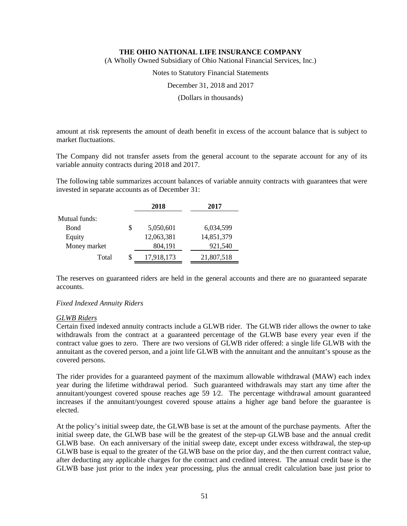(A Wholly Owned Subsidiary of Ohio National Financial Services, Inc.)

Notes to Statutory Financial Statements

December 31, 2018 and 2017

(Dollars in thousands)

amount at risk represents the amount of death benefit in excess of the account balance that is subject to market fluctuations.

The Company did not transfer assets from the general account to the separate account for any of its variable annuity contracts during 2018 and 2017.

The following table summarizes account balances of variable annuity contracts with guarantees that were invested in separate accounts as of December 31:

|               | 2018             | 2017       |
|---------------|------------------|------------|
| Mutual funds: |                  |            |
| Bond          | \$<br>5,050,601  | 6,034,599  |
| Equity        | 12,063,381       | 14,851,379 |
| Money market  | 804,191          | 921,540    |
| Total         | \$<br>17,918,173 | 21,807,518 |

The reserves on guaranteed riders are held in the general accounts and there are no guaranteed separate accounts.

#### *Fixed Indexed Annuity Riders*

#### *GLWB Riders*

Certain fixed indexed annuity contracts include a GLWB rider. The GLWB rider allows the owner to take withdrawals from the contract at a guaranteed percentage of the GLWB base every year even if the contract value goes to zero. There are two versions of GLWB rider offered: a single life GLWB with the annuitant as the covered person, and a joint life GLWB with the annuitant and the annuitant's spouse as the covered persons.

The rider provides for a guaranteed payment of the maximum allowable withdrawal (MAW) each index year during the lifetime withdrawal period. Such guaranteed withdrawals may start any time after the annuitant/youngest covered spouse reaches age 59 1⁄2. The percentage withdrawal amount guaranteed increases if the annuitant/youngest covered spouse attains a higher age band before the guarantee is elected.

At the policy's initial sweep date, the GLWB base is set at the amount of the purchase payments. After the initial sweep date, the GLWB base will be the greatest of the step-up GLWB base and the annual credit GLWB base. On each anniversary of the initial sweep date, except under excess withdrawal, the step-up GLWB base is equal to the greater of the GLWB base on the prior day, and the then current contract value, after deducting any applicable charges for the contract and credited interest. The annual credit base is the GLWB base just prior to the index year processing, plus the annual credit calculation base just prior to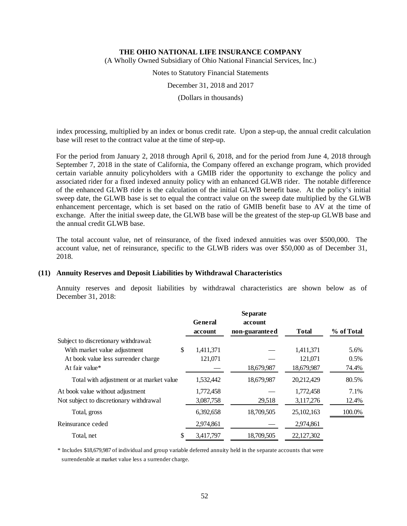(A Wholly Owned Subsidiary of Ohio National Financial Services, Inc.)

Notes to Statutory Financial Statements

December 31, 2018 and 2017

(Dollars in thousands)

index processing, multiplied by an index or bonus credit rate. Upon a step-up, the annual credit calculation base will reset to the contract value at the time of step-up.

For the period from January 2, 2018 through April 6, 2018, and for the period from June 4, 2018 through September 7, 2018 in the state of California, the Company offered an exchange program, which provided certain variable annuity policyholders with a GMIB rider the opportunity to exchange the policy and associated rider for a fixed indexed annuity policy with an enhanced GLWB rider. The notable difference of the enhanced GLWB rider is the calculation of the initial GLWB benefit base. At the policy's initial sweep date, the GLWB base is set to equal the contract value on the sweep date multiplied by the GLWB enhancement percentage, which is set based on the ratio of GMIB benefit base to AV at the time of exchange. After the initial sweep date, the GLWB base will be the greatest of the step-up GLWB base and the annual credit GLWB base.

The total account value, net of reinsurance, of the fixed indexed annuities was over \$500,000. The account value, net of reinsurance, specific to the GLWB riders was over \$50,000 as of December 31, 2018.

#### **(11) Annuity Reserves and Deposit Liabilities by Withdrawal Characteristics**

Annuity reserves and deposit liabilities by withdrawal characteristics are shown below as of December 31, 2018:

|                                          |           | <b>Separate</b> |              |            |
|------------------------------------------|-----------|-----------------|--------------|------------|
|                                          | General   | account         |              |            |
|                                          | account   | non-guaranteed  | <b>Total</b> | % of Total |
| Subject to discretionary withdrawal:     |           |                 |              |            |
| \$<br>With market value adjustment       | 1.411.371 |                 | 1.411.371    | 5.6%       |
| At book value less surrender charge      | 121,071   |                 | 121,071      | 0.5%       |
| At fair value*                           |           | 18,679,987      | 18,679,987   | 74.4%      |
| Total with adjustment or at market value | 1,532,442 | 18,679,987      | 20,212,429   | 80.5%      |
| At book value without adjustment         | 1,772,458 |                 | 1,772,458    | 7.1%       |
| Not subject to discretionary withdrawal  | 3,087,758 | 29,518          | 3,117,276    | 12.4%      |
| Total, gross                             | 6,392,658 | 18,709,505      | 25,102,163   | 100.0%     |
| Reinsurance ceded                        | 2,974,861 |                 | 2,974,861    |            |
| \$<br>Total, net                         | 3.417.797 | 18.709.505      | 22,127,302   |            |

\* Includes \$18,679,987 of individual and group variable deferred annuity held in the separate accounts that were surrenderable at market value less a surrender charge.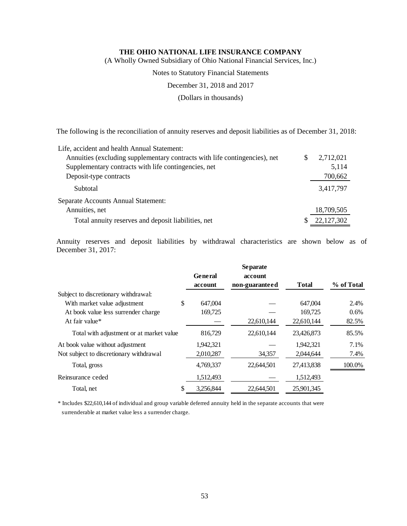(A Wholly Owned Subsidiary of Ohio National Financial Services, Inc.)

Notes to Statutory Financial Statements

December 31, 2018 and 2017

(Dollars in thousands)

The following is the reconciliation of annuity reserves and deposit liabilities as of December 31, 2018:

| Life, accident and health Annual Statement:                                |            |
|----------------------------------------------------------------------------|------------|
| Annuities (excluding supplementary contracts with life contingencies), net | 2,712,021  |
| Supplementary contracts with life contingencies, net                       | 5,114      |
| Deposit-type contracts                                                     | 700,662    |
| Subtotal                                                                   | 3,417,797  |
| Separate Accounts Annual Statement:                                        |            |
| Annuities, net                                                             | 18,709,505 |
| Total annuity reserves and deposit liabilities, net                        | 22,127,302 |

Annuity reserves and deposit liabilities by withdrawal characteristics are shown below as of December 31, 2017:

|                                          |                 | <b>Separate</b> |              |            |
|------------------------------------------|-----------------|-----------------|--------------|------------|
|                                          | <b>General</b>  | account         |              |            |
|                                          | account         | non-guaranteed  | <b>Total</b> | % of Total |
| Subject to discretionary withdrawal:     |                 |                 |              |            |
| With market value adjustment             | \$<br>647,004   |                 | 647.004      | 2.4%       |
| At book value less surrender charge      | 169,725         |                 | 169,725      | 0.6%       |
| At fair value*                           |                 | 22,610,144      | 22,610,144   | 82.5%      |
| Total with adjustment or at market value | 816.729         | 22,610,144      | 23,426,873   | 85.5%      |
| At book value without adjustment         | 1,942,321       |                 | 1.942.321    | 7.1%       |
| Not subject to discretionary withdrawal  | 2,010,287       | 34,357          | 2,044,644    | 7.4%       |
| Total, gross                             | 4,769,337       | 22,644,501      | 27,413,838   | 100.0%     |
| Reinsurance ceded                        | 1,512,493       |                 | 1,512,493    |            |
| Total, net                               | \$<br>3,256,844 | 22,644,501      | 25,901,345   |            |

\* Includes \$22,610,144 of individual and group variable deferred annuity held in the separate accounts that were surrenderable at market value less a surrender charge.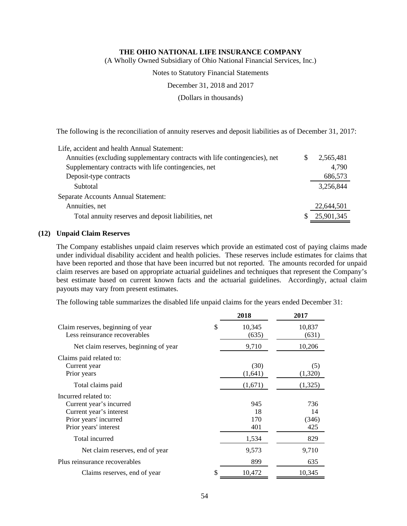(A Wholly Owned Subsidiary of Ohio National Financial Services, Inc.)

Notes to Statutory Financial Statements

December 31, 2018 and 2017

(Dollars in thousands)

The following is the reconciliation of annuity reserves and deposit liabilities as of December 31, 2017:

| Life, accident and health Annual Statement:                                |            |
|----------------------------------------------------------------------------|------------|
| Annuities (excluding supplementary contracts with life contingencies), net | 2.565.481  |
| Supplementary contracts with life contingencies, net                       | 4,790      |
| Deposit-type contracts                                                     | 686,573    |
| Subtotal                                                                   | 3,256,844  |
| Separate Accounts Annual Statement:                                        |            |
| Annuities, net                                                             | 22,644,501 |
| Total annuity reserves and deposit liabilities, net                        | 25,901,345 |

## **(12) Unpaid Claim Reserves**

The Company establishes unpaid claim reserves which provide an estimated cost of paying claims made under individual disability accident and health policies. These reserves include estimates for claims that have been reported and those that have been incurred but not reported. The amounts recorded for unpaid claim reserves are based on appropriate actuarial guidelines and techniques that represent the Company's best estimate based on current known facts and the actuarial guidelines. Accordingly, actual claim payouts may vary from present estimates.

The following table summarizes the disabled life unpaid claims for the years ended December 31:

|                                                                                                                              | 2018                    | 2017                      |
|------------------------------------------------------------------------------------------------------------------------------|-------------------------|---------------------------|
| Claim reserves, beginning of year<br>Less reinsurance recoverables                                                           | \$<br>10,345<br>(635)   | 10,837<br>(631)           |
| Net claim reserves, beginning of year                                                                                        | 9,710                   | 10,206                    |
| Claims paid related to:<br>Current year<br>Prior years                                                                       | (30)<br>(1,641)         | (5)<br>(1,320)            |
| Total claims paid                                                                                                            | (1,671)                 | (1,325)                   |
| Incurred related to:<br>Current year's incurred<br>Current year's interest<br>Prior years' incurred<br>Prior years' interest | 945<br>18<br>170<br>401 | 736<br>14<br>(346)<br>425 |
| Total incurred                                                                                                               | 1,534                   | 829                       |
| Net claim reserves, end of year                                                                                              | 9,573                   | 9,710                     |
| Plus reinsurance recoverables                                                                                                | 899                     | 635                       |
| Claims reserves, end of year                                                                                                 | \$<br>10,472            | 10,345                    |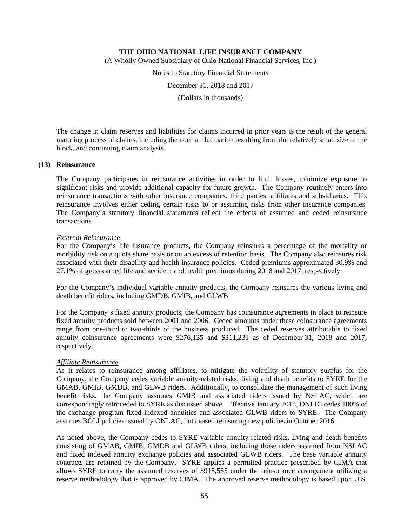(A Wholly Owned Subsidiary of Ohio National Financial Services, Inc.)

Notes to Statutory Financial Statements

December 31, 2018 and 2017

(Dollars in thousands)

The change in claim reserves and liabilities for claims incurred in prior years is the result of the general maturing process of claims, including the normal fluctuation resulting from the relatively small size of the block, and continuing claim analysis.

#### **(13) Reinsurance**

The Company participates in reinsurance activities in order to limit losses, minimize exposure to significant risks and provide additional capacity for future growth. The Company routinely enters into reinsurance transactions with other insurance companies, third parties, affiliates and subsidiaries. This reinsurance involves either ceding certain risks to or assuming risks from other insurance companies. The Company's statutory financial statements reflect the effects of assumed and ceded reinsurance transactions.

#### *External Reinsurance*

For the Company's life insurance products, the Company reinsures a percentage of the mortality or morbidity risk on a quota share basis or on an excess of retention basis. The Company also reinsures risk associated with their disability and health insurance policies. Ceded premiums approximated 30.9% and 27.1% of gross earned life and accident and health premiums during 2018 and 2017, respectively.

For the Company's individual variable annuity products, the Company reinsures the various living and death benefit riders, including GMDB, GMIB, and GLWB.

For the Company's fixed annuity products, the Company has coinsurance agreements in place to reinsure fixed annuity products sold between 2001 and 2006. Ceded amounts under these coinsurance agreements range from one-third to two-thirds of the business produced. The ceded reserves attributable to fixed annuity coinsurance agreements were \$276,135 and \$311,231 as of December 31, 2018 and 2017, respectively.

#### *Affiliate Reinsurance*

As it relates to reinsurance among affiliates, to mitigate the volatility of statutory surplus for the Company, the Company cedes variable annuity-related risks, living and death benefits to SYRE for the GMAB, GMIB, GMDB, and GLWB riders. Additionally, to consolidate the management of such living benefit risks, the Company assumes GMIB and associated riders issued by NSLAC, which are correspondingly retroceded to SYRE as discussed above. Effective January 2018, ONLIC cedes 100% of the exchange program fixed indexed annuities and associated GLWB riders to SYRE. The Company assumes BOLI policies issued by ONLAC, but ceased reinsuring new policies in October 2016.

As noted above, the Company cedes to SYRE variable annuity-related risks, living and death benefits consisting of GMAB, GMIB, GMDB and GLWB riders, including those riders assumed from NSLAC and fixed indexed annuity exchange policies and associated GLWB riders. The base variable annuity contracts are retained by the Company. SYRE applies a permitted practice prescribed by CIMA that allows SYRE to carry the assumed reserves of \$915,555 under the reinsurance arrangement utilizing a reserve methodology that is approved by CIMA. The approved reserve methodology is based upon U.S.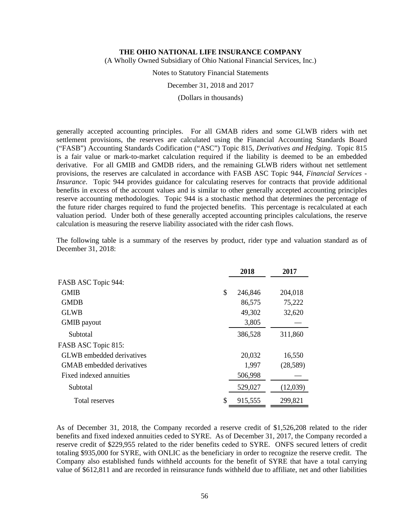(A Wholly Owned Subsidiary of Ohio National Financial Services, Inc.)

Notes to Statutory Financial Statements

December 31, 2018 and 2017

(Dollars in thousands)

generally accepted accounting principles. For all GMAB riders and some GLWB riders with net settlement provisions, the reserves are calculated using the Financial Accounting Standards Board ("FASB") Accounting Standards Codification ("ASC") Topic 815, *Derivatives and Hedging*. Topic 815 is a fair value or mark-to-market calculation required if the liability is deemed to be an embedded derivative. For all GMIB and GMDB riders, and the remaining GLWB riders without net settlement provisions, the reserves are calculated in accordance with FASB ASC Topic 944, *Financial Services - Insurance*. Topic 944 provides guidance for calculating reserves for contracts that provide additional benefits in excess of the account values and is similar to other generally accepted accounting principles reserve accounting methodologies. Topic 944 is a stochastic method that determines the percentage of the future rider charges required to fund the projected benefits. This percentage is recalculated at each valuation period. Under both of these generally accepted accounting principles calculations, the reserve calculation is measuring the reserve liability associated with the rider cash flows.

|                           | 2018          | 2017     |
|---------------------------|---------------|----------|
| FASB ASC Topic 944:       |               |          |
| <b>GMIB</b>               | \$<br>246,846 | 204,018  |
| <b>GMDB</b>               | 86,575        | 75,222   |
| <b>GLWB</b>               | 49,302        | 32,620   |
| GMIB payout               | 3,805         |          |
| Subtotal                  | 386,528       | 311,860  |
| FASB ASC Topic 815:       |               |          |
| GLWB embedded derivatives | 20,032        | 16,550   |
| GMAB embedded derivatives | 1,997         | (28,589) |
| Fixed indexed annuities   | 506,998       |          |
| Subtotal                  | 529,027       | (12,039) |
| Total reserves            | \$<br>915,555 | 299,821  |

The following table is a summary of the reserves by product, rider type and valuation standard as of December 31, 2018:

As of December 31, 2018, the Company recorded a reserve credit of \$1,526,208 related to the rider benefits and fixed indexed annuities ceded to SYRE. As of December 31, 2017, the Company recorded a reserve credit of \$229,955 related to the rider benefits ceded to SYRE. ONFS secured letters of credit totaling \$935,000 for SYRE, with ONLIC as the beneficiary in order to recognize the reserve credit. The Company also established funds withheld accounts for the benefit of SYRE that have a total carrying value of \$612,811 and are recorded in reinsurance funds withheld due to affiliate, net and other liabilities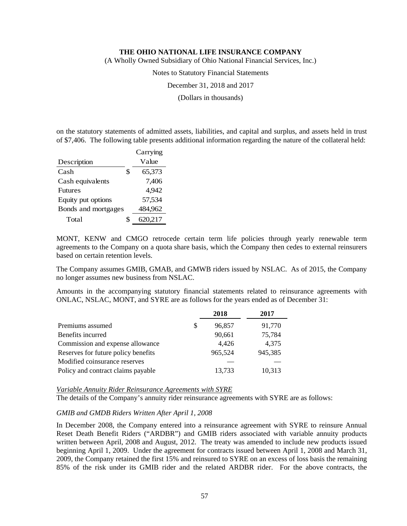(A Wholly Owned Subsidiary of Ohio National Financial Services, Inc.)

Notes to Statutory Financial Statements

December 31, 2018 and 2017

(Dollars in thousands)

on the statutory statements of admitted assets, liabilities, and capital and surplus, and assets held in trust of \$7,406. The following table presents additional information regarding the nature of the collateral held:

|                     |    | Carrying |
|---------------------|----|----------|
| Description         |    | Value    |
| Cash                | \$ | 65,373   |
| Cash equivalents    |    | 7.406    |
| <b>Futures</b>      |    | 4,942    |
| Equity put options  |    | 57,534   |
| Bonds and mortgages |    | 484,962  |
| Total               | S  | 620,217  |

MONT, KENW and CMGO retrocede certain term life policies through yearly renewable term agreements to the Company on a quota share basis, which the Company then cedes to external reinsurers based on certain retention levels.

The Company assumes GMIB, GMAB, and GMWB riders issued by NSLAC. As of 2015, the Company no longer assumes new business from NSLAC.

Amounts in the accompanying statutory financial statements related to reinsurance agreements with ONLAC, NSLAC, MONT, and SYRE are as follows for the years ended as of December 31:

|                                     |   | 2018    | 2017    |
|-------------------------------------|---|---------|---------|
| Premiums assumed                    | S | 96,857  | 91,770  |
| Benefits incurred                   |   | 90,661  | 75,784  |
| Commission and expense allowance    |   | 4,426   | 4,375   |
| Reserves for future policy benefits |   | 965,524 | 945,385 |
| Modified coinsurance reserves       |   |         |         |
| Policy and contract claims payable  |   | 13,733  | 10,313  |

#### *Variable Annuity Rider Reinsurance Agreements with SYRE*

The details of the Company's annuity rider reinsurance agreements with SYRE are as follows:

#### *GMIB and GMDB Riders Written After April 1, 2008*

In December 2008, the Company entered into a reinsurance agreement with SYRE to reinsure Annual Reset Death Benefit Riders ("ARDBR") and GMIB riders associated with variable annuity products written between April, 2008 and August, 2012. The treaty was amended to include new products issued beginning April 1, 2009. Under the agreement for contracts issued between April 1, 2008 and March 31, 2009, the Company retained the first 15% and reinsured to SYRE on an excess of loss basis the remaining 85% of the risk under its GMIB rider and the related ARDBR rider. For the above contracts, the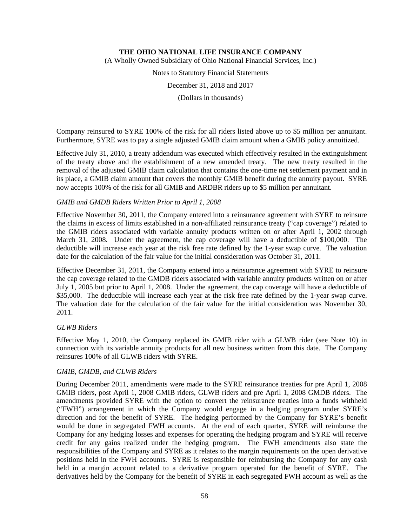(A Wholly Owned Subsidiary of Ohio National Financial Services, Inc.)

Notes to Statutory Financial Statements

December 31, 2018 and 2017

(Dollars in thousands)

Company reinsured to SYRE 100% of the risk for all riders listed above up to \$5 million per annuitant. Furthermore, SYRE was to pay a single adjusted GMIB claim amount when a GMIB policy annuitized.

Effective July 31, 2010, a treaty addendum was executed which effectively resulted in the extinguishment of the treaty above and the establishment of a new amended treaty. The new treaty resulted in the removal of the adjusted GMIB claim calculation that contains the one-time net settlement payment and in its place, a GMIB claim amount that covers the monthly GMIB benefit during the annuity payout. SYRE now accepts 100% of the risk for all GMIB and ARDBR riders up to \$5 million per annuitant.

## *GMIB and GMDB Riders Written Prior to April 1, 2008*

Effective November 30, 2011, the Company entered into a reinsurance agreement with SYRE to reinsure the claims in excess of limits established in a non-affiliated reinsurance treaty ("cap coverage") related to the GMIB riders associated with variable annuity products written on or after April 1, 2002 through March 31, 2008. Under the agreement, the cap coverage will have a deductible of \$100,000. The deductible will increase each year at the risk free rate defined by the 1-year swap curve. The valuation date for the calculation of the fair value for the initial consideration was October 31, 2011.

Effective December 31, 2011, the Company entered into a reinsurance agreement with SYRE to reinsure the cap coverage related to the GMDB riders associated with variable annuity products written on or after July 1, 2005 but prior to April 1, 2008. Under the agreement, the cap coverage will have a deductible of \$35,000. The deductible will increase each year at the risk free rate defined by the 1-year swap curve. The valuation date for the calculation of the fair value for the initial consideration was November 30, 2011.

#### *GLWB Riders*

Effective May 1, 2010, the Company replaced its GMIB rider with a GLWB rider (see Note 10) in connection with its variable annuity products for all new business written from this date. The Company reinsures 100% of all GLWB riders with SYRE.

#### *GMIB, GMDB, and GLWB Riders*

During December 2011, amendments were made to the SYRE reinsurance treaties for pre April 1, 2008 GMIB riders, post April 1, 2008 GMIB riders, GLWB riders and pre April 1, 2008 GMDB riders. The amendments provided SYRE with the option to convert the reinsurance treaties into a funds withheld ("FWH") arrangement in which the Company would engage in a hedging program under SYRE's direction and for the benefit of SYRE. The hedging performed by the Company for SYRE's benefit would be done in segregated FWH accounts. At the end of each quarter, SYRE will reimburse the Company for any hedging losses and expenses for operating the hedging program and SYRE will receive credit for any gains realized under the hedging program. The FWH amendments also state the responsibilities of the Company and SYRE as it relates to the margin requirements on the open derivative positions held in the FWH accounts. SYRE is responsible for reimbursing the Company for any cash held in a margin account related to a derivative program operated for the benefit of SYRE. The derivatives held by the Company for the benefit of SYRE in each segregated FWH account as well as the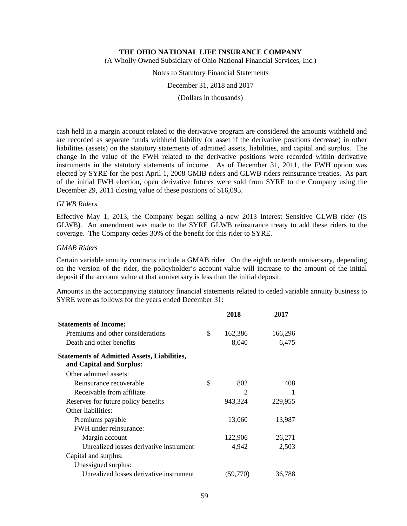(A Wholly Owned Subsidiary of Ohio National Financial Services, Inc.)

Notes to Statutory Financial Statements

December 31, 2018 and 2017

(Dollars in thousands)

cash held in a margin account related to the derivative program are considered the amounts withheld and are recorded as separate funds withheld liability (or asset if the derivative positions decrease) in other liabilities (assets) on the statutory statements of admitted assets, liabilities, and capital and surplus. The change in the value of the FWH related to the derivative positions were recorded within derivative instruments in the statutory statements of income. As of December 31, 2011, the FWH option was elected by SYRE for the post April 1, 2008 GMIB riders and GLWB riders reinsurance treaties. As part of the initial FWH election, open derivative futures were sold from SYRE to the Company using the December 29, 2011 closing value of these positions of \$16,095.

## *GLWB Riders*

Effective May 1, 2013, the Company began selling a new 2013 Interest Sensitive GLWB rider (IS GLWB). An amendment was made to the SYRE GLWB reinsurance treaty to add these riders to the coverage. The Company cedes 30% of the benefit for this rider to SYRE.

#### *GMAB Riders*

Certain variable annuity contracts include a GMAB rider. On the eighth or tenth anniversary, depending on the version of the rider, the policyholder's account value will increase to the amount of the initial deposit if the account value at that anniversary is less than the initial deposit.

Amounts in the accompanying statutory financial statements related to ceded variable annuity business to SYRE were as follows for the years ended December 31:

|                                                                                | 2018          | 2017    |
|--------------------------------------------------------------------------------|---------------|---------|
| <b>Statements of Income:</b>                                                   |               |         |
| Premiums and other considerations                                              | \$<br>162,386 | 166,296 |
| Death and other benefits                                                       | 8,040         | 6,475   |
| <b>Statements of Admitted Assets, Liabilities,</b><br>and Capital and Surplus: |               |         |
| Other admitted assets:                                                         |               |         |
| Reinsurance recoverable                                                        | \$<br>802     | 408     |
| Receivable from affiliate                                                      | $\mathcal{P}$ |         |
| Reserves for future policy benefits                                            | 943,324       | 229,955 |
| Other liabilities:                                                             |               |         |
| Premiums payable                                                               | 13,060        | 13,987  |
| FWH under reinsurance:                                                         |               |         |
| Margin account                                                                 | 122,906       | 26,271  |
| Unrealized losses derivative instrument                                        | 4,942         | 2,503   |
| Capital and surplus:                                                           |               |         |
| Unassigned surplus:                                                            |               |         |
| Unrealized losses derivative instrument                                        | (59,770)      | 36,788  |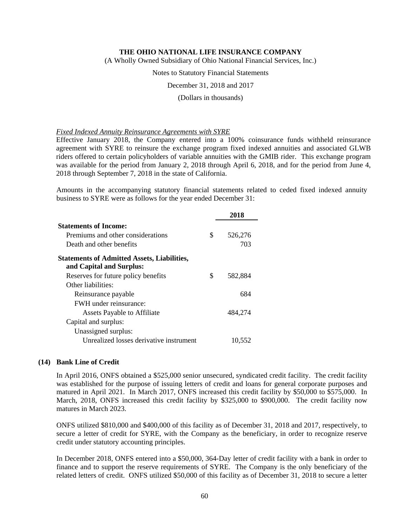(A Wholly Owned Subsidiary of Ohio National Financial Services, Inc.)

Notes to Statutory Financial Statements

December 31, 2018 and 2017

#### (Dollars in thousands)

#### *Fixed Indexed Annuity Reinsurance Agreements with SYRE*

Effective January 2018, the Company entered into a 100% coinsurance funds withheld reinsurance agreement with SYRE to reinsure the exchange program fixed indexed annuities and associated GLWB riders offered to certain policyholders of variable annuities with the GMIB rider. This exchange program was available for the period from January 2, 2018 through April 6, 2018, and for the period from June 4, 2018 through September 7, 2018 in the state of California.

Amounts in the accompanying statutory financial statements related to ceded fixed indexed annuity business to SYRE were as follows for the year ended December 31:

|                                                    |    | 2018    |
|----------------------------------------------------|----|---------|
| <b>Statements of Income:</b>                       |    |         |
| Premiums and other considerations                  | \$ | 526,276 |
| Death and other benefits                           |    | 703     |
| <b>Statements of Admitted Assets, Liabilities,</b> |    |         |
| and Capital and Surplus:                           |    |         |
| Reserves for future policy benefits                | S  | 582,884 |
| Other liabilities:                                 |    |         |
| Reinsurance payable                                |    | 684     |
| <b>FWH</b> under reinsurance:                      |    |         |
| <b>Assets Payable to Affiliate</b>                 |    | 484,274 |
| Capital and surplus:                               |    |         |
| Unassigned surplus:                                |    |         |
| Unrealized losses derivative instrument            |    | 10,552  |

#### **(14) Bank Line of Credit**

In April 2016, ONFS obtained a \$525,000 senior unsecured, syndicated credit facility. The credit facility was established for the purpose of issuing letters of credit and loans for general corporate purposes and matured in April 2021. In March 2017, ONFS increased this credit facility by \$50,000 to \$575,000. In March, 2018, ONFS increased this credit facility by \$325,000 to \$900,000. The credit facility now matures in March 2023.

ONFS utilized \$810,000 and \$400,000 of this facility as of December 31, 2018 and 2017, respectively, to secure a letter of credit for SYRE, with the Company as the beneficiary, in order to recognize reserve credit under statutory accounting principles.

In December 2018, ONFS entered into a \$50,000, 364-Day letter of credit facility with a bank in order to finance and to support the reserve requirements of SYRE. The Company is the only beneficiary of the related letters of credit. ONFS utilized \$50,000 of this facility as of December 31, 2018 to secure a letter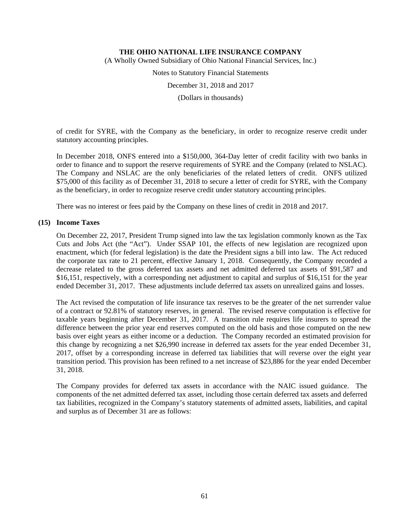(A Wholly Owned Subsidiary of Ohio National Financial Services, Inc.)

Notes to Statutory Financial Statements

December 31, 2018 and 2017

(Dollars in thousands)

of credit for SYRE, with the Company as the beneficiary, in order to recognize reserve credit under statutory accounting principles.

In December 2018, ONFS entered into a \$150,000, 364-Day letter of credit facility with two banks in order to finance and to support the reserve requirements of SYRE and the Company (related to NSLAC). The Company and NSLAC are the only beneficiaries of the related letters of credit. ONFS utilized \$75,000 of this facility as of December 31, 2018 to secure a letter of credit for SYRE, with the Company as the beneficiary, in order to recognize reserve credit under statutory accounting principles.

There was no interest or fees paid by the Company on these lines of credit in 2018 and 2017.

#### **(15) Income Taxes**

On December 22, 2017, President Trump signed into law the tax legislation commonly known as the Tax Cuts and Jobs Act (the "Act"). Under SSAP 101, the effects of new legislation are recognized upon enactment, which (for federal legislation) is the date the President signs a bill into law. The Act reduced the corporate tax rate to 21 percent, effective January 1, 2018. Consequently, the Company recorded a decrease related to the gross deferred tax assets and net admitted deferred tax assets of \$91,587 and \$16,151, respectively, with a corresponding net adjustment to capital and surplus of \$16,151 for the year ended December 31, 2017. These adjustments include deferred tax assets on unrealized gains and losses.

The Act revised the computation of life insurance tax reserves to be the greater of the net surrender value of a contract or 92.81% of statutory reserves, in general. The revised reserve computation is effective for taxable years beginning after December 31, 2017. A transition rule requires life insurers to spread the difference between the prior year end reserves computed on the old basis and those computed on the new basis over eight years as either income or a deduction. The Company recorded an estimated provision for this change by recognizing a net \$26,990 increase in deferred tax assets for the year ended December 31, 2017, offset by a corresponding increase in deferred tax liabilities that will reverse over the eight year transition period. This provision has been refined to a net increase of \$23,886 for the year ended December 31, 2018.

The Company provides for deferred tax assets in accordance with the NAIC issued guidance. The components of the net admitted deferred tax asset, including those certain deferred tax assets and deferred tax liabilities, recognized in the Company's statutory statements of admitted assets, liabilities, and capital and surplus as of December 31 are as follows: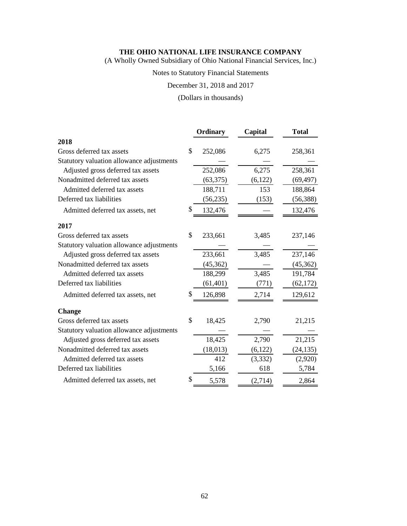(A Wholly Owned Subsidiary of Ohio National Financial Services, Inc.)

# Notes to Statutory Financial Statements

December 31, 2018 and 2017

(Dollars in thousands)

|                                           | Ordinary      | Capital  | <b>Total</b> |
|-------------------------------------------|---------------|----------|--------------|
| 2018                                      |               |          |              |
| Gross deferred tax assets                 | \$<br>252,086 | 6,275    | 258,361      |
| Statutory valuation allowance adjustments |               |          |              |
| Adjusted gross deferred tax assets        | 252,086       | 6,275    | 258,361      |
| Nonadmitted deferred tax assets           | (63, 375)     | (6,122)  | (69, 497)    |
| Admitted deferred tax assets              | 188,711       | 153      | 188,864      |
| Deferred tax liabilities                  | (56, 235)     | (153)    | (56, 388)    |
| Admitted deferred tax assets, net         | \$<br>132,476 |          | 132,476      |
| 2017                                      |               |          |              |
| Gross deferred tax assets                 | \$<br>233,661 | 3,485    | 237,146      |
| Statutory valuation allowance adjustments |               |          |              |
| Adjusted gross deferred tax assets        | 233,661       | 3,485    | 237,146      |
| Nonadmitted deferred tax assets           | (45, 362)     |          | (45, 362)    |
| Admitted deferred tax assets              | 188,299       | 3,485    | 191,784      |
| Deferred tax liabilities                  | (61, 401)     | (771)    | (62, 172)    |
| Admitted deferred tax assets, net         | \$<br>126,898 | 2,714    | 129,612      |
| <b>Change</b>                             |               |          |              |
| Gross deferred tax assets                 | \$<br>18,425  | 2,790    | 21,215       |
| Statutory valuation allowance adjustments |               |          |              |
| Adjusted gross deferred tax assets        | 18,425        | 2,790    | 21,215       |
| Nonadmitted deferred tax assets           | (18, 013)     | (6,122)  | (24, 135)    |
| Admitted deferred tax assets              | 412           | (3, 332) | (2,920)      |
| Deferred tax liabilities                  | 5,166         | 618      | 5,784        |
| Admitted deferred tax assets, net         | \$<br>5,578   | (2,714)  | 2,864        |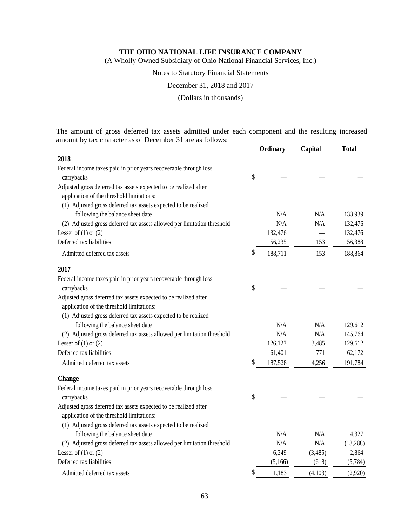(A Wholly Owned Subsidiary of Ohio National Financial Services, Inc.)

#### Notes to Statutory Financial Statements

December 31, 2018 and 2017

(Dollars in thousands)

The amount of gross deferred tax assets admitted under each component and the resulting increased amount by tax character as of December 31 are as follows: **Ordinary Capital Total**

|                                                                                                               | <b>Ordinary</b> | Capital | 1 otal   |
|---------------------------------------------------------------------------------------------------------------|-----------------|---------|----------|
| 2018                                                                                                          |                 |         |          |
| Federal income taxes paid in prior years recoverable through loss                                             |                 |         |          |
| carrybacks                                                                                                    | \$              |         |          |
| Adjusted gross deferred tax assets expected to be realized after                                              |                 |         |          |
| application of the threshold limitations:                                                                     |                 |         |          |
| (1) Adjusted gross deferred tax assets expected to be realized                                                |                 |         |          |
| following the balance sheet date                                                                              | N/A             | N/A     | 133,939  |
| (2) Adjusted gross deferred tax assets allowed per limitation threshold                                       | N/A             | N/A     | 132,476  |
| Lesser of $(1)$ or $(2)$                                                                                      | 132,476         |         | 132,476  |
| Deferred tax liabilities                                                                                      | 56,235          | 153     | 56,388   |
| Admitted deferred tax assets                                                                                  | \$<br>188,711   | 153     | 188,864  |
| 2017                                                                                                          |                 |         |          |
| Federal income taxes paid in prior years recoverable through loss                                             |                 |         |          |
| carrybacks                                                                                                    | \$              |         |          |
| Adjusted gross deferred tax assets expected to be realized after                                              |                 |         |          |
| application of the threshold limitations:                                                                     |                 |         |          |
| (1) Adjusted gross deferred tax assets expected to be realized                                                |                 |         |          |
| following the balance sheet date                                                                              | N/A             | N/A     | 129,612  |
| (2) Adjusted gross deferred tax assets allowed per limitation threshold                                       | N/A             | N/A     | 145,764  |
| Lesser of $(1)$ or $(2)$                                                                                      | 126,127         | 3,485   | 129,612  |
| Deferred tax liabilities                                                                                      | 61,401          | 771     | 62,172   |
| Admitted deferred tax assets                                                                                  | \$<br>187,528   | 4,256   | 191,784  |
| <b>Change</b>                                                                                                 |                 |         |          |
| Federal income taxes paid in prior years recoverable through loss                                             |                 |         |          |
| carrybacks                                                                                                    | \$              |         |          |
| Adjusted gross deferred tax assets expected to be realized after<br>application of the threshold limitations: |                 |         |          |
| (1) Adjusted gross deferred tax assets expected to be realized                                                |                 |         |          |
| following the balance sheet date                                                                              | N/A             | N/A     | 4,327    |
| (2) Adjusted gross deferred tax assets allowed per limitation threshold                                       | N/A             | N/A     | (13,288) |
| Lesser of $(1)$ or $(2)$                                                                                      | 6,349           | (3,485) | 2,864    |
| Deferred tax liabilities                                                                                      | (5,166)         | (618)   | (5,784)  |
| Admitted deferred tax assets                                                                                  | \$<br>1,183     | (4,103) | (2,920)  |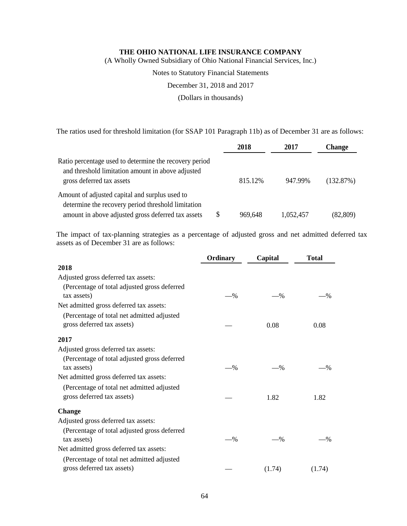(A Wholly Owned Subsidiary of Ohio National Financial Services, Inc.)

Notes to Statutory Financial Statements

December 31, 2018 and 2017

(Dollars in thousands)

The ratios used for threshold limitation (for SSAP 101 Paragraph 11b) as of December 31 are as follows:

|                                                                                                                                          |   | 2018    | 2017      | <b>Change</b> |
|------------------------------------------------------------------------------------------------------------------------------------------|---|---------|-----------|---------------|
| Ratio percentage used to determine the recovery period<br>and threshold limitation amount in above adjusted<br>gross deferred tax assets |   | 815.12% | 947.99%   | (132.87%)     |
| Amount of adjusted capital and surplus used to<br>determine the recovery period threshold limitation                                     |   |         |           |               |
| amount in above adjusted gross deferred tax assets                                                                                       | S | 969,648 | 1,052,457 | (82, 809)     |

The impact of tax-planning strategies as a percentage of adjusted gross and net admitted deferred tax assets as of December 31 are as follows:

|                                              | Ordinary | Capital | <b>Total</b> |
|----------------------------------------------|----------|---------|--------------|
| 2018                                         |          |         |              |
| Adjusted gross deferred tax assets:          |          |         |              |
| (Percentage of total adjusted gross deferred |          |         |              |
| tax assets)                                  | $-$ %    | $-$ %   | -%           |
| Net admitted gross deferred tax assets:      |          |         |              |
| (Percentage of total net admitted adjusted   |          |         |              |
| gross deferred tax assets)                   |          | 0.08    | 0.08         |
| 2017                                         |          |         |              |
| Adjusted gross deferred tax assets:          |          |         |              |
| (Percentage of total adjusted gross deferred |          |         |              |
| tax assets)                                  | $-$ %    | $-$ %   | -%           |
| Net admitted gross deferred tax assets:      |          |         |              |
| (Percentage of total net admitted adjusted   |          |         |              |
| gross deferred tax assets)                   |          | 1.82    | 1.82         |
| Change                                       |          |         |              |
| Adjusted gross deferred tax assets:          |          |         |              |
| (Percentage of total adjusted gross deferred |          |         |              |
| tax assets)                                  | $-$ %    | $-$ %   | -%           |
| Net admitted gross deferred tax assets:      |          |         |              |
| (Percentage of total net admitted adjusted   |          |         |              |
| gross deferred tax assets)                   |          | (1.74)  | (1.74)       |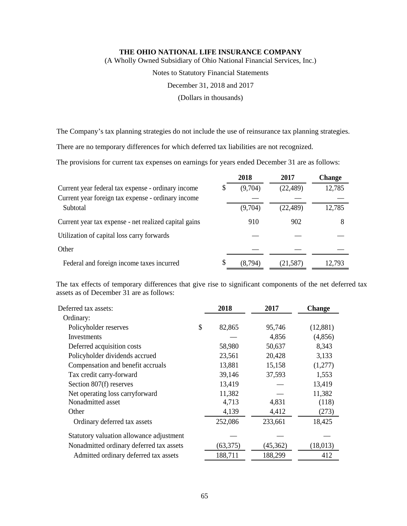(A Wholly Owned Subsidiary of Ohio National Financial Services, Inc.)

Notes to Statutory Financial Statements

December 31, 2018 and 2017

(Dollars in thousands)

The Company's tax planning strategies do not include the use of reinsurance tax planning strategies.

There are no temporary differences for which deferred tax liabilities are not recognized.

The provisions for current tax expenses on earnings for years ended December 31 are as follows:

|                                                       | 2018          | 2017      | <b>Change</b> |
|-------------------------------------------------------|---------------|-----------|---------------|
| Current year federal tax expense - ordinary income    | (9,704)       | (22, 489) | 12,785        |
| Current year foreign tax expense - ordinary income    |               |           |               |
| Subtotal                                              | (9,704)       | (22, 489) | 12,785        |
| Current year tax expense - net realized capital gains | 910           | 902       | 8             |
| Utilization of capital loss carry forwards            |               |           |               |
| Other                                                 |               |           |               |
| Federal and foreign income taxes incurred             | \$<br>(8,794) | (21, 587) | 12,793        |

The tax effects of temporary differences that give rise to significant components of the net deferred tax assets as of December 31 are as follows:

| Deferred tax assets:                     | 2018         | 2017     | <b>Change</b> |
|------------------------------------------|--------------|----------|---------------|
| Ordinary:                                |              |          |               |
| Policyholder reserves                    | \$<br>82,865 | 95,746   | (12,881)      |
| <b>Investments</b>                       |              | 4,856    | (4,856)       |
| Deferred acquisition costs               | 58,980       | 50,637   | 8,343         |
| Policyholder dividends accrued           | 23,561       | 20,428   | 3,133         |
| Compensation and benefit accruals        | 13,881       | 15,158   | (1,277)       |
| Tax credit carry-forward                 | 39,146       | 37,593   | 1,553         |
| Section 807(f) reserves                  | 13,419       |          | 13,419        |
| Net operating loss carryforward          | 11,382       |          | 11,382        |
| Nonadmitted asset                        | 4,713        | 4,831    | (118)         |
| Other                                    | 4,139        | 4,412    | (273)         |
| Ordinary deferred tax assets             | 252,086      | 233,661  | 18,425        |
| Statutory valuation allowance adjustment |              |          |               |
| Nonadmitted ordinary deferred tax assets | (63, 375)    | (45,362) | (18, 013)     |
| Admitted ordinary deferred tax assets    | 188,711      | 188,299  | 412           |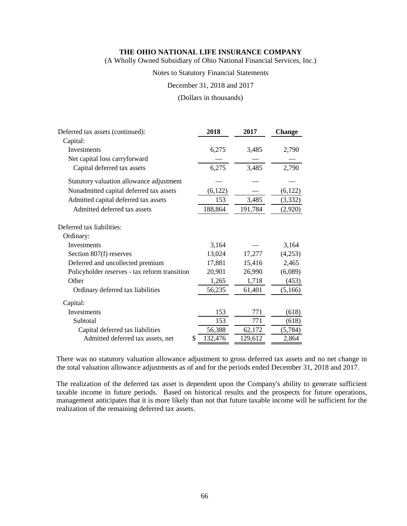(A Wholly Owned Subsidiary of Ohio National Financial Services, Inc.)

#### Notes to Statutory Financial Statements

December 31, 2018 and 2017

#### (Dollars in thousands)

| Deferred tax assets (continued):              | 2018    | 2017    | <b>Change</b> |
|-----------------------------------------------|---------|---------|---------------|
| Capital:                                      |         |         |               |
| Investments                                   | 6,275   | 3,485   | 2,790         |
| Net capital loss carryforward                 |         |         |               |
| Capital deferred tax assets                   | 6,275   | 3,485   | 2,790         |
| Statutory valuation allowance adjustment      |         |         |               |
| Nonadmitted capital deferred tax assets       | (6,122) |         | (6,122)       |
| Admitted capital deferred tax assets          | 153     | 3,485   | (3,332)       |
| Admitted deferred tax assets                  | 188,864 | 191,784 | (2,920)       |
| Deferred tax liabilities:                     |         |         |               |
| Ordinary:                                     |         |         |               |
| <b>Investments</b>                            | 3,164   |         | 3,164         |
| Section 807(f) reserves                       | 13,024  | 17,277  | (4,253)       |
| Deferred and uncollected premium              | 17,881  | 15,416  | 2,465         |
| Policyholder reserves - tax reform transition | 20,901  | 26,990  | (6,089)       |
| Other                                         | 1,265   | 1,718   | (453)         |
| Ordinary deferred tax liabilities             | 56,235  | 61,401  | (5,166)       |
| Capital:                                      |         |         |               |
| Investments                                   | 153     | 771     | (618)         |
| Subtotal                                      | 153     | 771     | (618)         |
| Capital deferred tax liabilities              | 56,388  | 62,172  | (5,784)       |
| Admitted deferred tax assets, net<br>S        | 132,476 | 129,612 | 2,864         |

There was no statutory valuation allowance adjustment to gross deferred tax assets and no net change in the total valuation allowance adjustments as of and for the periods ended December 31, 2018 and 2017.

The realization of the deferred tax asset is dependent upon the Company's ability to generate sufficient taxable income in future periods. Based on historical results and the prospects for future operations, management anticipates that it is more likely than not that future taxable income will be sufficient for the realization of the remaining deferred tax assets.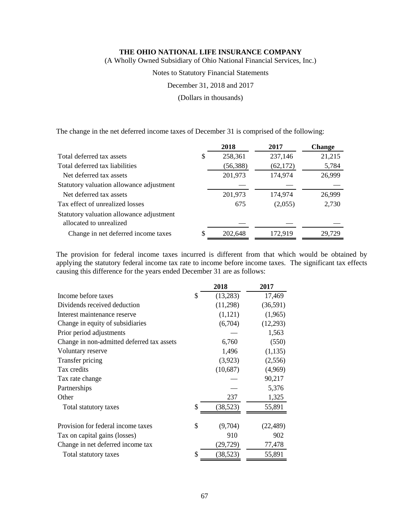(A Wholly Owned Subsidiary of Ohio National Financial Services, Inc.)

Notes to Statutory Financial Statements

December 31, 2018 and 2017

(Dollars in thousands)

The change in the net deferred income taxes of December 31 is comprised of the following:

|                                                                     | 2018          | 2017      | <b>Change</b> |
|---------------------------------------------------------------------|---------------|-----------|---------------|
| Total deferred tax assets                                           | \$<br>258,361 | 237,146   | 21,215        |
| Total deferred tax liabilities                                      | (56, 388)     | (62, 172) | 5,784         |
| Net deferred tax assets                                             | 201,973       | 174,974   | 26,999        |
| Statutory valuation allowance adjustment                            |               |           |               |
| Net deferred tax assets                                             | 201,973       | 174,974   | 26,999        |
| Tax effect of unrealized losses                                     | 675           | (2,055)   | 2,730         |
| Statutory valuation allowance adjustment<br>allocated to unrealized |               |           |               |
| Change in net deferred income taxes                                 | \$<br>202,648 | 172,919   | 29,729        |

The provision for federal income taxes incurred is different from that which would be obtained by applying the statutory federal income tax rate to income before income taxes. The significant tax effects causing this difference for the years ended December 31 are as follows:

|                                            | 2018            | 2017      |
|--------------------------------------------|-----------------|-----------|
| Income before taxes                        | \$<br>(13,283)  | 17,469    |
| Dividends received deduction               | (11,298)        | (36,591)  |
| Interest maintenance reserve               | (1,121)         | (1,965)   |
| Change in equity of subsidiaries           | (6,704)         | (12,293)  |
| Prior period adjustments                   |                 | 1,563     |
| Change in non-admitted deferred tax assets | 6,760           | (550)     |
| Voluntary reserve                          | 1,496           | (1, 135)  |
| Transfer pricing                           | (3,923)         | (2,556)   |
| Tax credits                                | (10,687)        | (4,969)   |
| Tax rate change                            |                 | 90,217    |
| Partnerships                               |                 | 5,376     |
| Other                                      | 237             | 1,325     |
| Total statutory taxes                      | \$<br>(38, 523) | 55,891    |
| Provision for federal income taxes         | \$<br>(9,704)   | (22, 489) |
| Tax on capital gains (losses)              | 910             | 902       |
| Change in net deferred income tax          | (29, 729)       | 77,478    |
|                                            | \$              |           |
| Total statutory taxes                      | (38, 523)       | 55,891    |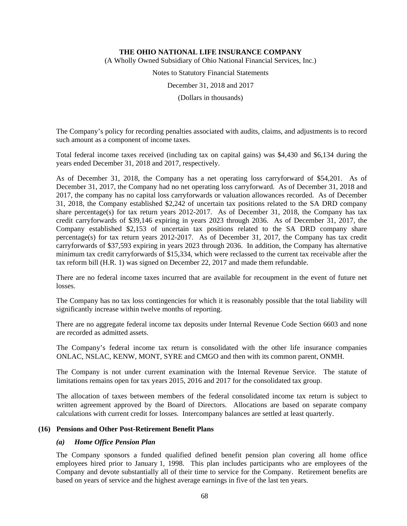(A Wholly Owned Subsidiary of Ohio National Financial Services, Inc.)

Notes to Statutory Financial Statements

December 31, 2018 and 2017

(Dollars in thousands)

The Company's policy for recording penalties associated with audits, claims, and adjustments is to record such amount as a component of income taxes.

Total federal income taxes received (including tax on capital gains) was \$4,430 and \$6,134 during the years ended December 31, 2018 and 2017, respectively.

As of December 31, 2018, the Company has a net operating loss carryforward of \$54,201. As of December 31, 2017, the Company had no net operating loss carryforward. As of December 31, 2018 and 2017, the company has no capital loss carryforwards or valuation allowances recorded. As of December 31, 2018, the Company established \$2,242 of uncertain tax positions related to the SA DRD company share percentage(s) for tax return years 2012-2017. As of December 31, 2018, the Company has tax credit carryforwards of \$39,146 expiring in years 2023 through 2036. As of December 31, 2017, the Company established \$2,153 of uncertain tax positions related to the SA DRD company share percentage(s) for tax return years 2012-2017. As of December 31, 2017, the Company has tax credit carryforwards of \$37,593 expiring in years 2023 through 2036. In addition, the Company has alternative minimum tax credit carryforwards of \$15,334, which were reclassed to the current tax receivable after the tax reform bill (H.R. 1) was signed on December 22, 2017 and made them refundable.

There are no federal income taxes incurred that are available for recoupment in the event of future net losses.

The Company has no tax loss contingencies for which it is reasonably possible that the total liability will significantly increase within twelve months of reporting.

There are no aggregate federal income tax deposits under Internal Revenue Code Section 6603 and none are recorded as admitted assets.

The Company's federal income tax return is consolidated with the other life insurance companies ONLAC, NSLAC, KENW, MONT, SYRE and CMGO and then with its common parent, ONMH.

The Company is not under current examination with the Internal Revenue Service. The statute of limitations remains open for tax years 2015, 2016 and 2017 for the consolidated tax group.

The allocation of taxes between members of the federal consolidated income tax return is subject to written agreement approved by the Board of Directors. Allocations are based on separate company calculations with current credit for losses. Intercompany balances are settled at least quarterly.

#### **(16) Pensions and Other Post-Retirement Benefit Plans**

#### *(a) Home Office Pension Plan*

The Company sponsors a funded qualified defined benefit pension plan covering all home office employees hired prior to January 1, 1998. This plan includes participants who are employees of the Company and devote substantially all of their time to service for the Company. Retirement benefits are based on years of service and the highest average earnings in five of the last ten years.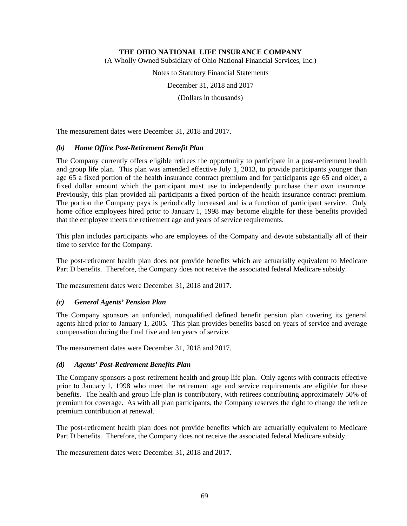(A Wholly Owned Subsidiary of Ohio National Financial Services, Inc.)

Notes to Statutory Financial Statements

December 31, 2018 and 2017

(Dollars in thousands)

The measurement dates were December 31, 2018 and 2017.

## *(b) Home Office Post-Retirement Benefit Plan*

The Company currently offers eligible retirees the opportunity to participate in a post-retirement health and group life plan. This plan was amended effective July 1, 2013, to provide participants younger than age 65 a fixed portion of the health insurance contract premium and for participants age 65 and older, a fixed dollar amount which the participant must use to independently purchase their own insurance. Previously, this plan provided all participants a fixed portion of the health insurance contract premium. The portion the Company pays is periodically increased and is a function of participant service. Only home office employees hired prior to January 1, 1998 may become eligible for these benefits provided that the employee meets the retirement age and years of service requirements.

This plan includes participants who are employees of the Company and devote substantially all of their time to service for the Company.

The post-retirement health plan does not provide benefits which are actuarially equivalent to Medicare Part D benefits. Therefore, the Company does not receive the associated federal Medicare subsidy.

The measurement dates were December 31, 2018 and 2017.

# *(c) General Agents' Pension Plan*

The Company sponsors an unfunded, nonqualified defined benefit pension plan covering its general agents hired prior to January 1, 2005. This plan provides benefits based on years of service and average compensation during the final five and ten years of service.

The measurement dates were December 31, 2018 and 2017.

#### *(d) Agents' Post-Retirement Benefits Plan*

The Company sponsors a post-retirement health and group life plan. Only agents with contracts effective prior to January 1, 1998 who meet the retirement age and service requirements are eligible for these benefits. The health and group life plan is contributory, with retirees contributing approximately 50% of premium for coverage. As with all plan participants, the Company reserves the right to change the retiree premium contribution at renewal.

The post-retirement health plan does not provide benefits which are actuarially equivalent to Medicare Part D benefits. Therefore, the Company does not receive the associated federal Medicare subsidy.

The measurement dates were December 31, 2018 and 2017.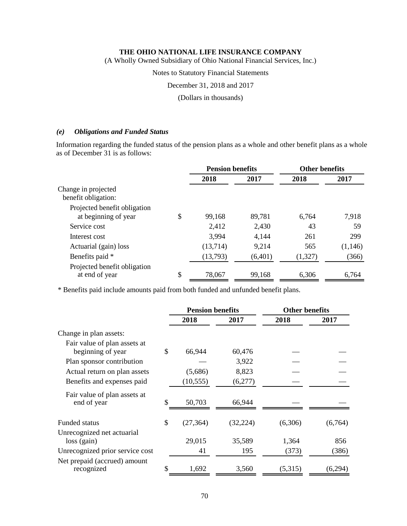(A Wholly Owned Subsidiary of Ohio National Financial Services, Inc.)

Notes to Statutory Financial Statements

December 31, 2018 and 2017

(Dollars in thousands)

## *(e) Obligations and Funded Status*

Information regarding the funded status of the pension plans as a whole and other benefit plans as a whole as of December 31 is as follows:

|                                                | <b>Pension benefits</b> |         | <b>Other benefits</b> |         |
|------------------------------------------------|-------------------------|---------|-----------------------|---------|
|                                                | 2018                    | 2017    | 2018                  | 2017    |
| Change in projected                            |                         |         |                       |         |
| benefit obligation:                            |                         |         |                       |         |
| Projected benefit obligation                   |                         |         |                       |         |
| at beginning of year                           | \$<br>99,168            | 89,781  | 6,764                 | 7,918   |
| Service cost                                   | 2,412                   | 2,430   | 43                    | 59      |
| Interest cost                                  | 3,994                   | 4,144   | 261                   | 299     |
| Actuarial (gain) loss                          | (13,714)                | 9,214   | 565                   | (1,146) |
| Benefits paid *                                | (13,793)                | (6,401) | (1,327)               | (366)   |
| Projected benefit obligation<br>at end of year | \$<br>78,067            | 99,168  | 6,306                 | 6,764   |

\* Benefits paid include amounts paid from both funded and unfunded benefit plans.

|                                             |     | <b>Pension benefits</b> |           | <b>Other benefits</b> |         |
|---------------------------------------------|-----|-------------------------|-----------|-----------------------|---------|
|                                             |     | 2018                    | 2017      | 2018                  | 2017    |
| Change in plan assets:                      |     |                         |           |                       |         |
| Fair value of plan assets at                |     |                         |           |                       |         |
| beginning of year                           | \$  | 66,944                  | 60,476    |                       |         |
| Plan sponsor contribution                   |     |                         | 3,922     |                       |         |
| Actual return on plan assets                |     | (5,686)                 | 8,823     |                       |         |
| Benefits and expenses paid                  |     | (10, 555)               | (6,277)   |                       |         |
| Fair value of plan assets at<br>end of year | \$. | 50,703                  | 66,944    |                       |         |
| <b>Funded status</b>                        | \$  | (27, 364)               | (32, 224) | (6,306)               | (6,764) |
| Unrecognized net actuarial                  |     |                         |           |                       |         |
| $loss$ (gain)                               |     | 29,015                  | 35,589    | 1,364                 | 856     |
| Unrecognized prior service cost             |     | 41                      | 195       | (373)                 | (386)   |
| Net prepaid (accrued) amount                |     |                         |           |                       |         |
| recognized                                  | S   | 1,692                   | 3,560     | (5,315)               | (6,294) |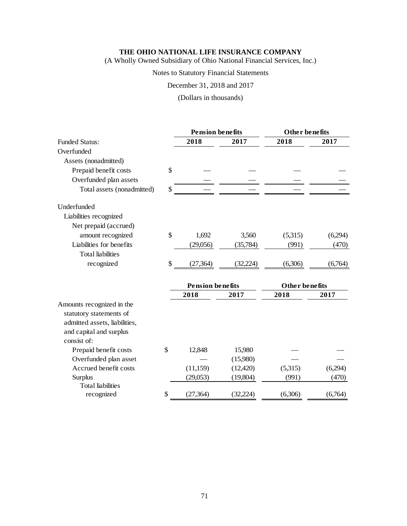(A Wholly Owned Subsidiary of Ohio National Financial Services, Inc.)

# Notes to Statutory Financial Statements

December 31, 2018 and 2017

(Dollars in thousands)

|                                                                                                                  | <b>Pension benefits</b> |           | <b>Other benefits</b> |         |
|------------------------------------------------------------------------------------------------------------------|-------------------------|-----------|-----------------------|---------|
| <b>Funded Status:</b>                                                                                            | 2018                    | 2017      | 2018                  | 2017    |
| Overfunded                                                                                                       |                         |           |                       |         |
| Assets (nonadmitted)                                                                                             |                         |           |                       |         |
| Prepaid benefit costs                                                                                            | \$                      |           |                       |         |
| Overfunded plan assets                                                                                           |                         |           |                       |         |
| Total assets (nonadmitted)                                                                                       | \$                      |           |                       |         |
| Underfunded                                                                                                      |                         |           |                       |         |
| Liabilities recognized                                                                                           |                         |           |                       |         |
| Net prepaid (accrued)                                                                                            |                         |           |                       |         |
| amount recognized                                                                                                | \$<br>1,692             | 3,560     | (5,315)               | (6,294) |
| Liabilities for benefits                                                                                         | (29,056)                | (35, 784) | (991)                 | (470)   |
| <b>Total liabilities</b>                                                                                         |                         |           |                       |         |
| recognized                                                                                                       | \$<br>(27, 364)         | (32, 224) | (6,306)               | (6,764) |
|                                                                                                                  | <b>Pension benefits</b> |           | Other benefits        |         |
|                                                                                                                  | 2018                    | 2017      | 2018<br>2017          |         |
| Amounts recognized in the<br>statutory statements of<br>admitted assets, liabilities,<br>and capital and surplus |                         |           |                       |         |
| consist of:<br>Prepaid benefit costs                                                                             | \$<br>12,848            | 15,980    |                       |         |
| Overfunded plan asset                                                                                            |                         | (15,980)  |                       |         |
| Accrued benefit costs                                                                                            | (11, 159)               | (12, 420) | (5,315)               | (6,294) |
| Surplus                                                                                                          | (29,053)                | (19,804)  | (991)                 | (470)   |
| <b>Total liabilities</b>                                                                                         |                         |           |                       |         |
| recognized                                                                                                       | \$<br>(27, 364)         | (32, 224) | (6,306)               | (6,764) |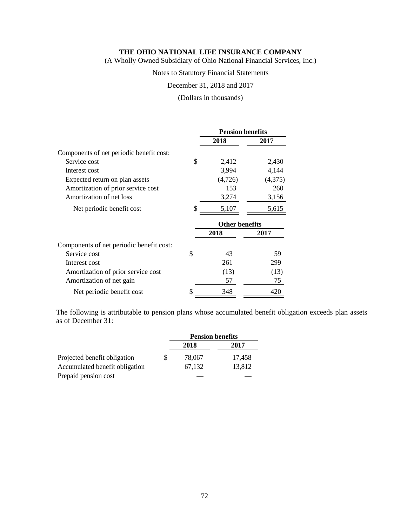(A Wholly Owned Subsidiary of Ohio National Financial Services, Inc.)

Notes to Statutory Financial Statements

December 31, 2018 and 2017

(Dollars in thousands)

|                                          | <b>Pension benefits</b> |                |         |
|------------------------------------------|-------------------------|----------------|---------|
|                                          |                         | 2018           | 2017    |
| Components of net periodic benefit cost: |                         |                |         |
| Service cost                             | \$                      | 2,412          | 2,430   |
| Interest cost                            |                         | 3,994          | 4,144   |
| Expected return on plan assets           |                         | (4,726)        | (4,375) |
| Amortization of prior service cost       |                         | 153            | 260     |
| Amortization of net loss                 |                         | 3,274          | 3,156   |
| Net periodic benefit cost                | \$                      | 5,107          | 5,615   |
|                                          |                         | Other benefits |         |
|                                          |                         | 2018           | 2017    |
| Components of net periodic benefit cost: |                         |                |         |
| Service cost                             | \$                      | 43             | 59      |
| Interest cost                            |                         | 261            | 299     |
| Amortization of prior service cost       |                         | (13)           | (13)    |
| Amortization of net gain                 |                         | 57             | 75      |
| Net periodic benefit cost                | \$                      | 348            | 420     |

The following is attributable to pension plans whose accumulated benefit obligation exceeds plan assets as of December 31:

|                                |   | <b>Pension benefits</b> |        |  |
|--------------------------------|---|-------------------------|--------|--|
|                                |   | 2018                    | 2017   |  |
| Projected benefit obligation   | S | 78,067                  | 17.458 |  |
| Accumulated benefit obligation |   | 67.132                  | 13,812 |  |
| Prepaid pension cost           |   |                         |        |  |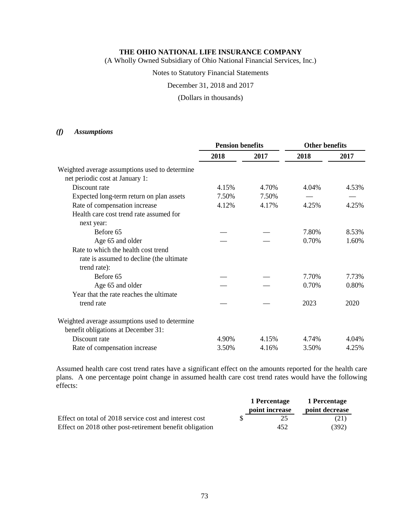(A Wholly Owned Subsidiary of Ohio National Financial Services, Inc.)

# Notes to Statutory Financial Statements

December 31, 2018 and 2017

# (Dollars in thousands)

# *(f) Assumptions*

|                                                | <b>Pension benefits</b> |       | <b>Other benefits</b> |       |
|------------------------------------------------|-------------------------|-------|-----------------------|-------|
|                                                | 2018                    | 2017  | 2018                  | 2017  |
| Weighted average assumptions used to determine |                         |       |                       |       |
| net periodic cost at January 1:                |                         |       |                       |       |
| Discount rate                                  | 4.15%                   | 4.70% | 4.04%                 | 4.53% |
| Expected long-term return on plan assets       | 7.50%                   | 7.50% |                       |       |
| Rate of compensation increase                  | 4.12%                   | 4.17% | 4.25%                 | 4.25% |
| Health care cost trend rate assumed for        |                         |       |                       |       |
| next year:                                     |                         |       |                       |       |
| Before 65                                      |                         |       | 7.80%                 | 8.53% |
| Age 65 and older                               |                         |       | 0.70%                 | 1.60% |
| Rate to which the health cost trend            |                         |       |                       |       |
| rate is assumed to decline (the ultimate       |                         |       |                       |       |
| trend rate):                                   |                         |       |                       |       |
| Before 65                                      |                         |       | 7.70%                 | 7.73% |
| Age 65 and older                               |                         |       | 0.70%                 | 0.80% |
| Year that the rate reaches the ultimate        |                         |       |                       |       |
| trend rate                                     |                         |       | 2023                  | 2020  |
| Weighted average assumptions used to determine |                         |       |                       |       |
| benefit obligations at December 31:            |                         |       |                       |       |
| Discount rate                                  | 4.90%                   | 4.15% | 4.74%                 | 4.04% |
| Rate of compensation increase                  | 3.50%                   | 4.16% | 3.50%                 | 4.25% |

Assumed health care cost trend rates have a significant effect on the amounts reported for the health care plans. A one percentage point change in assumed health care cost trend rates would have the following effects:

|                                                         | 1 Percentage   | 1 Percentage   |
|---------------------------------------------------------|----------------|----------------|
|                                                         | point increase | point decrease |
| Effect on total of 2018 service cost and interest cost  | 25.            | (21)           |
| Effect on 2018 other post-retirement benefit obligation | 452            | (392)          |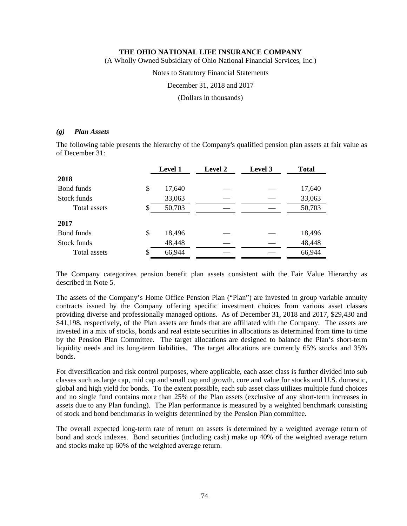(A Wholly Owned Subsidiary of Ohio National Financial Services, Inc.)

Notes to Statutory Financial Statements

December 31, 2018 and 2017

(Dollars in thousands)

# *(g) Plan Assets*

The following table presents the hierarchy of the Company's qualified pension plan assets at fair value as of December 31:

|              |    | <b>Level 1</b> | <b>Level 2</b> | Level 3 | <b>Total</b> |
|--------------|----|----------------|----------------|---------|--------------|
| 2018         |    |                |                |         |              |
| Bond funds   | \$ | 17,640         |                |         | 17,640       |
| Stock funds  |    | 33,063         |                |         | 33,063       |
| Total assets | S  | 50,703         |                |         | 50,703       |
| 2017         |    |                |                |         |              |
| Bond funds   | \$ | 18,496         |                |         | 18,496       |
| Stock funds  |    | 48,448         |                |         | 48,448       |
| Total assets | S  | 66,944         |                |         | 66,944       |

The Company categorizes pension benefit plan assets consistent with the Fair Value Hierarchy as described in Note 5.

The assets of the Company's Home Office Pension Plan ("Plan") are invested in group variable annuity contracts issued by the Company offering specific investment choices from various asset classes providing diverse and professionally managed options. As of December 31, 2018 and 2017, \$29,430 and \$41,198, respectively, of the Plan assets are funds that are affiliated with the Company. The assets are invested in a mix of stocks, bonds and real estate securities in allocations as determined from time to time by the Pension Plan Committee. The target allocations are designed to balance the Plan's short-term liquidity needs and its long-term liabilities. The target allocations are currently 65% stocks and 35% bonds.

For diversification and risk control purposes, where applicable, each asset class is further divided into sub classes such as large cap, mid cap and small cap and growth, core and value for stocks and U.S. domestic, global and high yield for bonds. To the extent possible, each sub asset class utilizes multiple fund choices and no single fund contains more than 25% of the Plan assets (exclusive of any short-term increases in assets due to any Plan funding). The Plan performance is measured by a weighted benchmark consisting of stock and bond benchmarks in weights determined by the Pension Plan committee.

The overall expected long-term rate of return on assets is determined by a weighted average return of bond and stock indexes. Bond securities (including cash) make up 40% of the weighted average return and stocks make up 60% of the weighted average return.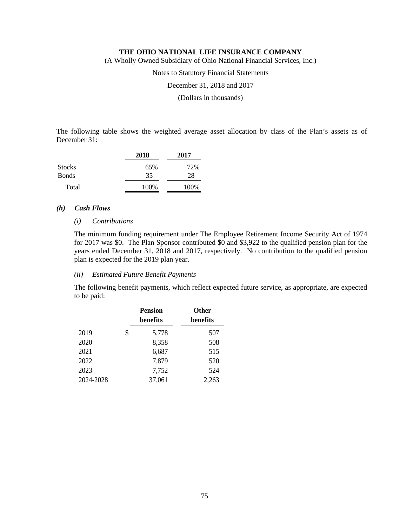(A Wholly Owned Subsidiary of Ohio National Financial Services, Inc.)

Notes to Statutory Financial Statements

December 31, 2018 and 2017

(Dollars in thousands)

The following table shows the weighted average asset allocation by class of the Plan's assets as of December 31:

|               | 2018 | 2017 |  |
|---------------|------|------|--|
| <b>Stocks</b> | 65%  | 72%  |  |
| <b>Bonds</b>  | 35   | 28   |  |
| Total         | 100% | 100% |  |

# *(h) Cash Flows*

#### *(i) Contributions*

The minimum funding requirement under The Employee Retirement Income Security Act of 1974 for 2017 was \$0. The Plan Sponsor contributed \$0 and \$3,922 to the qualified pension plan for the years ended December 31, 2018 and 2017, respectively. No contribution to the qualified pension plan is expected for the 2019 plan year.

# *(ii) Estimated Future Benefit Payments*

The following benefit payments, which reflect expected future service, as appropriate, are expected to be paid:

|           | <b>Pension</b><br>benefits | <b>Other</b><br>benefits |
|-----------|----------------------------|--------------------------|
| 2019      | \$<br>5,778                | 507                      |
| 2020      | 8,358                      | 508                      |
| 2021      | 6,687                      | 515                      |
| 2022      | 7,879                      | 520                      |
| 2023      | 7,752                      | 524                      |
| 2024-2028 | 37,061                     | 2,263                    |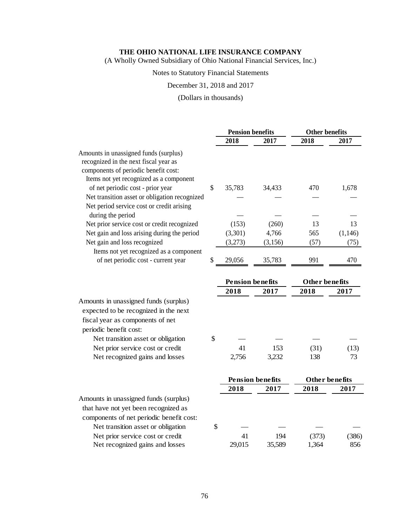(A Wholly Owned Subsidiary of Ohio National Financial Services, Inc.)

# Notes to Statutory Financial Statements

# December 31, 2018 and 2017

# (Dollars in thousands)

|                                               | <b>Pension benefits</b> |                         | <b>Other benefits</b> |          |
|-----------------------------------------------|-------------------------|-------------------------|-----------------------|----------|
|                                               | 2018                    | 2017                    | 2018                  | 2017     |
| Amounts in unassigned funds (surplus)         |                         |                         |                       |          |
| recognized in the next fiscal year as         |                         |                         |                       |          |
| components of periodic benefit cost:          |                         |                         |                       |          |
| Items not yet recognized as a component       |                         |                         |                       |          |
| of net periodic cost - prior year             | \$<br>35,783            | 34,433                  | 470                   | 1,678    |
| Net transition asset or obligation recognized |                         |                         |                       |          |
| Net period service cost or credit arising     |                         |                         |                       |          |
| during the period                             |                         |                         |                       |          |
| Net prior service cost or credit recognized   | (153)                   | (260)                   | 13                    | 13       |
| Net gain and loss arising during the period   | (3,301)                 | 4,766                   | 565                   | (1, 146) |
| Net gain and loss recognized                  | (3,273)                 | (3, 156)                | (57)                  | (75)     |
| Items not yet recognized as a component       |                         |                         |                       |          |
| of net periodic cost - current year           | \$<br>29,056            | 35,783                  | 991                   | 470      |
|                                               |                         |                         |                       |          |
|                                               | <b>Pension benefits</b> |                         | <b>Other benefits</b> |          |
|                                               | 2018                    | 2017                    | 2018                  | 2017     |
| Amounts in unassigned funds (surplus)         |                         |                         |                       |          |
| expected to be recognized in the next         |                         |                         |                       |          |
| fiscal year as components of net              |                         |                         |                       |          |
| periodic benefit cost:                        |                         |                         |                       |          |
| Net transition asset or obligation            | \$                      |                         |                       |          |
| Net prior service cost or credit              | 41                      | 153                     | (31)                  | (13)     |
| Net recognized gains and losses               | 2,756                   | 3,232                   | 138                   | 73       |
|                                               |                         |                         |                       |          |
|                                               |                         | <b>Pension benefits</b> | Other benefits        |          |
|                                               | 2018                    | 2017                    | 2018                  | 2017     |
| Amounts in unassigned funds (surplus)         |                         |                         |                       |          |
| that have not yet been recognized as          |                         |                         |                       |          |
| components of net periodic benefit cost:      |                         |                         |                       |          |
| Net transition asset or obligation            | \$                      |                         |                       |          |
| Net prior service cost or credit              | 41                      | 194                     | (373)                 | (386)    |
| Net recognized gains and losses               | 29,015                  | 35,589                  | 1,364                 | 856      |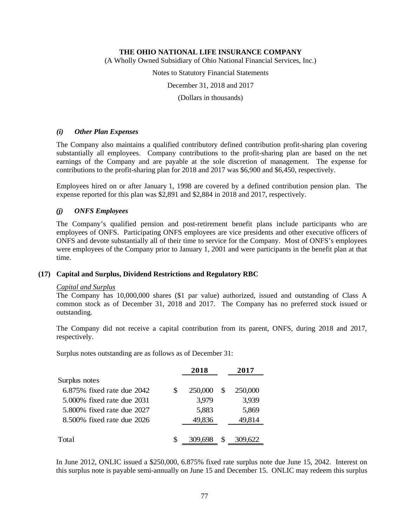(A Wholly Owned Subsidiary of Ohio National Financial Services, Inc.)

Notes to Statutory Financial Statements

December 31, 2018 and 2017

(Dollars in thousands)

# *(i) Other Plan Expenses*

The Company also maintains a qualified contributory defined contribution profit-sharing plan covering substantially all employees. Company contributions to the profit-sharing plan are based on the net earnings of the Company and are payable at the sole discretion of management. The expense for contributions to the profit-sharing plan for 2018 and 2017 was \$6,900 and \$6,450, respectively.

Employees hired on or after January 1, 1998 are covered by a defined contribution pension plan. The expense reported for this plan was \$2,891 and \$2,884 in 2018 and 2017, respectively.

# *(j) ONFS Employees*

The Company's qualified pension and post-retirement benefit plans include participants who are employees of ONFS. Participating ONFS employees are vice presidents and other executive officers of ONFS and devote substantially all of their time to service for the Company. Most of ONFS's employees were employees of the Company prior to January 1, 2001 and were participants in the benefit plan at that time.

### **(17) Capital and Surplus, Dividend Restrictions and Regulatory RBC**

### *Capital and Surplus*

The Company has 10,000,000 shares (\$1 par value) authorized, issued and outstanding of Class A common stock as of December 31, 2018 and 2017. The Company has no preferred stock issued or outstanding.

The Company did not receive a capital contribution from its parent, ONFS, during 2018 and 2017, respectively.

Surplus notes outstanding are as follows as of December 31:

|                            |   | 2018    |   | 2017    |
|----------------------------|---|---------|---|---------|
| Surplus notes              |   |         |   |         |
| 6.875% fixed rate due 2042 | S | 250,000 |   | 250,000 |
| 5,000% fixed rate due 2031 |   | 3,979   |   | 3,939   |
| 5.800% fixed rate due 2027 |   | 5,883   |   | 5,869   |
| 8.500% fixed rate due 2026 |   | 49,836  |   | 49,814  |
|                            |   |         |   |         |
| Total                      | S | 309.698 | S | 309,622 |

In June 2012, ONLIC issued a \$250,000, 6.875% fixed rate surplus note due June 15, 2042. Interest on this surplus note is payable semi-annually on June 15 and December 15. ONLIC may redeem this surplus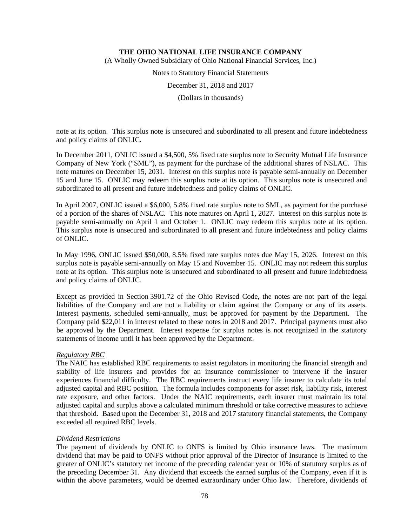(A Wholly Owned Subsidiary of Ohio National Financial Services, Inc.)

Notes to Statutory Financial Statements

December 31, 2018 and 2017

(Dollars in thousands)

note at its option. This surplus note is unsecured and subordinated to all present and future indebtedness and policy claims of ONLIC.

In December 2011, ONLIC issued a \$4,500, 5% fixed rate surplus note to Security Mutual Life Insurance Company of New York ("SML"), as payment for the purchase of the additional shares of NSLAC. This note matures on December 15, 2031. Interest on this surplus note is payable semi-annually on December 15 and June 15. ONLIC may redeem this surplus note at its option. This surplus note is unsecured and subordinated to all present and future indebtedness and policy claims of ONLIC.

In April 2007, ONLIC issued a \$6,000, 5.8% fixed rate surplus note to SML, as payment for the purchase of a portion of the shares of NSLAC. This note matures on April 1, 2027. Interest on this surplus note is payable semi-annually on April 1 and October 1. ONLIC may redeem this surplus note at its option. This surplus note is unsecured and subordinated to all present and future indebtedness and policy claims of ONLIC.

In May 1996, ONLIC issued \$50,000, 8.5% fixed rate surplus notes due May 15, 2026. Interest on this surplus note is payable semi-annually on May 15 and November 15. ONLIC may not redeem this surplus note at its option. This surplus note is unsecured and subordinated to all present and future indebtedness and policy claims of ONLIC.

Except as provided in Section 3901.72 of the Ohio Revised Code, the notes are not part of the legal liabilities of the Company and are not a liability or claim against the Company or any of its assets. Interest payments, scheduled semi-annually, must be approved for payment by the Department. The Company paid \$22,011 in interest related to these notes in 2018 and 2017. Principal payments must also be approved by the Department. Interest expense for surplus notes is not recognized in the statutory statements of income until it has been approved by the Department.

# *Regulatory RBC*

The NAIC has established RBC requirements to assist regulators in monitoring the financial strength and stability of life insurers and provides for an insurance commissioner to intervene if the insurer experiences financial difficulty. The RBC requirements instruct every life insurer to calculate its total adjusted capital and RBC position. The formula includes components for asset risk, liability risk, interest rate exposure, and other factors. Under the NAIC requirements, each insurer must maintain its total adjusted capital and surplus above a calculated minimum threshold or take corrective measures to achieve that threshold. Based upon the December 31, 2018 and 2017 statutory financial statements, the Company exceeded all required RBC levels.

### *Dividend Restrictions*

The payment of dividends by ONLIC to ONFS is limited by Ohio insurance laws. The maximum dividend that may be paid to ONFS without prior approval of the Director of Insurance is limited to the greater of ONLIC's statutory net income of the preceding calendar year or 10% of statutory surplus as of the preceding December 31. Any dividend that exceeds the earned surplus of the Company, even if it is within the above parameters, would be deemed extraordinary under Ohio law. Therefore, dividends of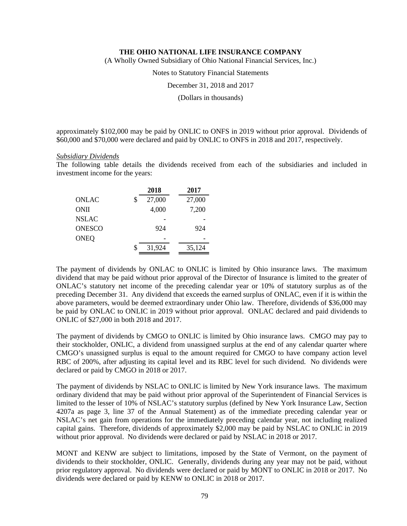(A Wholly Owned Subsidiary of Ohio National Financial Services, Inc.)

Notes to Statutory Financial Statements

December 31, 2018 and 2017

(Dollars in thousands)

approximately \$102,000 may be paid by ONLIC to ONFS in 2019 without prior approval. Dividends of \$60,000 and \$70,000 were declared and paid by ONLIC to ONFS in 2018 and 2017, respectively.

#### *Subsidiary Dividends*

The following table details the dividends received from each of the subsidiaries and included in investment income for the years:

|               | 2018         | 2017   |
|---------------|--------------|--------|
| ONLAC         | \$<br>27,000 | 27,000 |
| <b>ONII</b>   | 4,000        | 7,200  |
| <b>NSLAC</b>  |              |        |
| <b>ONESCO</b> | 924          | 924    |
| <b>ONEQ</b>   |              |        |
|               | \$<br>31,924 | 35,124 |
|               |              |        |

The payment of dividends by ONLAC to ONLIC is limited by Ohio insurance laws. The maximum dividend that may be paid without prior approval of the Director of Insurance is limited to the greater of ONLAC's statutory net income of the preceding calendar year or 10% of statutory surplus as of the preceding December 31. Any dividend that exceeds the earned surplus of ONLAC, even if it is within the above parameters, would be deemed extraordinary under Ohio law. Therefore, dividends of \$36,000 may be paid by ONLAC to ONLIC in 2019 without prior approval. ONLAC declared and paid dividends to ONLIC of \$27,000 in both 2018 and 2017.

The payment of dividends by CMGO to ONLIC is limited by Ohio insurance laws. CMGO may pay to their stockholder, ONLIC, a dividend from unassigned surplus at the end of any calendar quarter where CMGO's unassigned surplus is equal to the amount required for CMGO to have company action level RBC of 200%, after adjusting its capital level and its RBC level for such dividend. No dividends were declared or paid by CMGO in 2018 or 2017.

The payment of dividends by NSLAC to ONLIC is limited by New York insurance laws. The maximum ordinary dividend that may be paid without prior approval of the Superintendent of Financial Services is limited to the lesser of 10% of NSLAC's statutory surplus (defined by New York Insurance Law, Section 4207a as page 3, line 37 of the Annual Statement) as of the immediate preceding calendar year or NSLAC's net gain from operations for the immediately preceding calendar year, not including realized capital gains. Therefore, dividends of approximately \$2,000 may be paid by NSLAC to ONLIC in 2019 without prior approval. No dividends were declared or paid by NSLAC in 2018 or 2017.

MONT and KENW are subject to limitations, imposed by the State of Vermont, on the payment of dividends to their stockholder, ONLIC. Generally, dividends during any year may not be paid, without prior regulatory approval. No dividends were declared or paid by MONT to ONLIC in 2018 or 2017. No dividends were declared or paid by KENW to ONLIC in 2018 or 2017.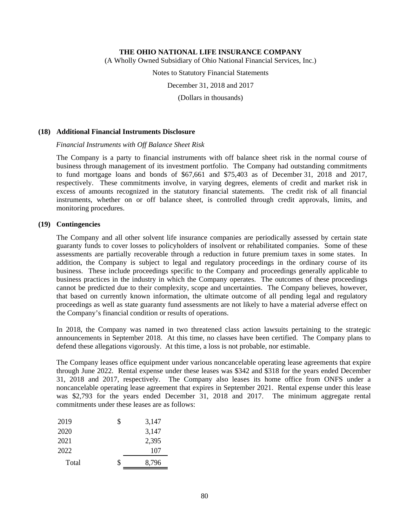(A Wholly Owned Subsidiary of Ohio National Financial Services, Inc.)

Notes to Statutory Financial Statements

December 31, 2018 and 2017

(Dollars in thousands)

### **(18) Additional Financial Instruments Disclosure**

### *Financial Instruments with Off Balance Sheet Risk*

The Company is a party to financial instruments with off balance sheet risk in the normal course of business through management of its investment portfolio. The Company had outstanding commitments to fund mortgage loans and bonds of \$67,661 and \$75,403 as of December 31, 2018 and 2017, respectively. These commitments involve, in varying degrees, elements of credit and market risk in excess of amounts recognized in the statutory financial statements. The credit risk of all financial instruments, whether on or off balance sheet, is controlled through credit approvals, limits, and monitoring procedures.

# **(19) Contingencies**

The Company and all other solvent life insurance companies are periodically assessed by certain state guaranty funds to cover losses to policyholders of insolvent or rehabilitated companies. Some of these assessments are partially recoverable through a reduction in future premium taxes in some states. In addition, the Company is subject to legal and regulatory proceedings in the ordinary course of its business. These include proceedings specific to the Company and proceedings generally applicable to business practices in the industry in which the Company operates. The outcomes of these proceedings cannot be predicted due to their complexity, scope and uncertainties. The Company believes, however, that based on currently known information, the ultimate outcome of all pending legal and regulatory proceedings as well as state guaranty fund assessments are not likely to have a material adverse effect on the Company's financial condition or results of operations.

In 2018, the Company was named in two threatened class action lawsuits pertaining to the strategic announcements in September 2018. At this time, no classes have been certified. The Company plans to defend these allegations vigorously. At this time, a loss is not probable, nor estimable.

The Company leases office equipment under various noncancelable operating lease agreements that expire through June 2022. Rental expense under these leases was \$342 and \$318 for the years ended December 31, 2018 and 2017, respectively. The Company also leases its home office from ONFS under a noncancelable operating lease agreement that expires in September 2021. Rental expense under this lease was \$2,793 for the years ended December 31, 2018 and 2017. The minimum aggregate rental commitments under these leases are as follows:

| S  | 3,147 |
|----|-------|
|    | 3,147 |
|    | 2,395 |
|    | 107   |
| \$ | 8,796 |
|    |       |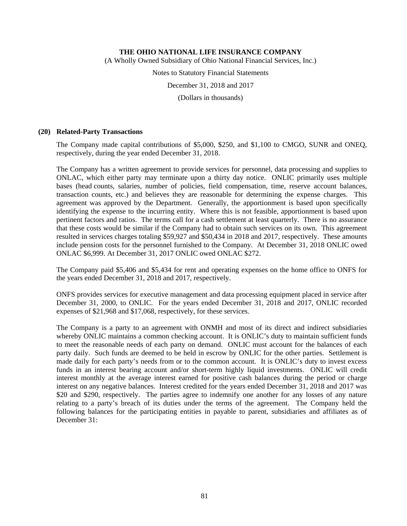(A Wholly Owned Subsidiary of Ohio National Financial Services, Inc.)

Notes to Statutory Financial Statements

December 31, 2018 and 2017

(Dollars in thousands)

#### **(20) Related-Party Transactions**

The Company made capital contributions of \$5,000, \$250, and \$1,100 to CMGO, SUNR and ONEQ, respectively, during the year ended December 31, 2018.

The Company has a written agreement to provide services for personnel, data processing and supplies to ONLAC, which either party may terminate upon a thirty day notice. ONLIC primarily uses multiple bases (head counts, salaries, number of policies, field compensation, time, reserve account balances, transaction counts, etc.) and believes they are reasonable for determining the expense charges. This agreement was approved by the Department. Generally, the apportionment is based upon specifically identifying the expense to the incurring entity. Where this is not feasible, apportionment is based upon pertinent factors and ratios. The terms call for a cash settlement at least quarterly. There is no assurance that these costs would be similar if the Company had to obtain such services on its own. This agreement resulted in services charges totaling \$59,927 and \$50,434 in 2018 and 2017, respectively. These amounts include pension costs for the personnel furnished to the Company. At December 31, 2018 ONLIC owed ONLAC \$6,999. At December 31, 2017 ONLIC owed ONLAC \$272.

The Company paid \$5,406 and \$5,434 for rent and operating expenses on the home office to ONFS for the years ended December 31, 2018 and 2017, respectively.

ONFS provides services for executive management and data processing equipment placed in service after December 31, 2000, to ONLIC. For the years ended December 31, 2018 and 2017, ONLIC recorded expenses of \$21,968 and \$17,068, respectively, for these services.

The Company is a party to an agreement with ONMH and most of its direct and indirect subsidiaries whereby ONLIC maintains a common checking account. It is ONLIC's duty to maintain sufficient funds to meet the reasonable needs of each party on demand. ONLIC must account for the balances of each party daily. Such funds are deemed to be held in escrow by ONLIC for the other parties. Settlement is made daily for each party's needs from or to the common account. It is ONLIC's duty to invest excess funds in an interest bearing account and/or short-term highly liquid investments. ONLIC will credit interest monthly at the average interest earned for positive cash balances during the period or charge interest on any negative balances. Interest credited for the years ended December 31, 2018 and 2017 was \$20 and \$290, respectively. The parties agree to indemnify one another for any losses of any nature relating to a party's breach of its duties under the terms of the agreement. The Company held the following balances for the participating entities in payable to parent, subsidiaries and affiliates as of December 31: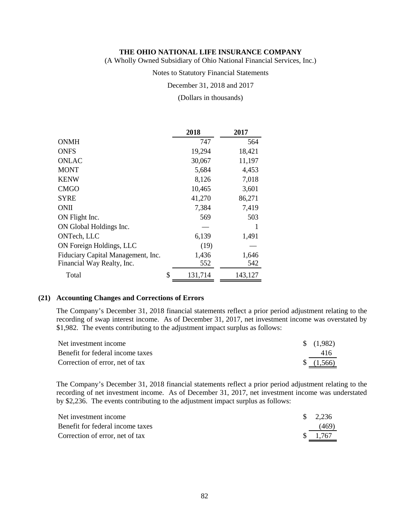(A Wholly Owned Subsidiary of Ohio National Financial Services, Inc.)

### Notes to Statutory Financial Statements

#### December 31, 2018 and 2017

#### (Dollars in thousands)

|                                    | 2018          | 2017    |
|------------------------------------|---------------|---------|
| <b>ONMH</b>                        | 747           | 564     |
| <b>ONFS</b>                        | 19,294        | 18,421  |
| <b>ONLAC</b>                       | 30,067        | 11,197  |
| <b>MONT</b>                        | 5,684         | 4,453   |
| <b>KENW</b>                        | 8,126         | 7,018   |
| <b>CMGO</b>                        | 10,465        | 3,601   |
| <b>SYRE</b>                        | 41,270        | 86,271  |
| <b>ONII</b>                        | 7,384         | 7,419   |
| ON Flight Inc.                     | 569           | 503     |
| ON Global Holdings Inc.            |               | 1       |
| ONTech, LLC                        | 6,139         | 1,491   |
| ON Foreign Holdings, LLC           | (19)          |         |
| Fiduciary Capital Management, Inc. | 1,436         | 1,646   |
| Financial Way Realty, Inc.         | 552           | 542     |
| Total                              | \$<br>131,714 | 143,127 |

#### **(21) Accounting Changes and Corrections of Errors**

The Company's December 31, 2018 financial statements reflect a prior period adjustment relating to the recording of swap interest income. As of December 31, 2017, net investment income was overstated by \$1,982. The events contributing to the adjustment impact surplus as follows:

| Net investment income            | $\frac{1}{982}$       |
|----------------------------------|-----------------------|
| Benefit for federal income taxes | 416                   |
| Correction of error, net of tax  | $\frac{1}{2}$ (1,566) |

The Company's December 31, 2018 financial statements reflect a prior period adjustment relating to the recording of net investment income. As of December 31, 2017, net investment income was understated by \$2,236. The events contributing to the adjustment impact surplus as follows:

| Net investment income            | $\frac{\$}{2.236}$ |
|----------------------------------|--------------------|
| Benefit for federal income taxes | (469)              |
| Correction of error, net of tax  | \$ 1.767           |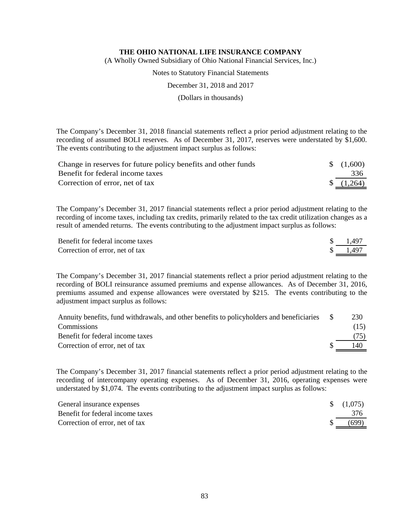(A Wholly Owned Subsidiary of Ohio National Financial Services, Inc.)

Notes to Statutory Financial Statements

December 31, 2018 and 2017

(Dollars in thousands)

The Company's December 31, 2018 financial statements reflect a prior period adjustment relating to the recording of assumed BOLI reserves. As of December 31, 2017, reserves were understated by \$1,600. The events contributing to the adjustment impact surplus as follows:

| Change in reserves for future policy benefits and other funds | $\frac{1}{2}$ (1,600) |
|---------------------------------------------------------------|-----------------------|
| Benefit for federal income taxes                              | 336                   |
| Correction of error, net of tax                               | $\{(1,264)$           |

The Company's December 31, 2017 financial statements reflect a prior period adjustment relating to the recording of income taxes, including tax credits, primarily related to the tax credit utilization changes as a result of amended returns. The events contributing to the adjustment impact surplus as follows:

| Benefit for federal income taxes | 1.497 |
|----------------------------------|-------|
| Correction of error, net of tax  | 1.497 |

The Company's December 31, 2017 financial statements reflect a prior period adjustment relating to the recording of BOLI reinsurance assumed premiums and expense allowances. As of December 31, 2016, premiums assumed and expense allowances were overstated by \$215. The events contributing to the adjustment impact surplus as follows:

| Annuity benefits, fund withdrawals, and other benefits to policyholders and beneficiaries | 230  |
|-------------------------------------------------------------------------------------------|------|
| <b>Commissions</b>                                                                        | (15) |
| Benefit for federal income taxes                                                          | (75) |
| Correction of error, net of tax                                                           | 140  |

The Company's December 31, 2017 financial statements reflect a prior period adjustment relating to the recording of intercompany operating expenses. As of December 31, 2016, operating expenses were understated by \$1,074. The events contributing to the adjustment impact surplus as follows:

| General insurance expenses       | $\frac{(1,075)}{2}$ |
|----------------------------------|---------------------|
| Benefit for federal income taxes | 376                 |
| Correction of error, net of tax  | (699)               |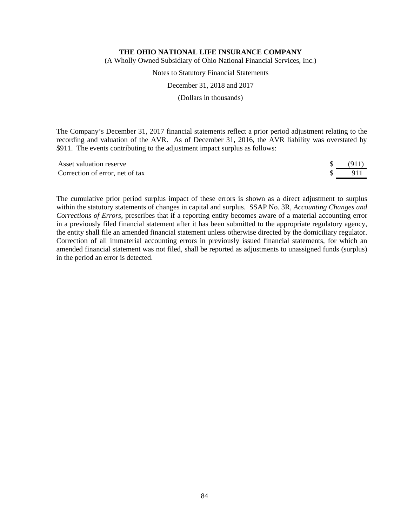(A Wholly Owned Subsidiary of Ohio National Financial Services, Inc.)

Notes to Statutory Financial Statements

December 31, 2018 and 2017

(Dollars in thousands)

The Company's December 31, 2017 financial statements reflect a prior period adjustment relating to the recording and valuation of the AVR. As of December 31, 2016, the AVR liability was overstated by \$911. The events contributing to the adjustment impact surplus as follows:

| Asset valuation reserve         | (911) |
|---------------------------------|-------|
| Correction of error, net of tax |       |

The cumulative prior period surplus impact of these errors is shown as a direct adjustment to surplus within the statutory statements of changes in capital and surplus. SSAP No. 3R, *Accounting Changes and Corrections of Errors*, prescribes that if a reporting entity becomes aware of a material accounting error in a previously filed financial statement after it has been submitted to the appropriate regulatory agency, the entity shall file an amended financial statement unless otherwise directed by the domiciliary regulator. Correction of all immaterial accounting errors in previously issued financial statements, for which an amended financial statement was not filed, shall be reported as adjustments to unassigned funds (surplus) in the period an error is detected.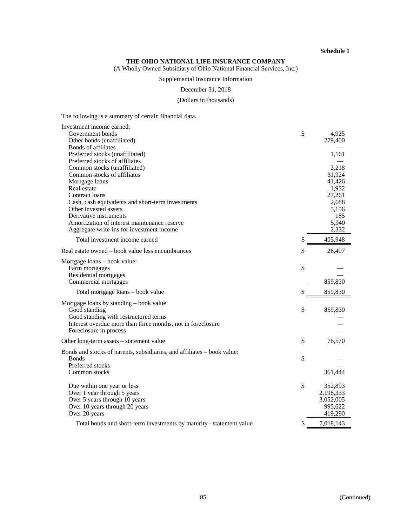#### **THE OHIO NATIONAL LIFE INSURANCE COMPANY**

(A Wholly Owned Subsidiary of Ohio National Financial Services, Inc.)

# Supplemental Insurance Information

December 31, 2018

#### (Dollars in thousands)

The following is a summary of certain financial data.

| \$<br>4,925<br>Other bonds (unaffiliated)<br>279,400<br>Bonds of affiliates<br>Preferred stocks (unaffiliated)<br>1,161<br>Preferred stocks of affiliates<br>Common stocks (unaffiliated)<br>2,218<br>Common stocks of affiliates<br>31,924<br>41,426<br>Mortgage loans<br>Real estate<br>1,932<br>27,261<br>Contract loans<br>Cash, cash equivalents and short-term investments<br>2,688<br>Other invested assets<br>5,156<br>Derivative instruments<br>185<br>Amortization of interest maintenance reserve<br>5,340<br>Aggregate write-ins for investment income<br>2,332<br>Total investment income earned<br>\$<br>405,948<br>\$<br>Real estate owned – book value less encumbrances<br>26,407<br>Mortgage loans - book value:<br>\$<br>Farm mortgages<br>Residential mortgages<br>Commercial mortgages<br>859,830<br>\$<br>859,830<br>Total mortgage loans - book value<br>Mortgage loans by standing - book value:<br>\$<br>Good standing<br>859,830<br>Good standing with restructured terms<br>Interest overdue more than three months, not in foreclosure<br>Foreclosure in process<br>\$<br>76,570<br>Other long-term assets - statement value<br>Bonds and stocks of parents, subsidiaries, and affiliates – book value:<br>\$<br><b>Bonds</b><br>Preferred stocks<br>361,444<br>Common stocks<br>\$<br>352,893<br>Due within one year or less<br>Over 1 year through 5 years<br>2,198,333<br>Over 5 years through 10 years<br>3,052,005<br>Over 10 years through 20 years<br>995,622<br>Over 20 years<br>419,290 | Investment income earned: |  |
|------------------------------------------------------------------------------------------------------------------------------------------------------------------------------------------------------------------------------------------------------------------------------------------------------------------------------------------------------------------------------------------------------------------------------------------------------------------------------------------------------------------------------------------------------------------------------------------------------------------------------------------------------------------------------------------------------------------------------------------------------------------------------------------------------------------------------------------------------------------------------------------------------------------------------------------------------------------------------------------------------------------------------------------------------------------------------------------------------------------------------------------------------------------------------------------------------------------------------------------------------------------------------------------------------------------------------------------------------------------------------------------------------------------------------------------------------------------------------------------------------------------------------|---------------------------|--|
|                                                                                                                                                                                                                                                                                                                                                                                                                                                                                                                                                                                                                                                                                                                                                                                                                                                                                                                                                                                                                                                                                                                                                                                                                                                                                                                                                                                                                                                                                                                              | Government bonds          |  |
|                                                                                                                                                                                                                                                                                                                                                                                                                                                                                                                                                                                                                                                                                                                                                                                                                                                                                                                                                                                                                                                                                                                                                                                                                                                                                                                                                                                                                                                                                                                              |                           |  |
|                                                                                                                                                                                                                                                                                                                                                                                                                                                                                                                                                                                                                                                                                                                                                                                                                                                                                                                                                                                                                                                                                                                                                                                                                                                                                                                                                                                                                                                                                                                              |                           |  |
|                                                                                                                                                                                                                                                                                                                                                                                                                                                                                                                                                                                                                                                                                                                                                                                                                                                                                                                                                                                                                                                                                                                                                                                                                                                                                                                                                                                                                                                                                                                              |                           |  |
|                                                                                                                                                                                                                                                                                                                                                                                                                                                                                                                                                                                                                                                                                                                                                                                                                                                                                                                                                                                                                                                                                                                                                                                                                                                                                                                                                                                                                                                                                                                              |                           |  |
|                                                                                                                                                                                                                                                                                                                                                                                                                                                                                                                                                                                                                                                                                                                                                                                                                                                                                                                                                                                                                                                                                                                                                                                                                                                                                                                                                                                                                                                                                                                              |                           |  |
|                                                                                                                                                                                                                                                                                                                                                                                                                                                                                                                                                                                                                                                                                                                                                                                                                                                                                                                                                                                                                                                                                                                                                                                                                                                                                                                                                                                                                                                                                                                              |                           |  |
|                                                                                                                                                                                                                                                                                                                                                                                                                                                                                                                                                                                                                                                                                                                                                                                                                                                                                                                                                                                                                                                                                                                                                                                                                                                                                                                                                                                                                                                                                                                              |                           |  |
|                                                                                                                                                                                                                                                                                                                                                                                                                                                                                                                                                                                                                                                                                                                                                                                                                                                                                                                                                                                                                                                                                                                                                                                                                                                                                                                                                                                                                                                                                                                              |                           |  |
|                                                                                                                                                                                                                                                                                                                                                                                                                                                                                                                                                                                                                                                                                                                                                                                                                                                                                                                                                                                                                                                                                                                                                                                                                                                                                                                                                                                                                                                                                                                              |                           |  |
|                                                                                                                                                                                                                                                                                                                                                                                                                                                                                                                                                                                                                                                                                                                                                                                                                                                                                                                                                                                                                                                                                                                                                                                                                                                                                                                                                                                                                                                                                                                              |                           |  |
|                                                                                                                                                                                                                                                                                                                                                                                                                                                                                                                                                                                                                                                                                                                                                                                                                                                                                                                                                                                                                                                                                                                                                                                                                                                                                                                                                                                                                                                                                                                              |                           |  |
|                                                                                                                                                                                                                                                                                                                                                                                                                                                                                                                                                                                                                                                                                                                                                                                                                                                                                                                                                                                                                                                                                                                                                                                                                                                                                                                                                                                                                                                                                                                              |                           |  |
|                                                                                                                                                                                                                                                                                                                                                                                                                                                                                                                                                                                                                                                                                                                                                                                                                                                                                                                                                                                                                                                                                                                                                                                                                                                                                                                                                                                                                                                                                                                              |                           |  |
|                                                                                                                                                                                                                                                                                                                                                                                                                                                                                                                                                                                                                                                                                                                                                                                                                                                                                                                                                                                                                                                                                                                                                                                                                                                                                                                                                                                                                                                                                                                              |                           |  |
|                                                                                                                                                                                                                                                                                                                                                                                                                                                                                                                                                                                                                                                                                                                                                                                                                                                                                                                                                                                                                                                                                                                                                                                                                                                                                                                                                                                                                                                                                                                              |                           |  |
|                                                                                                                                                                                                                                                                                                                                                                                                                                                                                                                                                                                                                                                                                                                                                                                                                                                                                                                                                                                                                                                                                                                                                                                                                                                                                                                                                                                                                                                                                                                              |                           |  |
|                                                                                                                                                                                                                                                                                                                                                                                                                                                                                                                                                                                                                                                                                                                                                                                                                                                                                                                                                                                                                                                                                                                                                                                                                                                                                                                                                                                                                                                                                                                              |                           |  |
|                                                                                                                                                                                                                                                                                                                                                                                                                                                                                                                                                                                                                                                                                                                                                                                                                                                                                                                                                                                                                                                                                                                                                                                                                                                                                                                                                                                                                                                                                                                              |                           |  |
|                                                                                                                                                                                                                                                                                                                                                                                                                                                                                                                                                                                                                                                                                                                                                                                                                                                                                                                                                                                                                                                                                                                                                                                                                                                                                                                                                                                                                                                                                                                              |                           |  |
|                                                                                                                                                                                                                                                                                                                                                                                                                                                                                                                                                                                                                                                                                                                                                                                                                                                                                                                                                                                                                                                                                                                                                                                                                                                                                                                                                                                                                                                                                                                              |                           |  |
|                                                                                                                                                                                                                                                                                                                                                                                                                                                                                                                                                                                                                                                                                                                                                                                                                                                                                                                                                                                                                                                                                                                                                                                                                                                                                                                                                                                                                                                                                                                              |                           |  |
|                                                                                                                                                                                                                                                                                                                                                                                                                                                                                                                                                                                                                                                                                                                                                                                                                                                                                                                                                                                                                                                                                                                                                                                                                                                                                                                                                                                                                                                                                                                              |                           |  |
|                                                                                                                                                                                                                                                                                                                                                                                                                                                                                                                                                                                                                                                                                                                                                                                                                                                                                                                                                                                                                                                                                                                                                                                                                                                                                                                                                                                                                                                                                                                              |                           |  |
|                                                                                                                                                                                                                                                                                                                                                                                                                                                                                                                                                                                                                                                                                                                                                                                                                                                                                                                                                                                                                                                                                                                                                                                                                                                                                                                                                                                                                                                                                                                              |                           |  |
|                                                                                                                                                                                                                                                                                                                                                                                                                                                                                                                                                                                                                                                                                                                                                                                                                                                                                                                                                                                                                                                                                                                                                                                                                                                                                                                                                                                                                                                                                                                              |                           |  |
|                                                                                                                                                                                                                                                                                                                                                                                                                                                                                                                                                                                                                                                                                                                                                                                                                                                                                                                                                                                                                                                                                                                                                                                                                                                                                                                                                                                                                                                                                                                              |                           |  |
|                                                                                                                                                                                                                                                                                                                                                                                                                                                                                                                                                                                                                                                                                                                                                                                                                                                                                                                                                                                                                                                                                                                                                                                                                                                                                                                                                                                                                                                                                                                              |                           |  |
|                                                                                                                                                                                                                                                                                                                                                                                                                                                                                                                                                                                                                                                                                                                                                                                                                                                                                                                                                                                                                                                                                                                                                                                                                                                                                                                                                                                                                                                                                                                              |                           |  |
|                                                                                                                                                                                                                                                                                                                                                                                                                                                                                                                                                                                                                                                                                                                                                                                                                                                                                                                                                                                                                                                                                                                                                                                                                                                                                                                                                                                                                                                                                                                              |                           |  |
|                                                                                                                                                                                                                                                                                                                                                                                                                                                                                                                                                                                                                                                                                                                                                                                                                                                                                                                                                                                                                                                                                                                                                                                                                                                                                                                                                                                                                                                                                                                              |                           |  |
|                                                                                                                                                                                                                                                                                                                                                                                                                                                                                                                                                                                                                                                                                                                                                                                                                                                                                                                                                                                                                                                                                                                                                                                                                                                                                                                                                                                                                                                                                                                              |                           |  |
|                                                                                                                                                                                                                                                                                                                                                                                                                                                                                                                                                                                                                                                                                                                                                                                                                                                                                                                                                                                                                                                                                                                                                                                                                                                                                                                                                                                                                                                                                                                              |                           |  |
|                                                                                                                                                                                                                                                                                                                                                                                                                                                                                                                                                                                                                                                                                                                                                                                                                                                                                                                                                                                                                                                                                                                                                                                                                                                                                                                                                                                                                                                                                                                              |                           |  |
|                                                                                                                                                                                                                                                                                                                                                                                                                                                                                                                                                                                                                                                                                                                                                                                                                                                                                                                                                                                                                                                                                                                                                                                                                                                                                                                                                                                                                                                                                                                              |                           |  |
|                                                                                                                                                                                                                                                                                                                                                                                                                                                                                                                                                                                                                                                                                                                                                                                                                                                                                                                                                                                                                                                                                                                                                                                                                                                                                                                                                                                                                                                                                                                              |                           |  |
|                                                                                                                                                                                                                                                                                                                                                                                                                                                                                                                                                                                                                                                                                                                                                                                                                                                                                                                                                                                                                                                                                                                                                                                                                                                                                                                                                                                                                                                                                                                              |                           |  |
|                                                                                                                                                                                                                                                                                                                                                                                                                                                                                                                                                                                                                                                                                                                                                                                                                                                                                                                                                                                                                                                                                                                                                                                                                                                                                                                                                                                                                                                                                                                              |                           |  |
|                                                                                                                                                                                                                                                                                                                                                                                                                                                                                                                                                                                                                                                                                                                                                                                                                                                                                                                                                                                                                                                                                                                                                                                                                                                                                                                                                                                                                                                                                                                              |                           |  |
| \$<br>7,018,143<br>Total bonds and short-term investments by maturity - statement value                                                                                                                                                                                                                                                                                                                                                                                                                                                                                                                                                                                                                                                                                                                                                                                                                                                                                                                                                                                                                                                                                                                                                                                                                                                                                                                                                                                                                                      |                           |  |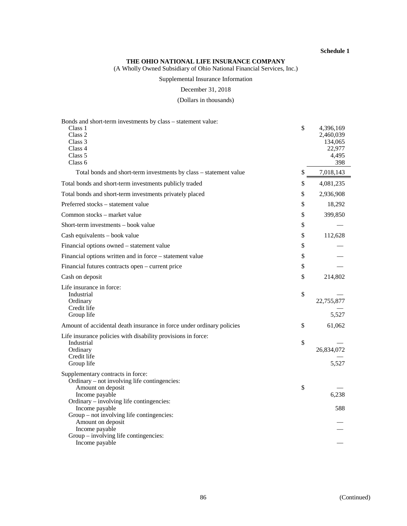#### **THE OHIO NATIONAL LIFE INSURANCE COMPANY**

(A Wholly Owned Subsidiary of Ohio National Financial Services, Inc.)

# Supplemental Insurance Information

December 31, 2018

(Dollars in thousands)

| Bonds and short-term investments by class - statement value:                                                        |                                                                   |
|---------------------------------------------------------------------------------------------------------------------|-------------------------------------------------------------------|
| Class 1<br>Class 2<br>Class 3<br>Class 4<br>Class 5<br>Class <sub>6</sub>                                           | \$<br>4,396,169<br>2,460,039<br>134,065<br>22,977<br>4,495<br>398 |
| Total bonds and short-term investments by class - statement value                                                   | \$<br>7,018,143                                                   |
| Total bonds and short-term investments publicly traded                                                              | \$<br>4,081,235                                                   |
| Total bonds and short-term investments privately placed                                                             | \$<br>2,936,908                                                   |
| Preferred stocks – statement value                                                                                  | \$<br>18,292                                                      |
| Common stocks – market value                                                                                        | \$<br>399,850                                                     |
| Short-term investments – book value                                                                                 | \$                                                                |
| Cash equivalents - book value                                                                                       | \$<br>112,628                                                     |
| Financial options owned - statement value                                                                           | \$                                                                |
| Financial options written and in force – statement value                                                            | \$                                                                |
| Financial futures contracts open – current price                                                                    | \$                                                                |
| Cash on deposit                                                                                                     | \$<br>214,802                                                     |
| Life insurance in force:<br>Industrial<br>Ordinary<br>Credit life<br>Group life                                     | \$<br>22,755,877<br>5,527                                         |
| Amount of accidental death insurance in force under ordinary policies                                               | \$<br>61,062                                                      |
| Life insurance policies with disability provisions in force:<br>Industrial<br>Ordinary<br>Credit life<br>Group life | \$<br>26,834,072<br>5,527                                         |
| Supplementary contracts in force:<br>Ordinary – not involving life contingencies:                                   |                                                                   |
| Amount on deposit<br>Income payable<br>Ordinary – involving life contingencies:                                     | \$<br>6,238                                                       |
| Income payable<br>Group – not involving life contingencies:<br>Amount on deposit                                    | 588                                                               |
| Income payable<br>Group – involving life contingencies:<br>Income payable                                           |                                                                   |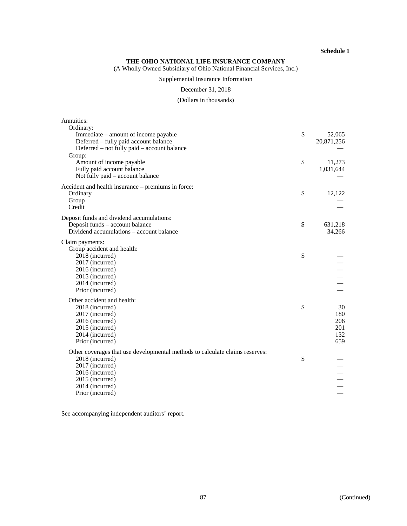#### **THE OHIO NATIONAL LIFE INSURANCE COMPANY**

(A Wholly Owned Subsidiary of Ohio National Financial Services, Inc.)

# Supplemental Insurance Information

#### December 31, 2018

# (Dollars in thousands)

| Annuities:                                                                    |                      |
|-------------------------------------------------------------------------------|----------------------|
| Ordinary:                                                                     | \$                   |
| Immediate – amount of income payable<br>Deferred – fully paid account balance | 52,065<br>20,871,256 |
| Deferred – not fully paid – account balance                                   |                      |
| Group:                                                                        |                      |
| Amount of income payable                                                      | \$<br>11,273         |
| Fully paid account balance                                                    | 1,031,644            |
| Not fully paid – account balance                                              |                      |
| Accident and health insurance – premiums in force:                            |                      |
| Ordinary                                                                      | \$<br>12,122         |
| Group                                                                         |                      |
| Credit                                                                        |                      |
| Deposit funds and dividend accumulations:                                     |                      |
| Deposit funds – account balance                                               | \$<br>631,218        |
| Dividend accumulations – account balance                                      | 34,266               |
| Claim payments:                                                               |                      |
| Group accident and health:                                                    |                      |
| 2018 (incurred)                                                               | \$                   |
| 2017 (incurred)                                                               |                      |
| 2016 (incurred)                                                               |                      |
| 2015 (incurred)                                                               |                      |
| 2014 (incurred)                                                               |                      |
| Prior (incurred)                                                              |                      |
| Other accident and health:                                                    |                      |
| 2018 (incurred)                                                               | \$<br>30<br>180      |
| 2017 (incurred)<br>2016 (incurred)                                            | 206                  |
| 2015 (incurred)                                                               | 201                  |
| 2014 (incurred)                                                               | 132                  |
| Prior (incurred)                                                              | 659                  |
| Other coverages that use developmental methods to calculate claims reserves:  |                      |
| 2018 (incurred)                                                               | \$                   |
| 2017 (incurred)                                                               |                      |
| 2016 (incurred)                                                               |                      |
| 2015 (incurred)                                                               |                      |
| 2014 (incurred)                                                               |                      |
| Prior (incurred)                                                              |                      |

See accompanying independent auditors' report.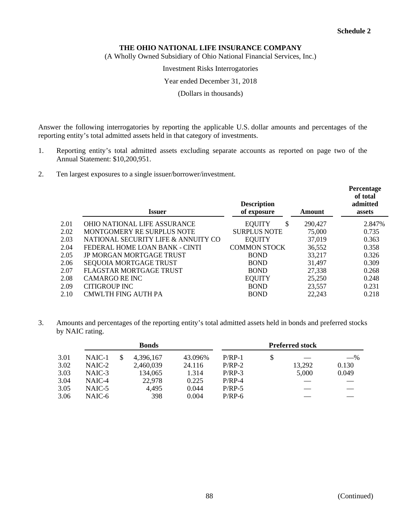(A Wholly Owned Subsidiary of Ohio National Financial Services, Inc.)

#### Investment Risks Interrogatories

### Year ended December 31, 2018

(Dollars in thousands)

Answer the following interrogatories by reporting the applicable U.S. dollar amounts and percentages of the reporting entity's total admitted assets held in that category of investments.

- 1. Reporting entity's total admitted assets excluding separate accounts as reported on page two of the Annual Statement: \$10,200,951.
- 2. Ten largest exposures to a single issuer/borrower/investment.

|      | <b>Issuer</b>                       | <b>Description</b><br>of exposure | Amount  | <b>Percentage</b><br>of total<br>admitted<br>assets |
|------|-------------------------------------|-----------------------------------|---------|-----------------------------------------------------|
| 2.01 | <b>OHIO NATIONAL LIFE ASSURANCE</b> | \$<br><b>EQUITY</b>               | 290,427 | 2.847%                                              |
| 2.02 | MONTGOMERY RE SURPLUS NOTE          | <b>SURPLUS NOTE</b>               | 75,000  | 0.735                                               |
| 2.03 | NATIONAL SECURITY LIFE & ANNUITY CO | <b>EQUITY</b>                     | 37,019  | 0.363                                               |
| 2.04 | FEDERAL HOME LOAN BANK - CINTI      | <b>COMMON STOCK</b>               | 36,552  | 0.358                                               |
| 2.05 | <b>JP MORGAN MORTGAGE TRUST</b>     | <b>BOND</b>                       | 33,217  | 0.326                                               |
| 2.06 | SEQUOIA MORTGAGE TRUST              | <b>BOND</b>                       | 31,497  | 0.309                                               |
| 2.07 | <b>FLAGSTAR MORTGAGE TRUST</b>      | <b>BOND</b>                       | 27,338  | 0.268                                               |
| 2.08 | CAMARGO RE INC                      | <b>EQUITY</b>                     | 25,250  | 0.248                                               |
| 2.09 | CITIGROUP INC                       | <b>BOND</b>                       | 23,557  | 0.231                                               |
| 2.10 | <b>CMWLTH FING AUTH PA</b>          | <b>BOND</b>                       | 22,243  | 0.218                                               |

3. Amounts and percentages of the reporting entity's total admitted assets held in bonds and preferred stocks by NAIC rating.

|      |          | <b>Bonds</b> |           |         |          |    |        |       | <b>Preferred stock</b> |  |
|------|----------|--------------|-----------|---------|----------|----|--------|-------|------------------------|--|
| 3.01 | NAIC-1   |              | 4,396,167 | 43.096% | $P/RP-1$ | \$ |        | $-$ % |                        |  |
| 3.02 | $NAIC-2$ |              | 2,460,039 | 24.116  | $P/RP-2$ |    | 13,292 | 0.130 |                        |  |
| 3.03 | NAIC-3   |              | 134,065   | 1.314   | $P/RP-3$ |    | 5,000  | 0.049 |                        |  |
| 3.04 | NAIC-4   |              | 22,978    | 0.225   | $P/RP-4$ |    |        |       |                        |  |
| 3.05 | NAIC-5   |              | 4,495     | 0.044   | $P/RP-5$ |    |        |       |                        |  |
| 3.06 | NAIC-6   |              | 398       | 0.004   | $P/RP-6$ |    |        |       |                        |  |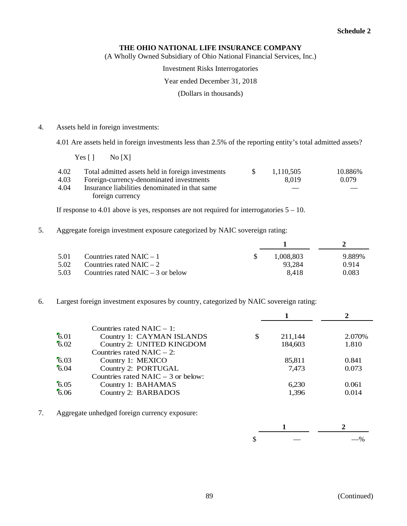# **THE OHIO NATIONAL LIFE INSURANCE COMPANY**

(A Wholly Owned Subsidiary of Ohio National Financial Services, Inc.)

Investment Risks Interrogatories

### Year ended December 31, 2018

(Dollars in thousands)

4. Assets held in foreign investments:

4.01 Are assets held in foreign investments less than 2.5% of the reporting entity's total admitted assets?

 $Yes [ ]$  No  $[X]$ 

| 4.02 | Total admitted assets held in foreign investments | 1.110.505 | 10.886% |
|------|---------------------------------------------------|-----------|---------|
| 4.03 | Foreign-currency-denominated investments          | 8.019     | 0.079   |
| 4.04 | Insurance liabilities denominated in that same    |           |         |
|      | foreign currency                                  |           |         |

If response to 4.01 above is yes, responses are not required for interrogatories  $5 - 10$ .

5. Aggregate foreign investment exposure categorized by NAIC sovereign rating:

| 5.01 | Countries rated $NAIC - 1$          | 1.008.803 | 9.889% |
|------|-------------------------------------|-----------|--------|
| 5.02 | Countries rated NAIC $-2$           | 93.284    | 0.914  |
| 5.03 | Countries rated NAIC $-$ 3 or below | 8.418     | 0.083  |

6. Largest foreign investment exposures by country, categorized by NAIC sovereign rating:

|      | Countries rated $NAIC - 1$ :         |               |         |
|------|--------------------------------------|---------------|---------|
| 6.01 | Country 1: CAYMAN ISLANDS            | \$<br>211,144 | 2.070\% |
| 6.02 | Country 2: UNITED KINGDOM            | 184,603       | 1.810   |
|      | Countries rated NAIC $-2$ :          |               |         |
| 6.03 | Country 1: MEXICO                    | 85,811        | 0.841   |
| 6.04 | Country 2: PORTUGAL                  | 7,473         | 0.073   |
|      | Countries rated NAIC $-$ 3 or below: |               |         |
| 6.05 | Country 1: BAHAMAS                   | 6.230         | 0.061   |
| 6.06 | Country 2: BARBADOS                  | 1,396         | 0.014   |
|      |                                      |               |         |

7. Aggregate unhedged foreign currency exposure:

|  | -- |
|--|----|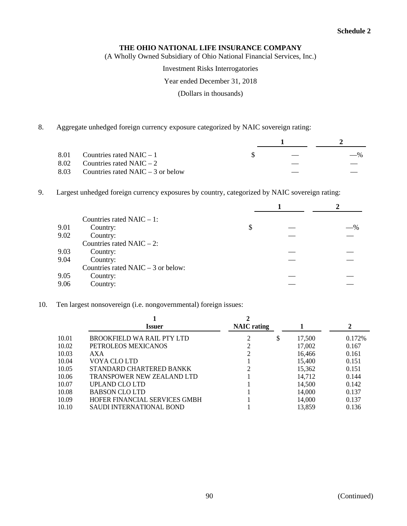(A Wholly Owned Subsidiary of Ohio National Financial Services, Inc.)

Investment Risks Interrogatories

#### Year ended December 31, 2018

(Dollars in thousands)

8. Aggregate unhedged foreign currency exposure categorized by NAIC sovereign rating:

| 8.01 Countries rated NAIC $-1$           |  | $-$ % |  |
|------------------------------------------|--|-------|--|
| 8.02 Countries rated NAIC $-2$           |  |       |  |
| 8.03 Countries rated NAIC $-$ 3 or below |  |       |  |

9. Largest unhedged foreign currency exposures by country, categorized by NAIC sovereign rating:

|      | Countries rated NAIC $-1$ :          |    |        |
|------|--------------------------------------|----|--------|
| 9.01 | Country:                             | \$ | $-9/0$ |
| 9.02 | Country:                             |    |        |
|      | Countries rated NAIC $-2$ :          |    |        |
| 9.03 | Country:                             |    |        |
| 9.04 | Country:                             |    |        |
|      | Countries rated NAIC $-$ 3 or below: |    |        |
| 9.05 | Country:                             |    |        |
| 9.06 | Country:                             |    |        |

10. Ten largest nonsovereign (i.e. nongovernmental) foreign issues:

|       | <b>Issuer</b>                     | <b>NAIC</b> rating |              | 2       |
|-------|-----------------------------------|--------------------|--------------|---------|
| 10.01 | BROOKFIELD WA RAIL PTY LTD        |                    | \$<br>17,500 | 0.172\% |
| 10.02 | PETROLEOS MEXICANOS               |                    | 17,002       | 0.167   |
| 10.03 | AXA                               |                    | 16,466       | 0.161   |
| 10.04 | VOYA CLO LTD                      |                    | 15.400       | 0.151   |
| 10.05 | STANDARD CHARTERED BANKK          |                    | 15,362       | 0.151   |
| 10.06 | <b>TRANSPOWER NEW ZEALAND LTD</b> |                    | 14.712       | 0.144   |
| 10.07 | UPLAND CLO LTD                    |                    | 14,500       | 0.142   |
| 10.08 | <b>BABSON CLO LTD</b>             |                    | 14,000       | 0.137   |
| 10.09 | HOFER FINANCIAL SERVICES GMBH     |                    | 14,000       | 0.137   |
| 10.10 | <b>SAUDI INTERNATIONAL BOND</b>   |                    | 13.859       | 0.136   |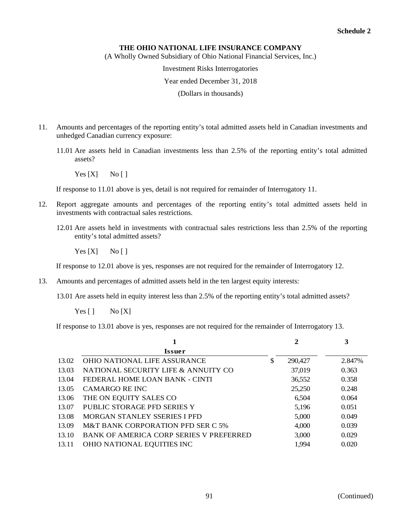(A Wholly Owned Subsidiary of Ohio National Financial Services, Inc.)

Investment Risks Interrogatories

#### Year ended December 31, 2018

(Dollars in thousands)

- 11. Amounts and percentages of the reporting entity's total admitted assets held in Canadian investments and unhedged Canadian currency exposure:
	- 11.01 Are assets held in Canadian investments less than 2.5% of the reporting entity's total admitted assets?
		- $Yes [X]$  No []

If response to 11.01 above is yes, detail is not required for remainder of Interrogatory 11.

- 12. Report aggregate amounts and percentages of the reporting entity's total admitted assets held in investments with contractual sales restrictions.
	- 12.01 Are assets held in investments with contractual sales restrictions less than 2.5% of the reporting entity's total admitted assets?

 $Yes [X]$  No []

If response to 12.01 above is yes, responses are not required for the remainder of Interrogatory 12.

- 13. Amounts and percentages of admitted assets held in the ten largest equity interests:
	- 13.01 Are assets held in equity interest less than 2.5% of the reporting entity's total admitted assets?
		- $Yes [ ]$  No  $[X]$

If response to 13.01 above is yes, responses are not required for the remainder of Interrogatory 13.

|       |                                         | 2             | 3      |
|-------|-----------------------------------------|---------------|--------|
|       | <b>Issuer</b>                           |               |        |
| 13.02 | <b>OHIO NATIONAL LIFE ASSURANCE</b>     | \$<br>290,427 | 2.847% |
| 13.03 | NATIONAL SECURITY LIFE & ANNUITY CO     | 37,019        | 0.363  |
| 13.04 | FEDERAL HOME LOAN BANK - CINTI          | 36,552        | 0.358  |
| 13.05 | CAMARGO RE INC                          | 25,250        | 0.248  |
| 13.06 | THE ON EQUITY SALES CO                  | 6,504         | 0.064  |
| 13.07 | PUBLIC STORAGE PFD SERIES Y             | 5,196         | 0.051  |
| 13.08 | MORGAN STANLEY SSERIES I PFD            | 5,000         | 0.049  |
| 13.09 | M&T BANK CORPORATION PFD SER C 5%       | 4,000         | 0.039  |
| 13.10 | BANK OF AMERICA CORP SERIES V PREFERRED | 3,000         | 0.029  |
| 13.11 | OHIO NATIONAL EQUITIES INC              | 1,994         | 0.020  |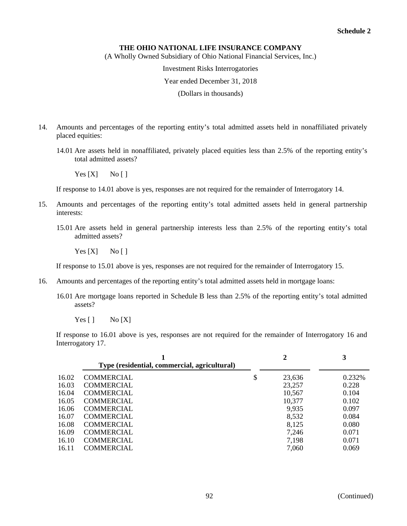(A Wholly Owned Subsidiary of Ohio National Financial Services, Inc.)

Investment Risks Interrogatories

Year ended December 31, 2018

(Dollars in thousands)

- 14. Amounts and percentages of the reporting entity's total admitted assets held in nonaffiliated privately placed equities:
	- 14.01 Are assets held in nonaffiliated, privately placed equities less than 2.5% of the reporting entity's total admitted assets?

 $Yes [X]$  No []

If response to 14.01 above is yes, responses are not required for the remainder of Interrogatory 14.

- 15. Amounts and percentages of the reporting entity's total admitted assets held in general partnership interests:
	- 15.01 Are assets held in general partnership interests less than 2.5% of the reporting entity's total admitted assets?

 $Yes [X]$  No []

If response to 15.01 above is yes, responses are not required for the remainder of Interrogatory 15.

- 16. Amounts and percentages of the reporting entity's total admitted assets held in mortgage loans:
	- 16.01 Are mortgage loans reported in Schedule B less than 2.5% of the reporting entity's total admitted assets?
		- $Yes [ ]$  No  $[X]$

If response to 16.01 above is yes, responses are not required for the remainder of Interrogatory 16 and Interrogatory 17.

|       | Type (residential, commercial, agricultural) | 2            |        |
|-------|----------------------------------------------|--------------|--------|
| 16.02 | <b>COMMERCIAL</b>                            | \$<br>23,636 | 0.232% |
| 16.03 | <b>COMMERCIAL</b>                            | 23,257       | 0.228  |
| 16.04 | <b>COMMERCIAL</b>                            | 10,567       | 0.104  |
| 16.05 | <b>COMMERCIAL</b>                            | 10,377       | 0.102  |
| 16.06 | <b>COMMERCIAL</b>                            | 9,935        | 0.097  |
| 16.07 | <b>COMMERCIAL</b>                            | 8,532        | 0.084  |
| 16.08 | <b>COMMERCIAL</b>                            | 8,125        | 0.080  |
| 16.09 | <b>COMMERCIAL</b>                            | 7,246        | 0.071  |
| 16.10 | <b>COMMERCIAL</b>                            | 7,198        | 0.071  |
| 16.11 | <b>COMMERCIAL</b>                            | 7,060        | 0.069  |
|       |                                              |              |        |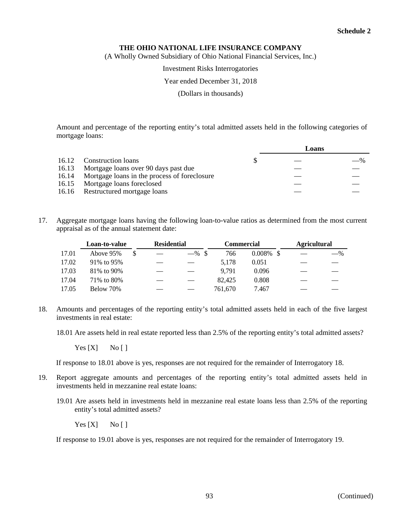(A Wholly Owned Subsidiary of Ohio National Financial Services, Inc.)

### Investment Risks Interrogatories

### Year ended December 31, 2018

(Dollars in thousands)

Amount and percentage of the reporting entity's total admitted assets held in the following categories of mortgage loans:

|       |                                                    |  | Loans |       |  |
|-------|----------------------------------------------------|--|-------|-------|--|
|       | 16.12 Construction loans                           |  |       | $-$ % |  |
| 16.13 | Mortgage loans over 90 days past due               |  |       |       |  |
|       | 16.14 Mortgage loans in the process of foreclosure |  |       |       |  |
|       | 16.15 Mortgage loans foreclosed                    |  |       |       |  |
|       | 16.16 Restructured mortgage loans                  |  |       |       |  |

17. Aggregate mortgage loans having the following loan-to-value ratios as determined from the most current appraisal as of the annual statement date:

|       | Loan-to-value |  | <b>Residential</b> |          | Commercial |              | <b>Agricultural</b> |       |
|-------|---------------|--|--------------------|----------|------------|--------------|---------------------|-------|
| 17.01 | Above 95%     |  |                    | $-$ % \$ | 766        | $0.008\%$ \$ |                     | $-$ % |
| 17.02 | 91% to 95%    |  |                    |          | 5.178      | 0.051        |                     |       |
| 17.03 | 81\% to 90\%  |  |                    |          | 9.791      | 0.096        |                     |       |
| 17.04 | 71\% to 80\%  |  |                    |          | 82,425     | 0.808        |                     |       |
| 17.05 | Below 70%     |  |                    |          | 761.670    | 7.467        |                     |       |

18. Amounts and percentages of the reporting entity's total admitted assets held in each of the five largest investments in real estate:

18.01 Are assets held in real estate reported less than 2.5% of the reporting entity's total admitted assets?

 $Yes [X]$  No [ ]

If response to 18.01 above is yes, responses are not required for the remainder of Interrogatory 18.

- 19. Report aggregate amounts and percentages of the reporting entity's total admitted assets held in investments held in mezzanine real estate loans:
	- 19.01 Are assets held in investments held in mezzanine real estate loans less than 2.5% of the reporting entity's total admitted assets?

 $Yes [X]$  No []

If response to 19.01 above is yes, responses are not required for the remainder of Interrogatory 19.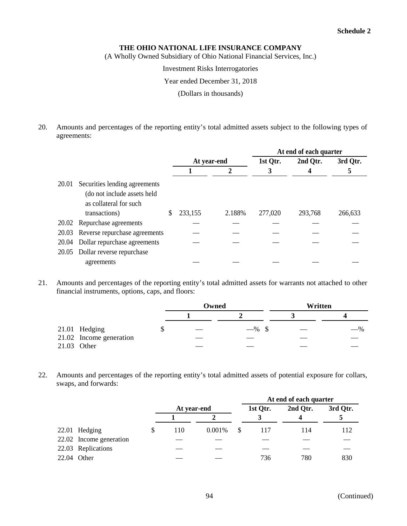(A Wholly Owned Subsidiary of Ohio National Financial Services, Inc.)

Investment Risks Interrogatories

### Year ended December 31, 2018

(Dollars in thousands)

20. Amounts and percentages of the reporting entity's total admitted assets subject to the following types of agreements:

|       |                                                                                                         | At end of each quarter |             |        |          |          |          |
|-------|---------------------------------------------------------------------------------------------------------|------------------------|-------------|--------|----------|----------|----------|
|       |                                                                                                         |                        | At year-end |        | 1st Qtr. | 2nd Qtr. | 3rd Qtr. |
|       |                                                                                                         |                        |             |        | 3        |          |          |
| 20.01 | Securities lending agreements<br>(do not include assets held<br>as collateral for such<br>transactions) | S                      | 233,155     | 2.188% | 277,020  | 293,768  | 266,633  |
|       | 20.02 Repurchase agreements                                                                             |                        |             |        |          |          |          |
|       | 20.03 Reverse repurchase agreements                                                                     |                        |             |        |          |          |          |
| 20.04 | Dollar repurchase agreements                                                                            |                        |             |        |          |          |          |
| 20.05 | Dollar reverse repurchase                                                                               |                        |             |        |          |          |          |
|       | agreements                                                                                              |                        |             |        |          |          |          |

21. Amounts and percentages of the reporting entity's total admitted assets for warrants not attached to other financial instruments, options, caps, and floors:

|                         |  | Owned |          | Written |       |  |  |
|-------------------------|--|-------|----------|---------|-------|--|--|
|                         |  |       |          |         |       |  |  |
| 21.01 Hedging           |  |       | $-$ % \$ |         | $-$ % |  |  |
| 21.02 Income generation |  |       |          |         |       |  |  |
| 21.03 Other             |  |       |          |         |       |  |  |

22. Amounts and percentages of the reporting entity's total admitted assets of potential exposure for collars, swaps, and forwards:

|                         |             |        | At end of each quarter |          |          |  |  |  |
|-------------------------|-------------|--------|------------------------|----------|----------|--|--|--|
|                         | At year-end |        | 1st Qtr.               | 2nd Qtr. | 3rd Qtr. |  |  |  |
|                         |             |        |                        |          |          |  |  |  |
| 22.01 Hedging           | 110         | 0.001% | 117                    | 114      | 112      |  |  |  |
| 22.02 Income generation |             |        |                        |          |          |  |  |  |
| 22.03 Replications      |             |        |                        |          |          |  |  |  |
| 22.04 Other             |             |        | 736                    | 780      | 830      |  |  |  |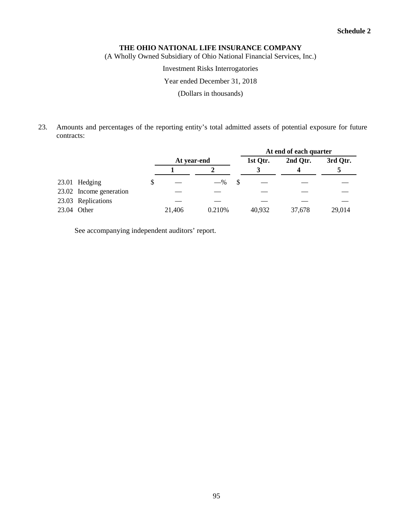(A Wholly Owned Subsidiary of Ohio National Financial Services, Inc.)

# Investment Risks Interrogatories

# Year ended December 31, 2018

(Dollars in thousands)

23. Amounts and percentages of the reporting entity's total admitted assets of potential exposure for future contracts:

|             |                         |             |        | At end of each quarter |          |          |  |  |
|-------------|-------------------------|-------------|--------|------------------------|----------|----------|--|--|
|             |                         | At year-end |        | 1st Qtr.               | 2nd Qtr. | 3rd Qtr. |  |  |
|             |                         |             |        |                        |          |          |  |  |
|             | 23.01 Hedging           |             | $-$ %  |                        |          |          |  |  |
|             | 23.02 Income generation |             |        |                        |          |          |  |  |
|             | 23.03 Replications      |             |        |                        |          |          |  |  |
| 23.04 Other |                         | 21,406      | 0.210% | 40,932                 | 37.678   | 29,014   |  |  |

See accompanying independent auditors' report.